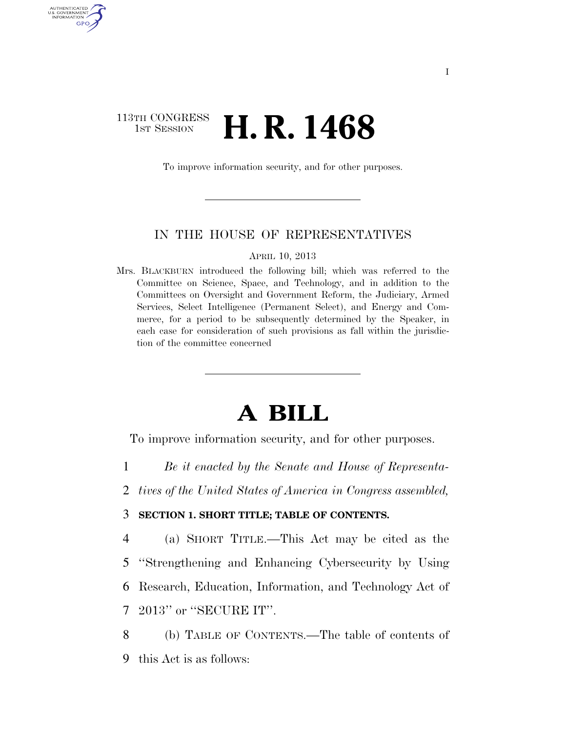## 113TH CONGRESS <sup>TH CONGRESS</sup> **H. R. 1468**

AUTHENTICATED U.S. GOVERNMENT GPO

To improve information security, and for other purposes.

### IN THE HOUSE OF REPRESENTATIVES

APRIL 10, 2013

Mrs. BLACKBURN introduced the following bill; which was referred to the Committee on Science, Space, and Technology, and in addition to the Committees on Oversight and Government Reform, the Judiciary, Armed Services, Select Intelligence (Permanent Select), and Energy and Commerce, for a period to be subsequently determined by the Speaker, in each case for consideration of such provisions as fall within the jurisdiction of the committee concerned

# **A BILL**

To improve information security, and for other purposes.

- 1 *Be it enacted by the Senate and House of Representa-*
- 2 *tives of the United States of America in Congress assembled,*

### 3 **SECTION 1. SHORT TITLE; TABLE OF CONTENTS.**

 (a) SHORT TITLE.—This Act may be cited as the ''Strengthening and Enhancing Cybersecurity by Using Research, Education, Information, and Technology Act of 2013'' or ''SECURE IT''.

8 (b) TABLE OF CONTENTS.—The table of contents of 9 this Act is as follows: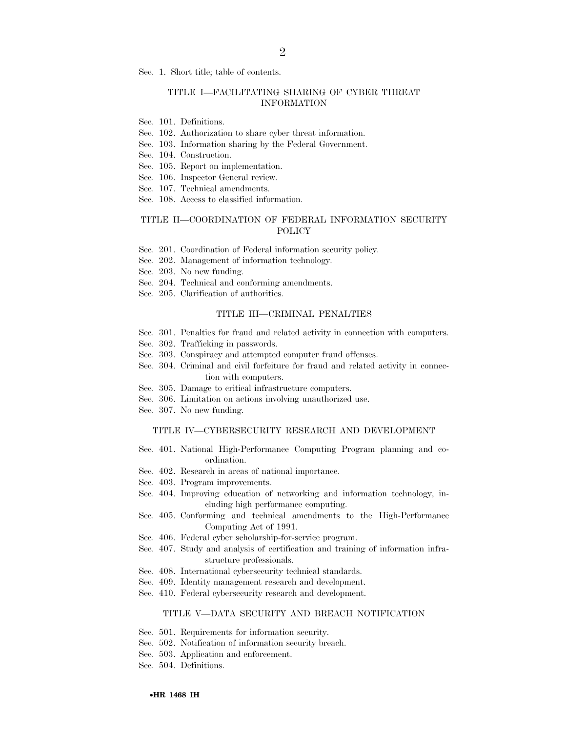Sec. 1. Short title; table of contents.

### TITLE I—FACILITATING SHARING OF CYBER THREAT INFORMATION

- Sec. 101. Definitions.
- Sec. 102. Authorization to share cyber threat information.
- Sec. 103. Information sharing by the Federal Government.
- Sec. 104. Construction.
- Sec. 105. Report on implementation.
- Sec. 106. Inspector General review.
- Sec. 107. Technical amendments.
- Sec. 108. Access to classified information.

### TITLE II—COORDINATION OF FEDERAL INFORMATION SECURITY POLICY

- Sec. 201. Coordination of Federal information security policy.
- Sec. 202. Management of information technology.
- Sec. 203. No new funding.
- Sec. 204. Technical and conforming amendments.
- Sec. 205. Clarification of authorities.

### TITLE III—CRIMINAL PENALTIES

- Sec. 301. Penalties for fraud and related activity in connection with computers.
- Sec. 302. Trafficking in passwords.
- Sec. 303. Conspiracy and attempted computer fraud offenses.
- Sec. 304. Criminal and civil forfeiture for fraud and related activity in connection with computers.
- Sec. 305. Damage to critical infrastructure computers.
- Sec. 306. Limitation on actions involving unauthorized use.
- Sec. 307. No new funding.

#### TITLE IV—CYBERSECURITY RESEARCH AND DEVELOPMENT

- Sec. 401. National High-Performance Computing Program planning and coordination.
- Sec. 402. Research in areas of national importance.
- Sec. 403. Program improvements.
- Sec. 404. Improving education of networking and information technology, including high performance computing.
- Sec. 405. Conforming and technical amendments to the High-Performance Computing Act of 1991.
- Sec. 406. Federal cyber scholarship-for-service program.
- Sec. 407. Study and analysis of certification and training of information infrastructure professionals.
- Sec. 408. International cybersecurity technical standards.
- Sec. 409. Identity management research and development.
- Sec. 410. Federal cybersecurity research and development.

#### TITLE V—DATA SECURITY AND BREACH NOTIFICATION

- Sec. 501. Requirements for information security.
- Sec. 502. Notification of information security breach.
- Sec. 503. Application and enforcement.
- Sec. 504. Definitions.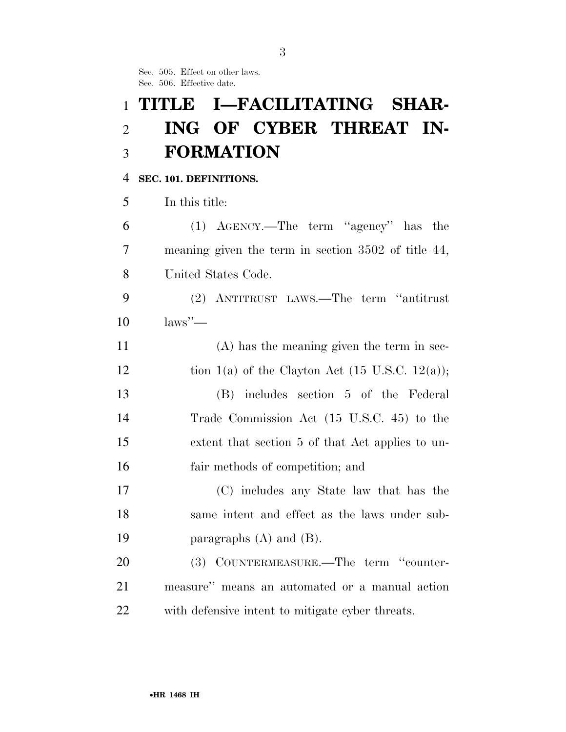Sec. 505. Effect on other laws. Sec. 506. Effective date.

# **TITLE I—FACILITATING SHAR- ING OF CYBER THREAT IN-FORMATION**

### **SEC. 101. DEFINITIONS.**

In this title:

 (1) AGENCY.—The term ''agency'' has the meaning given the term in section 3502 of title 44, United States Code.

 (2) ANTITRUST LAWS.—The term ''antitrust laws''—

 (A) has the meaning given the term in sec-12 tion 1(a) of the Clayton Act  $(15 \text{ U.S.C. } 12(a));$  (B) includes section 5 of the Federal Trade Commission Act (15 U.S.C. 45) to the extent that section 5 of that Act applies to un-fair methods of competition; and

 (C) includes any State law that has the same intent and effect as the laws under sub-19 **paragraphs**  $(A)$  and  $(B)$ .

20 (3) COUNTERMEASURE.—The term "counter- measure'' means an automated or a manual action with defensive intent to mitigate cyber threats.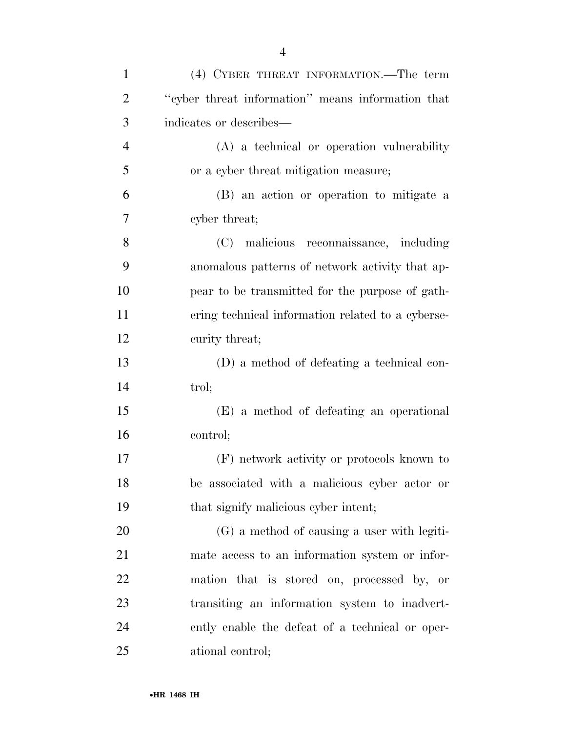| $\mathbf{1}$   | (4) CYBER THREAT INFORMATION.—The term            |
|----------------|---------------------------------------------------|
| $\overline{2}$ | "cyber threat information" means information that |
| 3              | indicates or describes—                           |
| $\overline{4}$ | (A) a technical or operation vulnerability        |
| 5              | or a cyber threat mitigation measure;             |
| 6              | (B) an action or operation to mitigate a          |
| 7              | cyber threat;                                     |
| 8              | (C) malicious reconnaissance, including           |
| 9              | anomalous patterns of network activity that ap-   |
| 10             | pear to be transmitted for the purpose of gath-   |
| 11             | ering technical information related to a cyberse- |
| 12             | curity threat;                                    |
| 13             | (D) a method of defeating a technical con-        |
| 14             | trol;                                             |
| 15             | (E) a method of defeating an operational          |
| 16             | control;                                          |
| 17             | (F) network activity or protocols known to        |
| 18             | be associated with a malicious cyber actor or     |
| 19             | that signify malicious cyber intent;              |
| 20             | (G) a method of causing a user with legiti-       |
| 21             | mate access to an information system or infor-    |
| 22             | mation that is stored on, processed by, or        |
| 23             | transiting an information system to inadvert-     |
| 24             | ently enable the defeat of a technical or oper-   |
| 25             | ational control;                                  |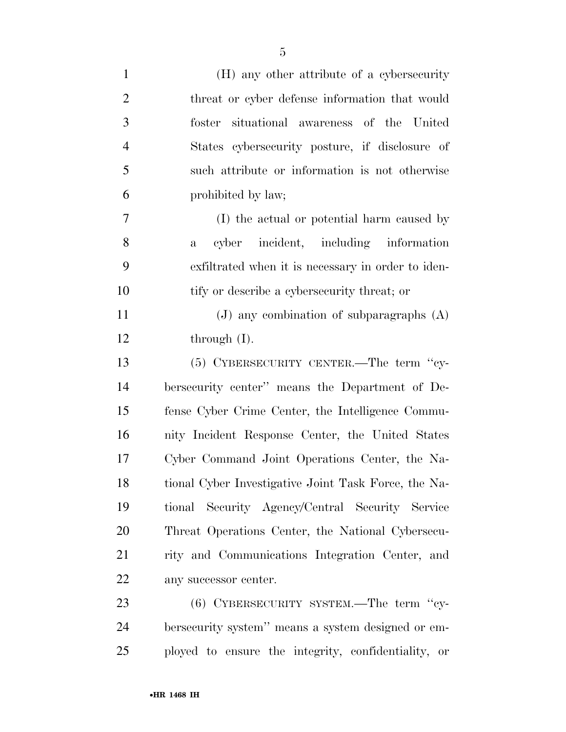| $\mathbf{1}$   | (H) any other attribute of a cybersecurity            |
|----------------|-------------------------------------------------------|
| $\overline{2}$ | threat or cyber defense information that would        |
| $\mathfrak{Z}$ | situational awareness of the<br>United<br>foster      |
| $\overline{4}$ | States cybersecurity posture, if disclosure of        |
| 5              | such attribute or information is not otherwise        |
| 6              | prohibited by law;                                    |
| 7              | (I) the actual or potential harm caused by            |
| 8              | cyber incident, including information<br>$\mathbf{a}$ |
| 9              | exfiltrated when it is necessary in order to iden-    |
| 10             | tify or describe a cybersecurity threat; or           |
| 11             | $(J)$ any combination of subparagraphs $(A)$          |
| 12             | through $(I)$ .                                       |
| 13             | (5) CYBERSECURITY CENTER.—The term "cy-               |
| 14             | bersecurity center" means the Department of De-       |
| 15             | fense Cyber Crime Center, the Intelligence Commu-     |
| 16             | nity Incident Response Center, the United States      |
| 17             | Cyber Command Joint Operations Center, the Na-        |
| 18             | tional Cyber Investigative Joint Task Force, the Na-  |
| 19             | tional Security Agency/Central Security Service       |
| 20             | Threat Operations Center, the National Cybersecu-     |
| 21             | rity and Communications Integration Center, and       |
| 22             | any successor center.                                 |
| 23             | $(6)$ CYBERSECURITY SYSTEM.—The term "cy-             |
| 24             | bersecurity system" means a system designed or em-    |
| 25             | ployed to ensure the integrity, confidentiality, or   |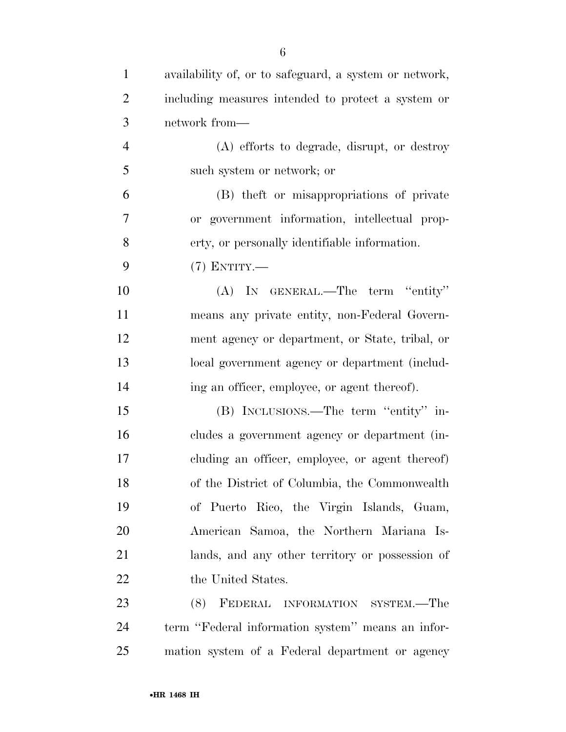| $\mathbf{1}$   | availability of, or to safeguard, a system or network, |
|----------------|--------------------------------------------------------|
| $\overline{2}$ | including measures intended to protect a system or     |
| 3              | network from-                                          |
| $\overline{4}$ | (A) efforts to degrade, disrupt, or destroy            |
| 5              | such system or network; or                             |
| 6              | (B) the ft or misappropriations of private             |
| $\overline{7}$ | or government information, intellectual prop-          |
| 8              | erty, or personally identifiable information.          |
| 9              | $(7)$ ENTITY.—                                         |
| 10             | (A) IN GENERAL.—The term "entity"                      |
| 11             | means any private entity, non-Federal Govern-          |
| 12             | ment agency or department, or State, tribal, or        |
| 13             | local government agency or department (includ-         |
| 14             | ing an officer, employee, or agent thereof).           |
| 15             | (B) INCLUSIONS.—The term "entity" in-                  |
| 16             | cludes a government agency or department (in-          |
| 17             | cluding an officer, employee, or agent thereof)        |
| 18             | of the District of Columbia, the Commonwealth          |
| 19             | of Puerto Rico, the Virgin Islands, Guam,              |
| 20             | American Samoa, the Northern Mariana Is-               |
| 21             | lands, and any other territory or possession of        |
| 22             | the United States.                                     |
| 23             | (8) FEDERAL INFORMATION SYSTEM.-The                    |
| 24             | term "Federal information system" means an infor-      |
| 25             | mation system of a Federal department or agency        |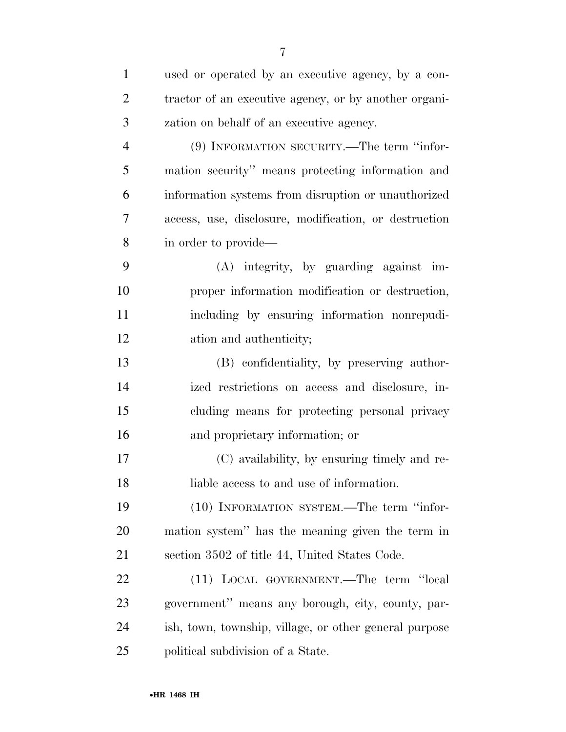| $\mathbf{1}$   | used or operated by an executive agency, by a con-     |
|----------------|--------------------------------------------------------|
| $\overline{2}$ | tractor of an executive agency, or by another organi-  |
| 3              | zation on behalf of an executive agency.               |
| $\overline{4}$ | (9) INFORMATION SECURITY.—The term "infor-             |
| 5              | mation security" means protecting information and      |
| 6              | information systems from disruption or unauthorized    |
| 7              | access, use, disclosure, modification, or destruction  |
| 8              | in order to provide—                                   |
| 9              | $(A)$ integrity, by guarding against im-               |
| 10             | proper information modification or destruction,        |
| 11             | including by ensuring information nonrepudi-           |
| 12             | ation and authenticity;                                |
| 13             | (B) confidentiality, by preserving author-             |
| 14             | ized restrictions on access and disclosure, in-        |
| 15             | cluding means for protecting personal privacy          |
| 16             | and proprietary information; or                        |
| 17             | (C) availability, by ensuring timely and re-           |
| 18             | liable access to and use of information.               |
| 19             | (10) INFORMATION SYSTEM.—The term "infor-              |
| 20             | mation system" has the meaning given the term in       |
| 21             | section 3502 of title 44, United States Code.          |
| 22             | (11) LOCAL GOVERNMENT.—The term "local                 |
| 23             | government" means any borough, city, county, par-      |
| 24             | ish, town, township, village, or other general purpose |
| 25             | political subdivision of a State.                      |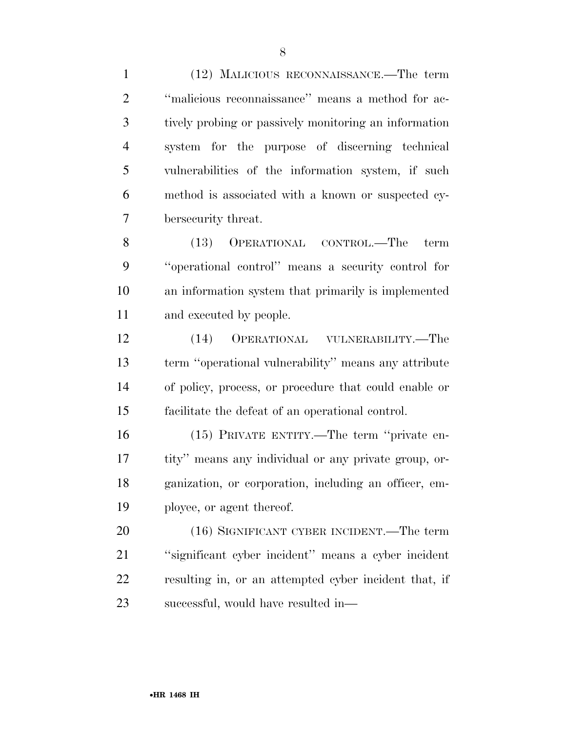(12) MALICIOUS RECONNAISSANCE.—The term ''malicious reconnaissance'' means a method for ac- tively probing or passively monitoring an information system for the purpose of discerning technical vulnerabilities of the information system, if such method is associated with a known or suspected cy-bersecurity threat.

 (13) OPERATIONAL CONTROL.—The term ''operational control'' means a security control for an information system that primarily is implemented and executed by people.

 (14) OPERATIONAL VULNERABILITY.—The term ''operational vulnerability'' means any attribute of policy, process, or procedure that could enable or facilitate the defeat of an operational control.

 (15) PRIVATE ENTITY.—The term ''private en- tity'' means any individual or any private group, or- ganization, or corporation, including an officer, em-ployee, or agent thereof.

 (16) SIGNIFICANT CYBER INCIDENT.—The term ''significant cyber incident'' means a cyber incident resulting in, or an attempted cyber incident that, if successful, would have resulted in—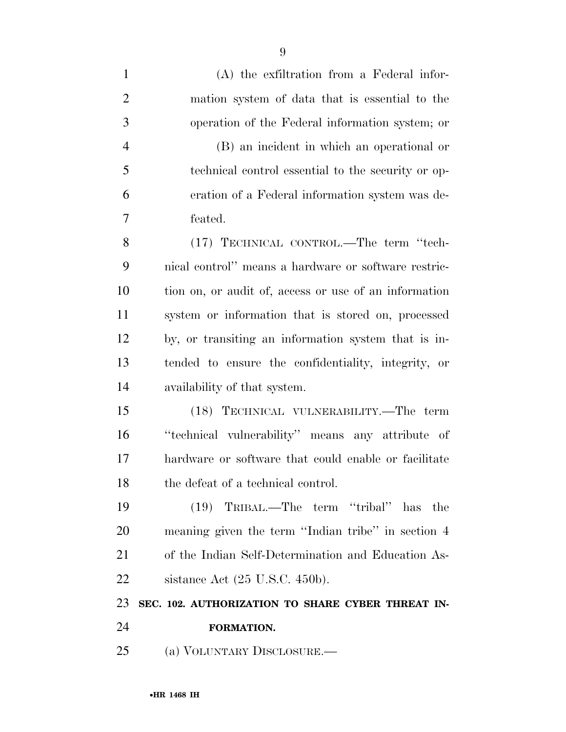| $\mathbf{1}$   | (A) the exfiltration from a Federal infor-            |
|----------------|-------------------------------------------------------|
| 2              | mation system of data that is essential to the        |
| 3              | operation of the Federal information system; or       |
| $\overline{4}$ | (B) an incident in which an operational or            |
| 5              | technical control essential to the security or op-    |
| 6              | eration of a Federal information system was de-       |
| 7              | feated.                                               |
| 8              | (17) TECHNICAL CONTROL.—The term "tech-               |
| 9              | nical control" means a hardware or software restric-  |
| 10             | tion on, or audit of, access or use of an information |
| 11             | system or information that is stored on, processed    |
| 12             | by, or transiting an information system that is in-   |
| 13             | tended to ensure the confidentiality, integrity, or   |
| 14             | availability of that system.                          |
| 15             | (18) TECHNICAL VULNERABILITY.—The term                |
| 16             | "technical vulnerability" means any attribute of      |
| 17             | hardware or software that could enable or facilitate  |
| 18             | the defeat of a technical control.                    |
| 19             | $(19)$ TRIBAL.—The term "tribal"<br>has the           |
| 20             | meaning given the term "Indian tribe" in section 4    |
| 21             | of the Indian Self-Determination and Education As-    |
| 22             | sistance Act $(25 \text{ U.S.C. } 450\text{b}).$      |
| 23             | SEC. 102. AUTHORIZATION TO SHARE CYBER THREAT IN-     |
| 24             | FORMATION.                                            |
| 25             | (a) VOLUNTARY DISCLOSURE.—                            |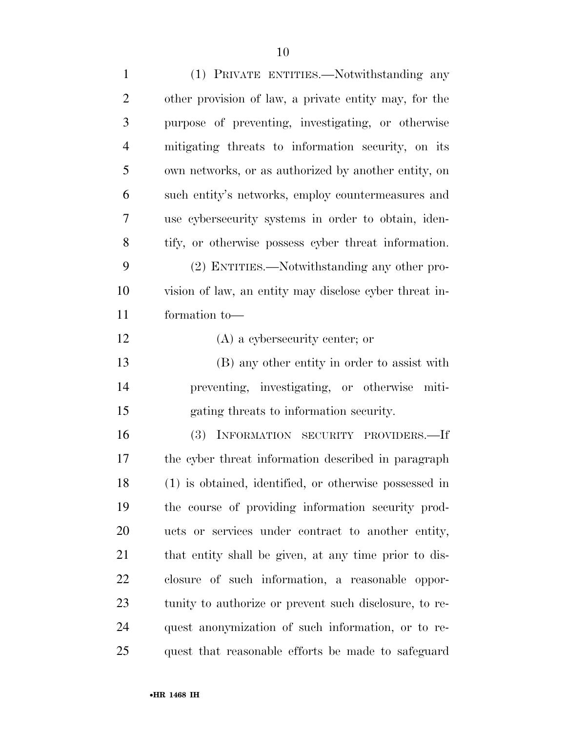| $\mathbf{1}$   | (1) PRIVATE ENTITIES.—Notwithstanding any              |
|----------------|--------------------------------------------------------|
| $\overline{2}$ | other provision of law, a private entity may, for the  |
| 3              | purpose of preventing, investigating, or otherwise     |
| $\overline{4}$ | mitigating threats to information security, on its     |
| 5              | own networks, or as authorized by another entity, on   |
| 6              | such entity's networks, employ countermeasures and     |
| 7              | use cybersecurity systems in order to obtain, iden-    |
| 8              | tify, or otherwise possess cyber threat information.   |
| 9              | (2) ENTITIES.—Notwithstanding any other pro-           |
| 10             | vision of law, an entity may disclose cyber threat in- |
| 11             | formation to-                                          |
| 12             | $(A)$ a cybersecurity center; or                       |
| 13             | (B) any other entity in order to assist with           |
| 14             | preventing, investigating, or otherwise miti-          |
| 15             | gating threats to information security.                |
| 16             | INFORMATION SECURITY PROVIDERS.-If<br>(3)              |
| 17             | the cyber threat information described in paragraph    |
| 18             | (1) is obtained, identified, or otherwise possessed in |
| 19             | the course of providing information security prod-     |
| 20             | ucts or services under contract to another entity,     |
| 21             | that entity shall be given, at any time prior to dis-  |
| 22             | closure of such information, a reasonable oppor-       |
| 23             | tunity to authorize or prevent such disclosure, to re- |
| 24             | quest anonymization of such information, or to re-     |
| 25             | quest that reasonable efforts be made to safeguard     |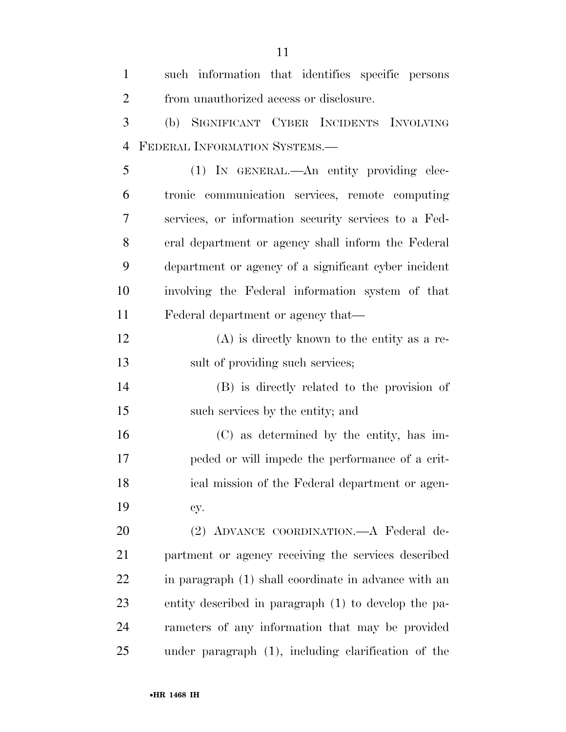| $\mathbf{1}$   | such information that identifies specific persons    |
|----------------|------------------------------------------------------|
| $\overline{2}$ | from unauthorized access or disclosure.              |
| 3              | (b) SIGNIFICANT CYBER INCIDENTS INVOLVING            |
| $\overline{4}$ | FEDERAL INFORMATION SYSTEMS.-                        |
| 5              | (1) IN GENERAL.—An entity providing elec-            |
| 6              | tronic communication services, remote computing      |
| 7              | services, or information security services to a Fed- |
| 8              | eral department or agency shall inform the Federal   |
| 9              | department or agency of a significant cyber incident |
| 10             | involving the Federal information system of that     |
| 11             | Federal department or agency that—                   |
| 12             | $(A)$ is directly known to the entity as a re-       |
| 13             | sult of providing such services;                     |
| 14             | (B) is directly related to the provision of          |
| 15             | such services by the entity; and                     |
| 16             | (C) as determined by the entity, has im-             |
| 17             | peded or will impede the performance of a crit-      |
| 18             | ical mission of the Federal department or agen-      |
| 19             | cy.                                                  |
| 20             | (2) ADVANCE COORDINATION. A Federal de-              |
| 21             | partment or agency receiving the services described  |
| 22             | in paragraph (1) shall coordinate in advance with an |
| 23             | entity described in paragraph (1) to develop the pa- |
| 24             | rameters of any information that may be provided     |
| 25             | under paragraph (1), including clarification of the  |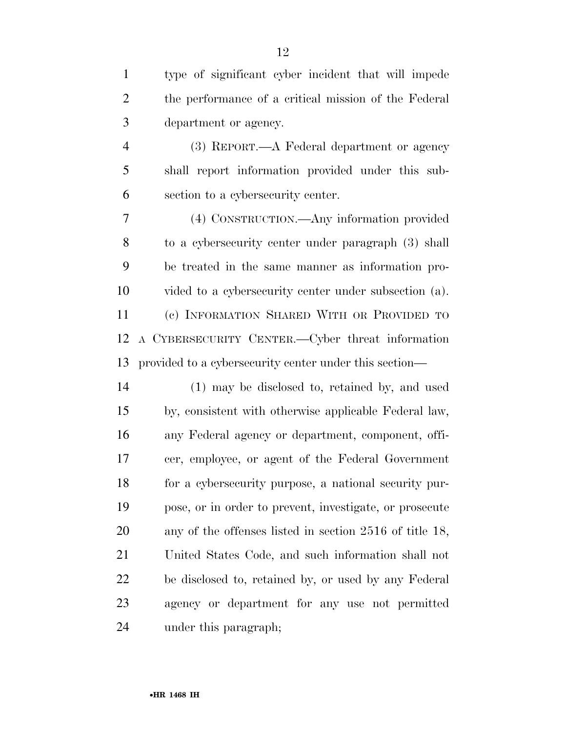| $\mathbf{1}$   | type of significant cyber incident that will impede     |
|----------------|---------------------------------------------------------|
| $\overline{2}$ | the performance of a critical mission of the Federal    |
| 3              | department or agency.                                   |
| $\overline{4}$ | (3) REPORT.—A Federal department or agency              |
| 5              | shall report information provided under this sub-       |
| 6              | section to a cybersecurity center.                      |
| 7              | (4) CONSTRUCTION.—Any information provided              |
| 8              | to a cybersecurity center under paragraph (3) shall     |
| 9              | be treated in the same manner as information pro-       |
| 10             | vided to a cybersecurity center under subsection (a).   |
| 11             | (c) INFORMATION SHARED WITH OR PROVIDED TO              |
| 12             | A CYBERSECURITY CENTER.—Cyber threat information        |
| 13             | provided to a cybersecurity center under this section—  |
| 14             | (1) may be disclosed to, retained by, and used          |
| 15             | by, consistent with otherwise applicable Federal law,   |
| 16             | any Federal agency or department, component, offi-      |
| 17             | cer, employee, or agent of the Federal Government       |
| 18             | for a cybersecurity purpose, a national security pur-   |
| 19             | pose, or in order to prevent, investigate, or prosecute |
| 20             | any of the offenses listed in section 2516 of title 18, |
| 21             | United States Code, and such information shall not      |
| 22             | be disclosed to, retained by, or used by any Federal    |
| 23             | agency or department for any use not permitted          |
| 24             | under this paragraph;                                   |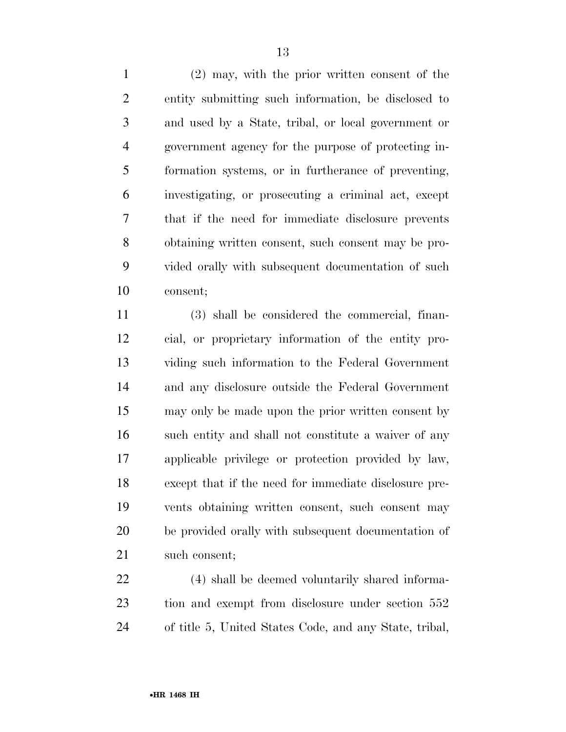(2) may, with the prior written consent of the entity submitting such information, be disclosed to and used by a State, tribal, or local government or government agency for the purpose of protecting in- formation systems, or in furtherance of preventing, investigating, or prosecuting a criminal act, except that if the need for immediate disclosure prevents obtaining written consent, such consent may be pro- vided orally with subsequent documentation of such consent;

 (3) shall be considered the commercial, finan- cial, or proprietary information of the entity pro- viding such information to the Federal Government and any disclosure outside the Federal Government may only be made upon the prior written consent by such entity and shall not constitute a waiver of any applicable privilege or protection provided by law, except that if the need for immediate disclosure pre- vents obtaining written consent, such consent may be provided orally with subsequent documentation of such consent;

 (4) shall be deemed voluntarily shared informa- tion and exempt from disclosure under section 552 of title 5, United States Code, and any State, tribal,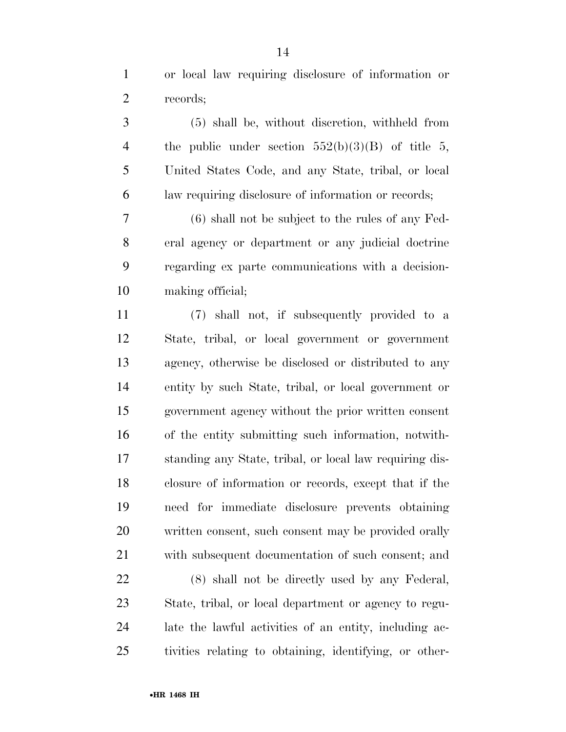or local law requiring disclosure of information or records;

 (5) shall be, without discretion, withheld from 4 the public under section  $552(b)(3)(B)$  of title 5, United States Code, and any State, tribal, or local law requiring disclosure of information or records;

 (6) shall not be subject to the rules of any Fed- eral agency or department or any judicial doctrine regarding ex parte communications with a decision-making official;

 (7) shall not, if subsequently provided to a State, tribal, or local government or government agency, otherwise be disclosed or distributed to any entity by such State, tribal, or local government or government agency without the prior written consent of the entity submitting such information, notwith- standing any State, tribal, or local law requiring dis- closure of information or records, except that if the need for immediate disclosure prevents obtaining written consent, such consent may be provided orally with subsequent documentation of such consent; and

 (8) shall not be directly used by any Federal, State, tribal, or local department or agency to regu- late the lawful activities of an entity, including ac-tivities relating to obtaining, identifying, or other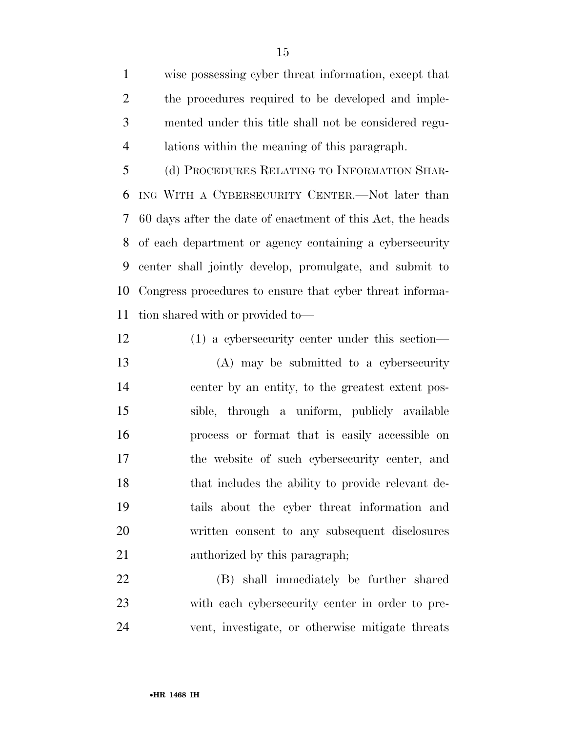wise possessing cyber threat information, except that the procedures required to be developed and imple- mented under this title shall not be considered regu-lations within the meaning of this paragraph.

 (d) PROCEDURES RELATING TO INFORMATION SHAR- ING WITH A CYBERSECURITY CENTER.—Not later than 60 days after the date of enactment of this Act, the heads of each department or agency containing a cybersecurity center shall jointly develop, promulgate, and submit to Congress procedures to ensure that cyber threat informa-tion shared with or provided to—

 (1) a cybersecurity center under this section— (A) may be submitted to a cybersecurity center by an entity, to the greatest extent pos- sible, through a uniform, publicly available process or format that is easily accessible on the website of such cybersecurity center, and that includes the ability to provide relevant de- tails about the cyber threat information and written consent to any subsequent disclosures authorized by this paragraph;

 (B) shall immediately be further shared with each cybersecurity center in order to pre-vent, investigate, or otherwise mitigate threats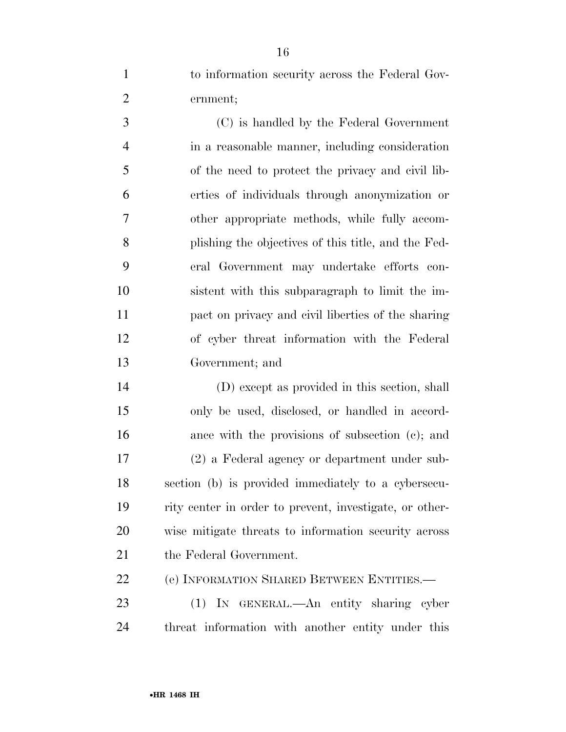to information security across the Federal Gov-ernment;

 (C) is handled by the Federal Government in a reasonable manner, including consideration of the need to protect the privacy and civil lib- erties of individuals through anonymization or other appropriate methods, while fully accom- plishing the objectives of this title, and the Fed- eral Government may undertake efforts con- sistent with this subparagraph to limit the im- pact on privacy and civil liberties of the sharing of cyber threat information with the Federal Government; and

 (D) except as provided in this section, shall only be used, disclosed, or handled in accord-16 ance with the provisions of subsection (c); and (2) a Federal agency or department under sub- section (b) is provided immediately to a cybersecu- rity center in order to prevent, investigate, or other- wise mitigate threats to information security across 21 the Federal Government.

(e) INFORMATION SHARED BETWEEN ENTITIES.—

 (1) IN GENERAL.—An entity sharing cyber threat information with another entity under this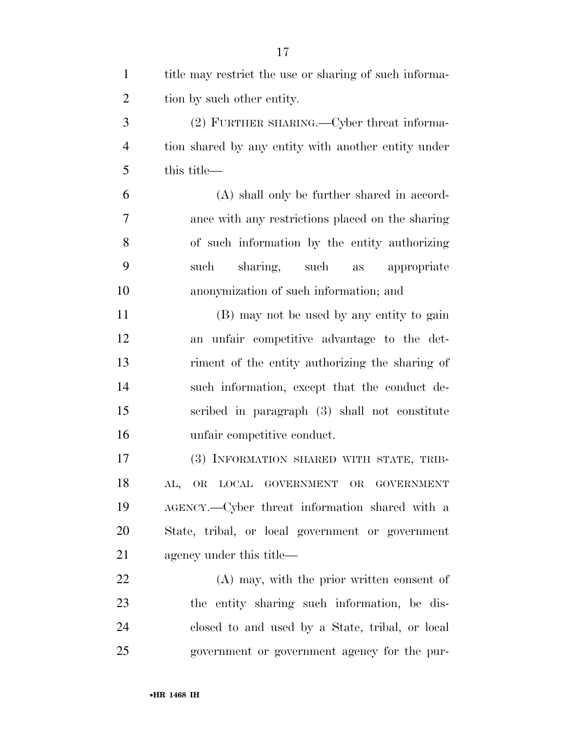| $\mathbf{1}$   | title may restrict the use or sharing of such informa- |
|----------------|--------------------------------------------------------|
| $\overline{2}$ | tion by such other entity.                             |
| 3              | (2) FURTHER SHARING.—Cyber threat informa-             |
| $\overline{4}$ | tion shared by any entity with another entity under    |
| 5              | this title—                                            |
| 6              | (A) shall only be further shared in accord-            |
| 7              | ance with any restrictions placed on the sharing       |
| 8              | of such information by the entity authorizing          |
| 9              | sharing, such<br>such<br>appropriate<br>as             |
| 10             | anonymization of such information; and                 |
| 11             | (B) may not be used by any entity to gain              |
| 12             | an unfair competitive advantage to the det-            |
| 13             | riment of the entity authorizing the sharing of        |
| 14             | such information, except that the conduct de-          |
| 15             | scribed in paragraph (3) shall not constitute          |
| 16             | unfair competitive conduct.                            |
| 17             | (3) INFORMATION SHARED WITH STATE, TRIB-               |
| 18             | AL, OR LOCAL GOVERNMENT OR GOVERNMENT                  |
| 19             | AGENCY.—Cyber threat information shared with a         |
| 20             | State, tribal, or local government or government       |
| 21             | agency under this title—                               |
| 22             | (A) may, with the prior written consent of             |
| 23             | the entity sharing such information, be dis-           |
| 24             | closed to and used by a State, tribal, or local        |
| 25             | government or government agency for the pur-           |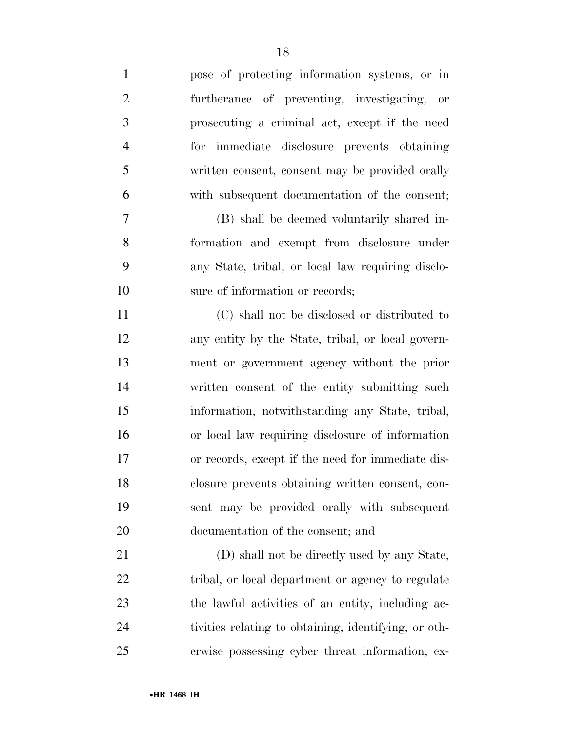| $\mathbf{1}$   | pose of protecting information systems, or in        |
|----------------|------------------------------------------------------|
| $\overline{2}$ | furtherance of preventing, investigating, or         |
| $\mathfrak{Z}$ | prosecuting a criminal act, except if the need       |
| $\overline{4}$ | for immediate disclosure prevents obtaining          |
| 5              | written consent, consent may be provided orally      |
| 6              | with subsequent documentation of the consent;        |
| 7              | (B) shall be deemed voluntarily shared in-           |
| 8              | formation and exempt from disclosure under           |
| 9              | any State, tribal, or local law requiring disclo-    |
| 10             | sure of information or records;                      |
| 11             | (C) shall not be disclosed or distributed to         |
| 12             | any entity by the State, tribal, or local govern-    |
| 13             | ment or government agency without the prior          |
| 14             | written consent of the entity submitting such        |
| 15             | information, notwithstanding any State, tribal,      |
| 16             | or local law requiring disclosure of information     |
| 17             | or records, except if the need for immediate dis-    |
| 18             | closure prevents obtaining written consent, con-     |
| 19             | sent may be provided orally with subsequent          |
| 20             | documentation of the consent; and                    |
| 21             | (D) shall not be directly used by any State,         |
| 22             | tribal, or local department or agency to regulate    |
| 23             | the lawful activities of an entity, including ac-    |
| 24             | tivities relating to obtaining, identifying, or oth- |
| 25             | erwise possessing cyber threat information, ex-      |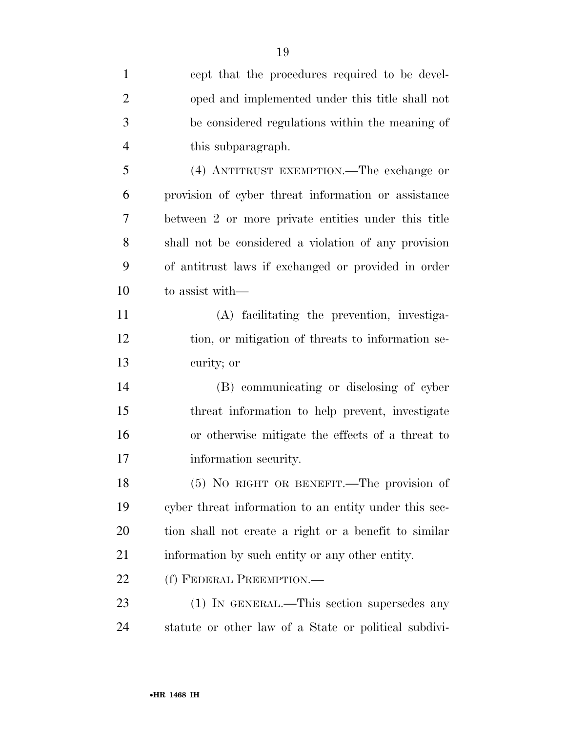| $\mathbf{1}$   | cept that the procedures required to be devel-        |
|----------------|-------------------------------------------------------|
| $\overline{2}$ | oped and implemented under this title shall not       |
| 3              | be considered regulations within the meaning of       |
| $\overline{4}$ | this subparagraph.                                    |
| 5              | (4) ANTITRUST EXEMPTION.—The exchange or              |
| 6              | provision of cyber threat information or assistance   |
| 7              | between 2 or more private entities under this title   |
| 8              | shall not be considered a violation of any provision  |
| 9              | of antitrust laws if exchanged or provided in order   |
| 10             | to assist with—                                       |
| 11             | (A) facilitating the prevention, investiga-           |
| 12             | tion, or mitigation of threats to information se-     |
| 13             | curity; or                                            |
| 14             | (B) communicating or disclosing of cyber              |
| 15             | threat information to help prevent, investigate       |
| 16             | or otherwise mitigate the effects of a threat to      |
| 17             | information security.                                 |
| 18             | (5) NO RIGHT OR BENEFIT.—The provision of             |
| 19             | cyber threat information to an entity under this sec- |
| 20             | tion shall not create a right or a benefit to similar |
| 21             | information by such entity or any other entity.       |
| 22             | (f) FEDERAL PREEMPTION.—                              |
| 23             | (1) IN GENERAL.—This section supersedes any           |
| 24             | statute or other law of a State or political subdivi- |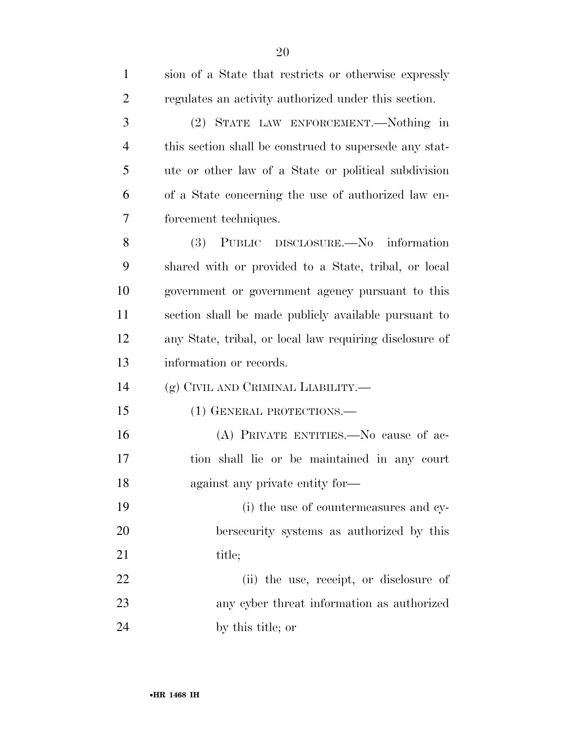| $\mathbf{1}$   | sion of a State that restricts or otherwise expressly   |
|----------------|---------------------------------------------------------|
| $\overline{2}$ | regulates an activity authorized under this section.    |
| 3              | (2) STATE LAW ENFORCEMENT.—Nothing in                   |
| $\overline{4}$ | this section shall be construed to supersede any stat-  |
| 5              | ute or other law of a State or political subdivision    |
| 6              | of a State concerning the use of authorized law en-     |
| 7              | forcement techniques.                                   |
| 8              | (3) PUBLIC DISCLOSURE.—No information                   |
| 9              | shared with or provided to a State, tribal, or local    |
| 10             | government or government agency pursuant to this        |
| 11             | section shall be made publicly available pursuant to    |
| 12             | any State, tribal, or local law requiring disclosure of |
|                |                                                         |
| 13             | information or records.                                 |
| 14             | (g) CIVIL AND CRIMINAL LIABILITY.—                      |
| 15             | (1) GENERAL PROTECTIONS.—                               |
| 16             | (A) PRIVATE ENTITIES.—No cause of ac-                   |
| 17             | tion shall lie or be maintained in any court            |
| 18             | against any private entity for—                         |
| 19             | (i) the use of countermeasures and cy-                  |
| 20             | bersecurity systems as authorized by this               |
| 21             | title;                                                  |
| 22             | (ii) the use, receipt, or disclosure of                 |
| 23             | any cyber threat information as authorized              |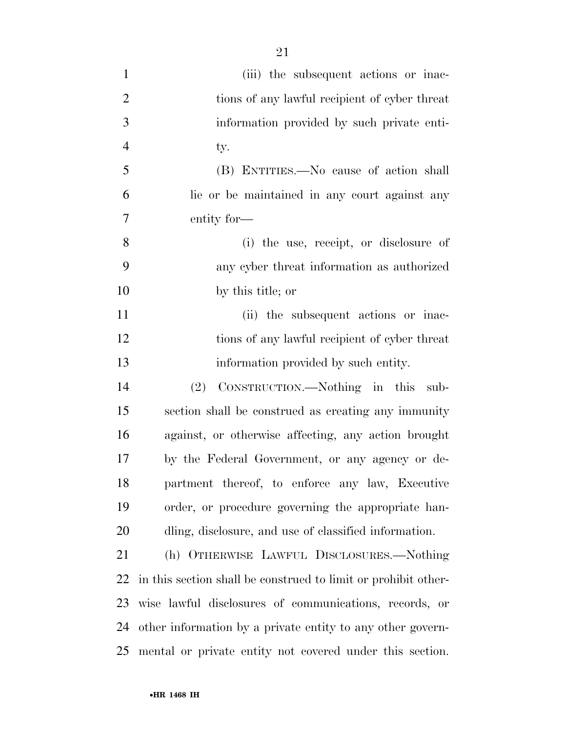| $\mathbf{1}$   | (iii) the subsequent actions or inac-                          |
|----------------|----------------------------------------------------------------|
| $\overline{2}$ | tions of any lawful recipient of cyber threat                  |
| 3              | information provided by such private enti-                     |
| $\overline{4}$ | ty.                                                            |
| 5              | (B) ENTITIES.—No cause of action shall                         |
| 6              | lie or be maintained in any court against any                  |
| 7              | entity for—                                                    |
| 8              | (i) the use, receipt, or disclosure of                         |
| 9              | any cyber threat information as authorized                     |
| 10             | by this title; or                                              |
| 11             | (ii) the subsequent actions or inac-                           |
| 12             | tions of any lawful recipient of cyber threat                  |
| 13             | information provided by such entity.                           |
| 14             | CONSTRUCTION.—Nothing in this<br>(2)<br>sub-                   |
| 15             | section shall be construed as creating any immunity            |
| 16             | against, or otherwise affecting, any action brought            |
| 17             | by the Federal Government, or any agency or de-                |
| 18             | partment thereof, to enforce any law, Executive                |
| 19             | order, or procedure governing the appropriate han-             |
| 20             | dling, disclosure, and use of classified information.          |
| 21             | (h) OTHERWISE LAWFUL DISCLOSURES.-Nothing                      |
| 22             | in this section shall be construed to limit or prohibit other- |
| 23             | wise lawful disclosures of communications, records, or         |
| 24             | other information by a private entity to any other govern-     |
|                | 25 mental or private entity not covered under this section.    |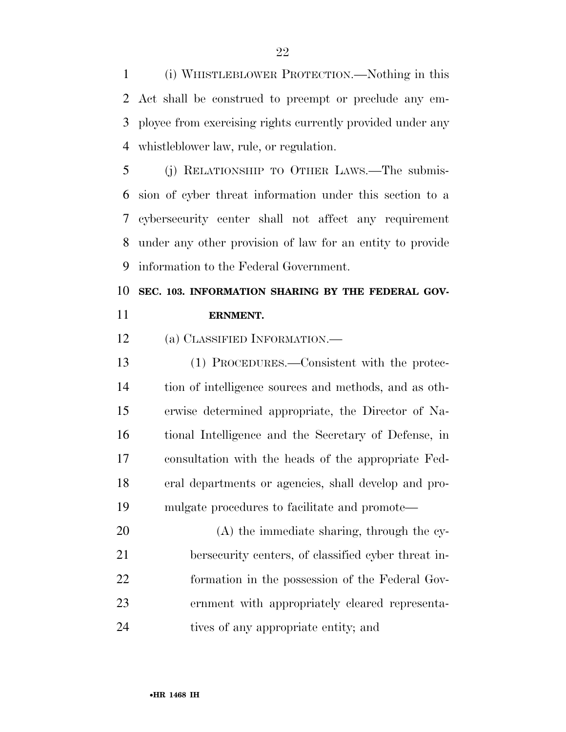(i) WHISTLEBLOWER PROTECTION.—Nothing in this Act shall be construed to preempt or preclude any em- ployee from exercising rights currently provided under any whistleblower law, rule, or regulation.

 (j) RELATIONSHIP TO OTHER LAWS.—The submis- sion of cyber threat information under this section to a cybersecurity center shall not affect any requirement under any other provision of law for an entity to provide information to the Federal Government.

## **SEC. 103. INFORMATION SHARING BY THE FEDERAL GOV-ERNMENT.**

(a) CLASSIFIED INFORMATION.—

 (1) PROCEDURES.—Consistent with the protec- tion of intelligence sources and methods, and as oth- erwise determined appropriate, the Director of Na- tional Intelligence and the Secretary of Defense, in consultation with the heads of the appropriate Fed- eral departments or agencies, shall develop and pro-mulgate procedures to facilitate and promote—

 (A) the immediate sharing, through the cy- bersecurity centers, of classified cyber threat in- formation in the possession of the Federal Gov- ernment with appropriately cleared representa-tives of any appropriate entity; and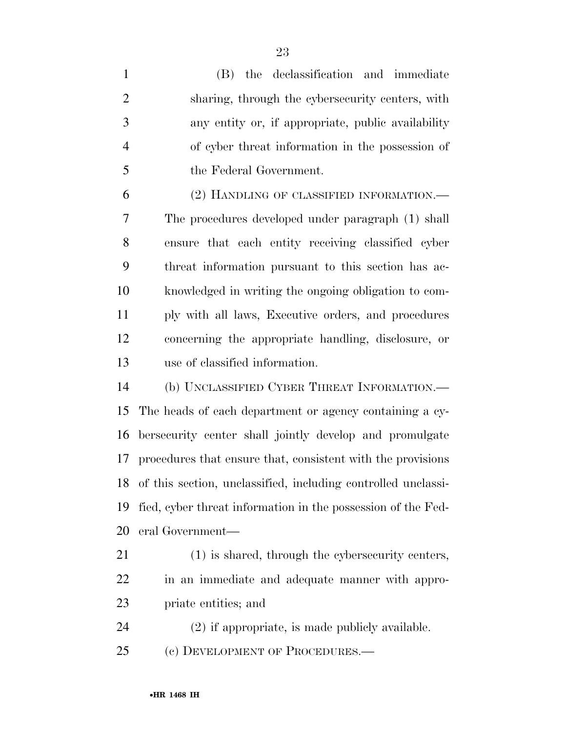(B) the declassification and immediate sharing, through the cybersecurity centers, with any entity or, if appropriate, public availability of cyber threat information in the possession of the Federal Government. (2) HANDLING OF CLASSIFIED INFORMATION.— The procedures developed under paragraph (1) shall ensure that each entity receiving classified cyber threat information pursuant to this section has ac- knowledged in writing the ongoing obligation to com- ply with all laws, Executive orders, and procedures concerning the appropriate handling, disclosure, or use of classified information. (b) UNCLASSIFIED CYBER THREAT INFORMATION.— The heads of each department or agency containing a cy- bersecurity center shall jointly develop and promulgate procedures that ensure that, consistent with the provisions of this section, unclassified, including controlled unclassi- fied, cyber threat information in the possession of the Fed- eral Government— (1) is shared, through the cybersecurity centers, in an immediate and adequate manner with appro- priate entities; and (2) if appropriate, is made publicly available.

(c) DEVELOPMENT OF PROCEDURES.—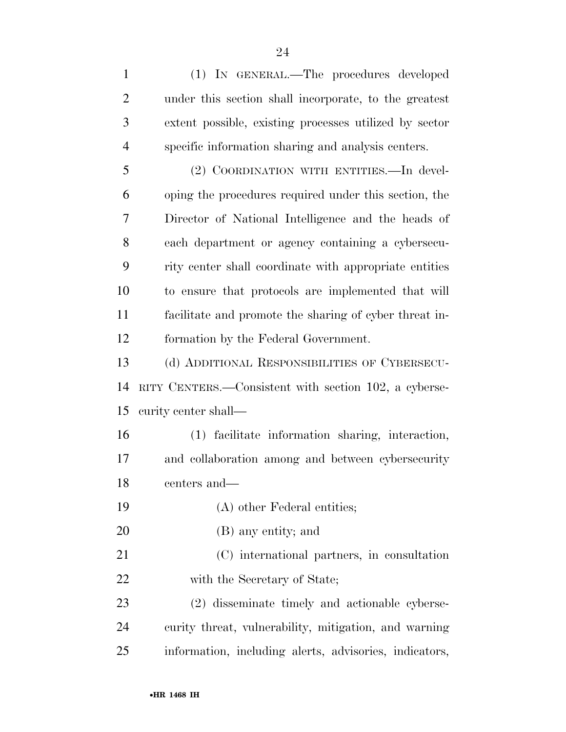under this section shall incorporate, to the greatest extent possible, existing processes utilized by sector specific information sharing and analysis centers. (2) COORDINATION WITH ENTITIES.—In devel- oping the procedures required under this section, the Director of National Intelligence and the heads of each department or agency containing a cybersecu- rity center shall coordinate with appropriate entities to ensure that protocols are implemented that will facilitate and promote the sharing of cyber threat in- formation by the Federal Government. (d) ADDITIONAL RESPONSIBILITIES OF CYBERSECU- RITY CENTERS.—Consistent with section 102, a cyberse- curity center shall— (1) facilitate information sharing, interaction, and collaboration among and between cybersecurity centers and— (A) other Federal entities; (B) any entity; and (C) international partners, in consultation 22 with the Secretary of State; (2) disseminate timely and actionable cyberse-curity threat, vulnerability, mitigation, and warning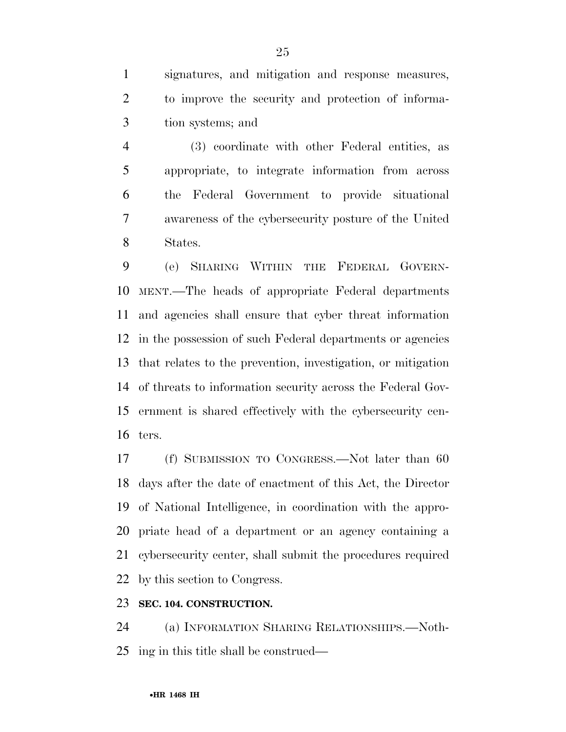signatures, and mitigation and response measures, to improve the security and protection of informa-tion systems; and

 (3) coordinate with other Federal entities, as appropriate, to integrate information from across the Federal Government to provide situational awareness of the cybersecurity posture of the United States.

 (e) SHARING WITHIN THE FEDERAL GOVERN- MENT.—The heads of appropriate Federal departments and agencies shall ensure that cyber threat information in the possession of such Federal departments or agencies that relates to the prevention, investigation, or mitigation of threats to information security across the Federal Gov- ernment is shared effectively with the cybersecurity cen-ters.

 (f) SUBMISSION TO CONGRESS.—Not later than 60 days after the date of enactment of this Act, the Director of National Intelligence, in coordination with the appro- priate head of a department or an agency containing a cybersecurity center, shall submit the procedures required by this section to Congress.

### **SEC. 104. CONSTRUCTION.**

 (a) INFORMATION SHARING RELATIONSHIPS.—Noth-ing in this title shall be construed—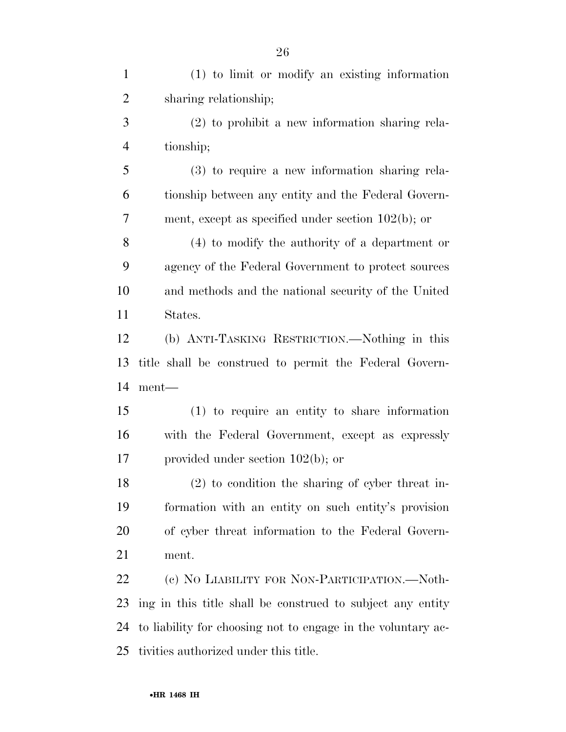| $\mathbf{1}$   | (1) to limit or modify an existing information               |
|----------------|--------------------------------------------------------------|
| $\overline{2}$ | sharing relationship;                                        |
| 3              | $(2)$ to prohibit a new information sharing rela-            |
| $\overline{4}$ | tionship;                                                    |
| 5              | $(3)$ to require a new information sharing rela-             |
| 6              | tionship between any entity and the Federal Govern-          |
| $\tau$         | ment, except as specified under section $102(b)$ ; or        |
| 8              | $(4)$ to modify the authority of a department or             |
| 9              | agency of the Federal Government to protect sources          |
| 10             | and methods and the national security of the United          |
| 11             | States.                                                      |
| 12             | (b) ANTI-TASKING RESTRICTION.—Nothing in this                |
| 13             | title shall be construed to permit the Federal Govern-       |
| 14             | ment—                                                        |
| 15             | $(1)$ to require an entity to share information              |
| 16             | with the Federal Government, except as expressly             |
| 17             | provided under section $102(b)$ ; or                         |
| 18             | $(2)$ to condition the sharing of cyber threat in-           |
| 19             | formation with an entity on such entity's provision          |
| 20             | of cyber threat information to the Federal Govern-           |
| 21             | ment.                                                        |
| 22             | (c) NO LIABILITY FOR NON-PARTICIPATION.—Noth-                |
| 23             | ing in this title shall be construed to subject any entity   |
| 24             | to liability for choosing not to engage in the voluntary ac- |
| 25             | tivities authorized under this title.                        |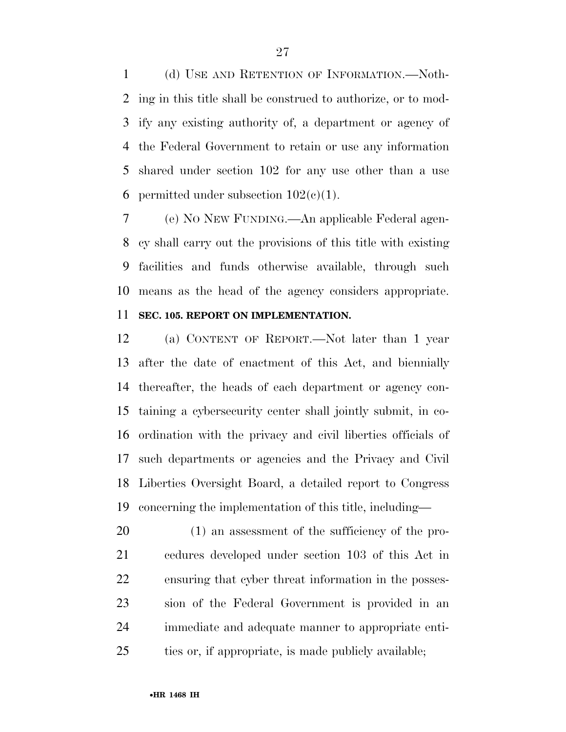(d) USE AND RETENTION OF INFORMATION.—Noth- ing in this title shall be construed to authorize, or to mod- ify any existing authority of, a department or agency of the Federal Government to retain or use any information shared under section 102 for any use other than a use 6 permitted under subsection  $102(c)(1)$ .

 (e) NO NEW FUNDING.—An applicable Federal agen- cy shall carry out the provisions of this title with existing facilities and funds otherwise available, through such means as the head of the agency considers appropriate.

### **SEC. 105. REPORT ON IMPLEMENTATION.**

 (a) CONTENT OF REPORT.—Not later than 1 year after the date of enactment of this Act, and biennially thereafter, the heads of each department or agency con- taining a cybersecurity center shall jointly submit, in co- ordination with the privacy and civil liberties officials of such departments or agencies and the Privacy and Civil Liberties Oversight Board, a detailed report to Congress concerning the implementation of this title, including—

 (1) an assessment of the sufficiency of the pro- cedures developed under section 103 of this Act in ensuring that cyber threat information in the posses- sion of the Federal Government is provided in an immediate and adequate manner to appropriate enti-ties or, if appropriate, is made publicly available;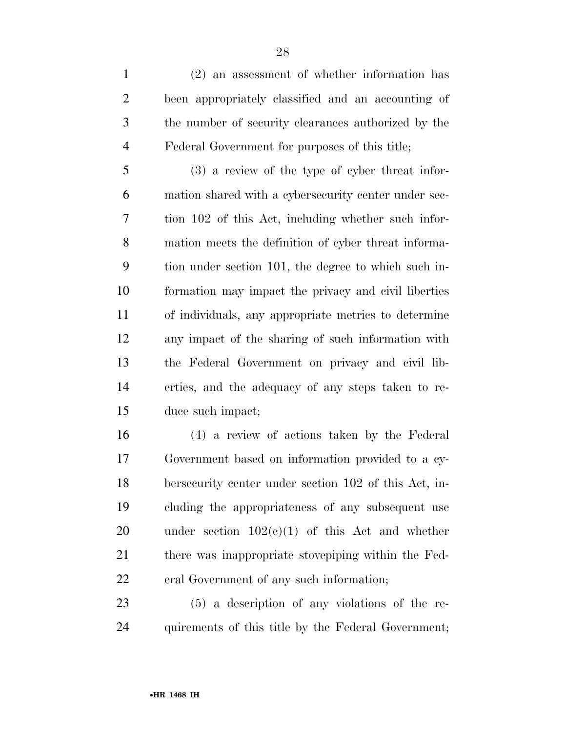(2) an assessment of whether information has been appropriately classified and an accounting of the number of security clearances authorized by the Federal Government for purposes of this title;

 (3) a review of the type of cyber threat infor- mation shared with a cybersecurity center under sec- tion 102 of this Act, including whether such infor- mation meets the definition of cyber threat informa- tion under section 101, the degree to which such in- formation may impact the privacy and civil liberties of individuals, any appropriate metrics to determine any impact of the sharing of such information with the Federal Government on privacy and civil lib- erties, and the adequacy of any steps taken to re-duce such impact;

 (4) a review of actions taken by the Federal Government based on information provided to a cy- bersecurity center under section 102 of this Act, in- cluding the appropriateness of any subsequent use 20 under section  $102(c)(1)$  of this Act and whether there was inappropriate stovepiping within the Fed-eral Government of any such information;

 (5) a description of any violations of the re-quirements of this title by the Federal Government;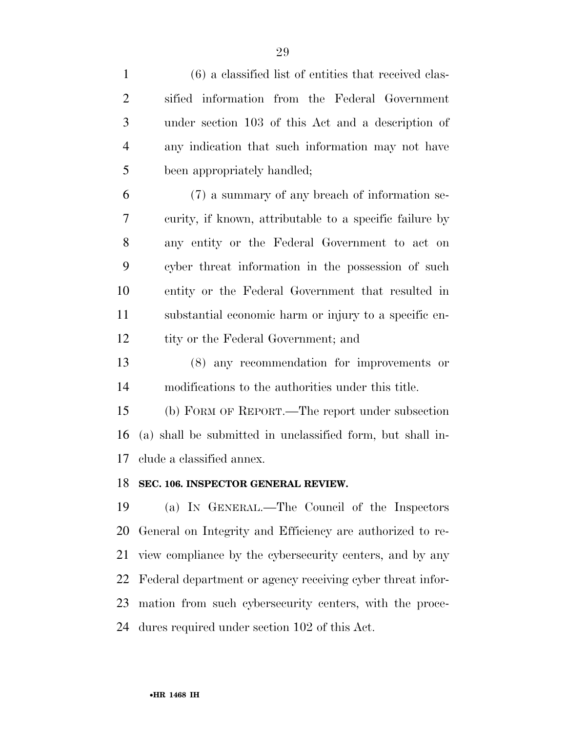| $\mathbf{1}$   | $(6)$ a classified list of entities that received clas-    |
|----------------|------------------------------------------------------------|
| $\overline{2}$ | sified information from the Federal Government             |
| 3              | under section 103 of this Act and a description of         |
| $\overline{4}$ | any indication that such information may not have          |
| 5              | been appropriately handled;                                |
| 6              | (7) a summary of any breach of information se-             |
| 7              | curity, if known, attributable to a specific failure by    |
| 8              | any entity or the Federal Government to act on             |
| 9              | cyber threat information in the possession of such         |
| 10             | entity or the Federal Government that resulted in          |
| 11             | substantial economic harm or injury to a specific en-      |
| 12             | tity or the Federal Government; and                        |
| 13             | (8) any recommendation for improvements or                 |
| 14             | modifications to the authorities under this title.         |
| 15             | (b) FORM OF REPORT.—The report under subsection            |
| 16             | (a) shall be submitted in unclassified form, but shall in- |
| 17             | clude a classified annex.                                  |
| 18             | SEC. 106. INSPECTOR GENERAL REVIEW.                        |
| 19             | (a) IN GENERAL.—The Council of the Inspectors              |
| 20             | General on Integrity and Efficiency are authorized to re-  |
| 21             | view compliance by the cybersecurity centers, and by any   |

Federal department or agency receiving cyber threat infor-

mation from such cybersecurity centers, with the proce-

dures required under section 102 of this Act.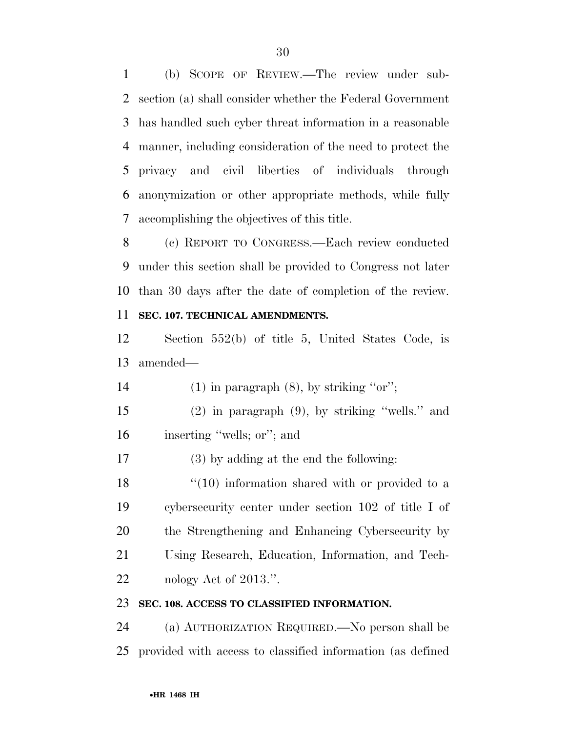(b) SCOPE OF REVIEW.—The review under sub- section (a) shall consider whether the Federal Government has handled such cyber threat information in a reasonable manner, including consideration of the need to protect the privacy and civil liberties of individuals through anonymization or other appropriate methods, while fully accomplishing the objectives of this title.

 (c) REPORT TO CONGRESS.—Each review conducted under this section shall be provided to Congress not later than 30 days after the date of completion of the review.

### **SEC. 107. TECHNICAL AMENDMENTS.**

 Section 552(b) of title 5, United States Code, is amended—

14 (1) in paragraph  $(8)$ , by striking "or";

 (2) in paragraph (9), by striking ''wells.'' and inserting ''wells; or''; and

(3) by adding at the end the following:

18 ''(10) information shared with or provided to a cybersecurity center under section 102 of title I of the Strengthening and Enhancing Cybersecurity by Using Research, Education, Information, and Tech-22 nology Act of 2013.".

### **SEC. 108. ACCESS TO CLASSIFIED INFORMATION.**

 (a) AUTHORIZATION REQUIRED.—No person shall be provided with access to classified information (as defined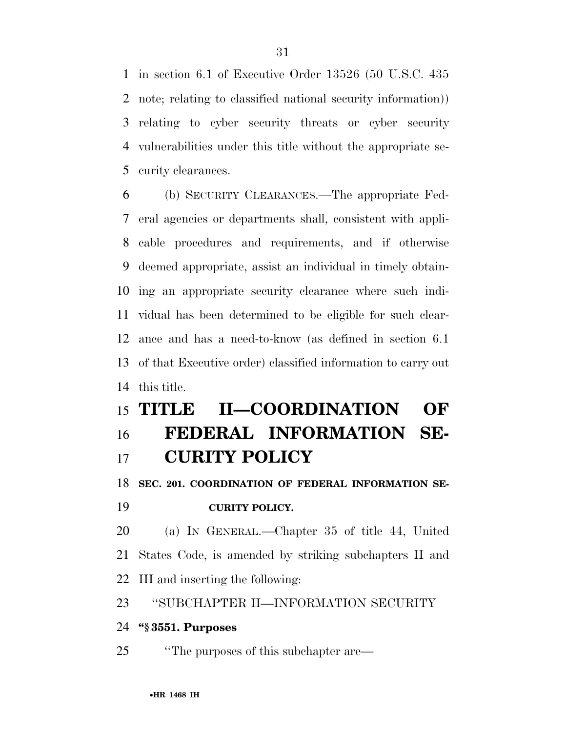in section 6.1 of Executive Order 13526 (50 U.S.C. 435 note; relating to classified national security information)) relating to cyber security threats or cyber security vulnerabilities under this title without the appropriate se-curity clearances.

 (b) SECURITY CLEARANCES.—The appropriate Fed- eral agencies or departments shall, consistent with appli- cable procedures and requirements, and if otherwise deemed appropriate, assist an individual in timely obtain- ing an appropriate security clearance where such indi- vidual has been determined to be eligible for such clear- ance and has a need-to-know (as defined in section 6.1 of that Executive order) classified information to carry out this title.

## **TITLE II—COORDINATION OF FEDERAL INFORMATION SE-**

## **CURITY POLICY**

**SEC. 201. COORDINATION OF FEDERAL INFORMATION SE-**

## **CURITY POLICY.**

 (a) IN GENERAL.—Chapter 35 of title 44, United States Code, is amended by striking subchapters II and III and inserting the following:

### ''SUBCHAPTER II—INFORMATION SECURITY

### **''§ 3551. Purposes**

''The purposes of this subchapter are—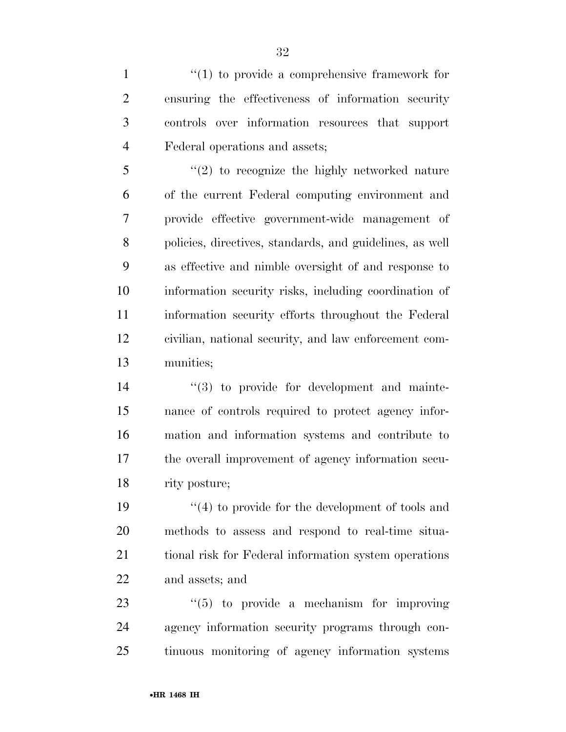$\frac{1}{1}$  to provide a comprehensive framework for ensuring the effectiveness of information security controls over information resources that support Federal operations and assets;

 ''(2) to recognize the highly networked nature of the current Federal computing environment and provide effective government-wide management of policies, directives, standards, and guidelines, as well as effective and nimble oversight of and response to information security risks, including coordination of information security efforts throughout the Federal civilian, national security, and law enforcement com-munities;

 $(3)$  to provide for development and mainte- nance of controls required to protect agency infor- mation and information systems and contribute to the overall improvement of agency information secu-rity posture;

 $\frac{1}{2}$  (4) to provide for the development of tools and methods to assess and respond to real-time situa- tional risk for Federal information system operations and assets; and

23  $\frac{1}{2}$  (5) to provide a mechanism for improving agency information security programs through con-tinuous monitoring of agency information systems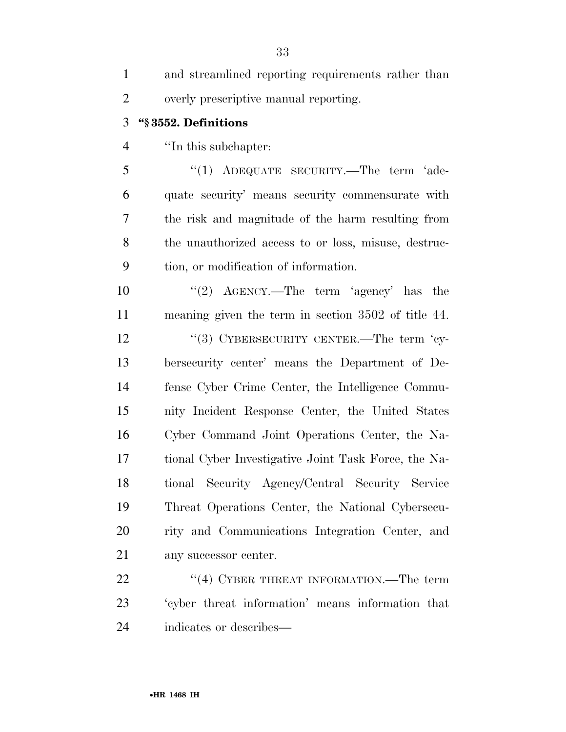| $\mathbf{1}$   | and streamlined reporting requirements rather than   |
|----------------|------------------------------------------------------|
| $\overline{2}$ | overly prescriptive manual reporting.                |
| 3              | "§3552. Definitions                                  |
| $\overline{4}$ | "In this subchapter:                                 |
| 5              | "(1) ADEQUATE SECURITY.—The term 'ade-               |
| 6              | quate security' means security commensurate with     |
| 7              | the risk and magnitude of the harm resulting from    |
| 8              | the unauthorized access to or loss, misuse, destruc- |
| 9              | tion, or modification of information.                |
| 10             | "(2) $\text{AGENCY.}$ —The term 'agency' has the     |
| 11             | meaning given the term in section 3502 of title 44.  |
| 12             | "(3) CYBERSECURITY CENTER.—The term 'cy-             |
| 13             | bersecurity center' means the Department of De-      |
| 14             | fense Cyber Crime Center, the Intelligence Commu-    |
| 15             | nity Incident Response Center, the United States     |
| 16             | Cyber Command Joint Operations Center, the Na-       |
| 17             | tional Cyber Investigative Joint Task Force, the Na- |
| 18             | tional Security Agency/Central Security Service      |
| 19             | Threat Operations Center, the National Cybersecu-    |
| 20             | rity and Communications Integration Center, and      |
| 21             | any successor center.                                |
| 22             | "(4) CYBER THREAT INFORMATION.—The term              |
| 23             | 'cyber threat information' means information that    |
| 24             | indicates or describes—                              |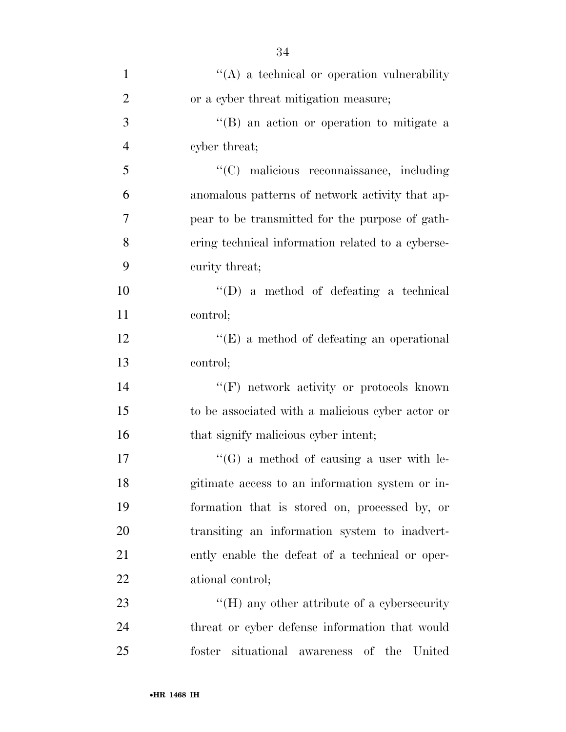| $\mathbf{1}$   | $\lq\lq$ a technical or operation vulnerability        |
|----------------|--------------------------------------------------------|
| $\overline{2}$ | or a cyber threat mitigation measure;                  |
| 3              | "(B) an action or operation to mitigate a              |
| $\overline{4}$ | cyber threat;                                          |
| 5              | "(C) malicious reconnaissance, including               |
| 6              | anomalous patterns of network activity that ap-        |
| 7              | pear to be transmitted for the purpose of gath-        |
| 8              | ering technical information related to a cyberse-      |
| 9              | curity threat;                                         |
| 10             | $\lq\lq$ (D) a method of defeating a technical         |
| 11             | control;                                               |
| 12             | "(E) a method of defeating an operational              |
| 13             | control;                                               |
| 14             | $``(F)$ network activity or protocols known            |
| 15             | to be associated with a malicious cyber actor or       |
| 16             | that signify malicious cyber intent;                   |
| 17             | $\lq\lq(G)$ a method of causing a user with le-        |
| 18             | gitimate access to an information system or in-        |
| 19             | formation that is stored on, processed by, or          |
| 20             | transiting an information system to inadvert-          |
| 21             | ently enable the defeat of a technical or oper-        |
| 22             | ational control;                                       |
| 23             | $\rm{``(H)}$ any other attribute of a cybersecurity    |
| 24             | threat or cyber defense information that would         |
| 25             | situational awareness<br>foster<br>of<br>the<br>United |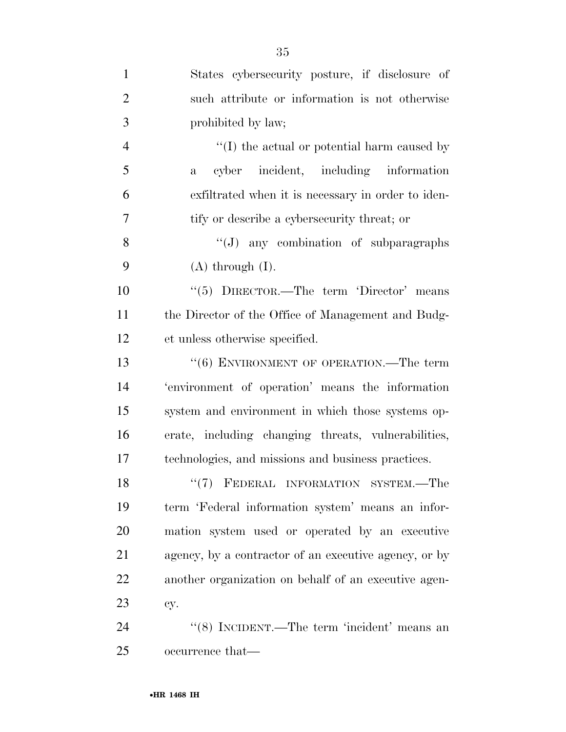| $\mathbf{1}$   | States cybersecurity posture, if disclosure of        |
|----------------|-------------------------------------------------------|
| $\overline{2}$ | such attribute or information is not otherwise        |
| 3              | prohibited by law;                                    |
| $\overline{4}$ | $\lq\lq$ the actual or potential harm caused by       |
| 5              | cyber incident, including information<br>a            |
| 6              | exfiltrated when it is necessary in order to iden-    |
| 7              | tify or describe a cybersecurity threat; or           |
| 8              | $\lq\lq(J)$ any combination of subparagraphs          |
| 9              | $(A)$ through $(I)$ .                                 |
| 10             | "(5) DIRECTOR.—The term 'Director' means              |
| 11             | the Director of the Office of Management and Budg-    |
| 12             | et unless otherwise specified.                        |
| 13             | $``(6)$ ENVIRONMENT OF OPERATION.—The term            |
| 14             | 'environment of operation' means the information      |
| 15             | system and environment in which those systems op-     |
| 16             | erate, including changing threats, vulnerabilities,   |
| 17             | technologies, and missions and business practices.    |
| 18             | "(7) FEDERAL INFORMATION SYSTEM.—The                  |
| 19             | term 'Federal information system' means an infor-     |
| 20             | mation system used or operated by an executive        |
| 21             | agency, by a contractor of an executive agency, or by |
| 22             | another organization on behalf of an executive agen-  |
| 23             | cy.                                                   |
| 24             | "(8) INCIDENT.—The term 'incident' means an           |
| 25             | occurrence that—                                      |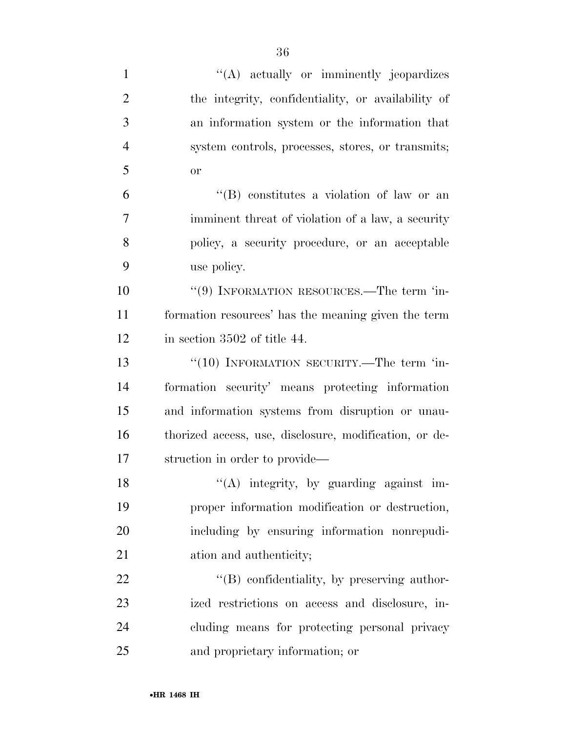| $\mathbf{1}$   | "(A) actually or imminently jeopardizes                |
|----------------|--------------------------------------------------------|
| $\overline{2}$ | the integrity, confidentiality, or availability of     |
| 3              | an information system or the information that          |
| $\overline{4}$ | system controls, processes, stores, or transmits;      |
| 5              | or                                                     |
| 6              | "(B) constitutes a violation of law or an              |
| 7              | imminent threat of violation of a law, a security      |
| 8              | policy, a security procedure, or an acceptable         |
| 9              | use policy.                                            |
| 10             | "(9) INFORMATION RESOURCES.—The term 'in-              |
| 11             | formation resources' has the meaning given the term    |
| 12             | in section 3502 of title 44.                           |
| 13             | "(10) INFORMATION SECURITY.—The term 'in-              |
| 14             | formation security' means protecting information       |
| 15             | and information systems from disruption or unau-       |
| 16             | thorized access, use, disclosure, modification, or de- |
| 17             | struction in order to provide—                         |
| 18             | $\lq\lq$ integrity, by guarding against im-            |
| 19             | proper information modification or destruction,        |
| 20             | including by ensuring information nonrepudi-           |
| 21             | ation and authenticity;                                |
| 22             | $\lq\lq (B)$ confidentiality, by preserving author-    |
| 23             | ized restrictions on access and disclosure, in-        |
| 24             | cluding means for protecting personal privacy          |
| 25             | and proprietary information; or                        |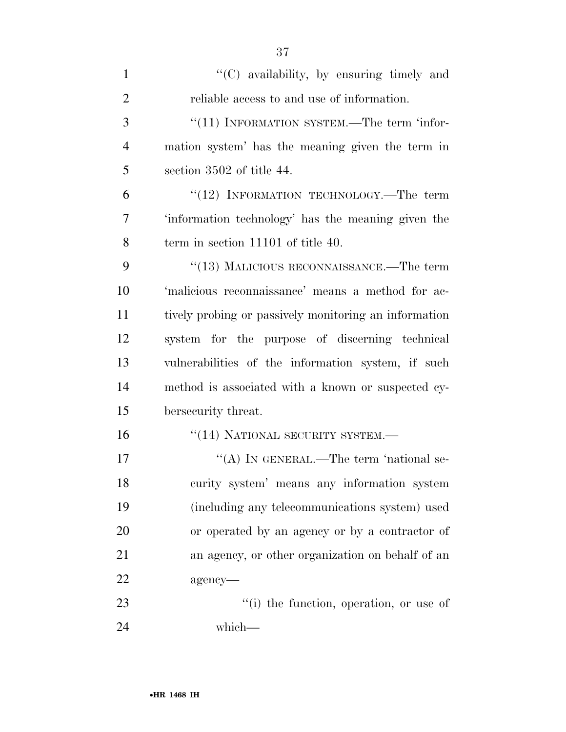| $\mathbf{1}$   | "(C) availability, by ensuring timely and             |
|----------------|-------------------------------------------------------|
| $\overline{2}$ | reliable access to and use of information.            |
| 3              | "(11) INFORMATION SYSTEM.—The term 'infor-            |
| 4              | mation system' has the meaning given the term in      |
| 5              | section 3502 of title 44.                             |
| 6              | $\cdot$ (12) INFORMATION TECHNOLOGY.—The term         |
| 7              | 'information technology' has the meaning given the    |
| 8              | term in section 11101 of title 40.                    |
| 9              | $``(13)$ MALICIOUS RECONNAISSANCE.—The term           |
| 10             | 'malicious reconnaissance' means a method for ac-     |
| 11             | tively probing or passively monitoring an information |
| 12             | system for the purpose of discerning technical        |
| 13             | vulnerabilities of the information system, if such    |
| 14             | method is associated with a known or suspected cy-    |
| 15             | bersecurity threat.                                   |
| 16             | "(14) NATIONAL SECURITY SYSTEM.-                      |
| 17             | "(A) IN GENERAL.—The term 'national se-               |
| 18             | curity system' means any information system           |
| 19             | (including any telecommunications system) used        |
| 20             | or operated by an agency or by a contractor of        |
| 21             | an agency, or other organization on behalf of an      |
| 22             | agency-                                               |
| 23             | "(i) the function, operation, or use of               |
| 24             | which—                                                |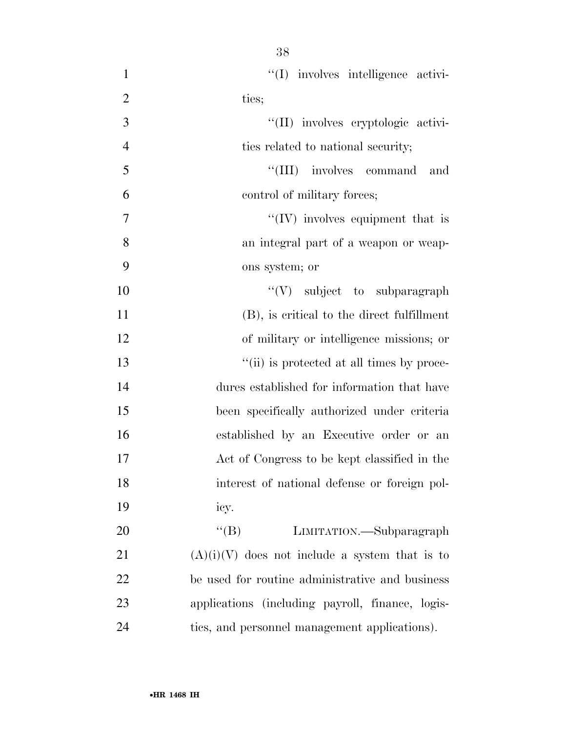| $\mathbf{1}$   | "(I) involves intelligence activi-               |
|----------------|--------------------------------------------------|
| $\overline{2}$ | ties;                                            |
| 3              | "(II) involves cryptologic activi-               |
| $\overline{4}$ | ties related to national security;               |
| 5              | "(III) involves command and                      |
| 6              | control of military forces;                      |
| $\overline{7}$ | $\lq\lq (IV)$ involves equipment that is         |
| 8              | an integral part of a weapon or weap-            |
| 9              | ons system; or                                   |
| 10             | "(V) subject to subparagraph                     |
| 11             | (B), is critical to the direct fulfillment       |
| 12             | of military or intelligence missions; or         |
| 13             | "(ii) is protected at all times by proce-        |
| 14             | dures established for information that have      |
| 15             | been specifically authorized under criteria      |
| 16             | established by an Executive order or an          |
| 17             | Act of Congress to be kept classified in the     |
| 18             | interest of national defense or foreign pol-     |
| 19             | icy.                                             |
| 20             | $\lq\lq (B)$<br>LIMITATION.—Subparagraph         |
| 21             | $(A)(i)(V)$ does not include a system that is to |
| 22             | be used for routine administrative and business  |
| 23             | applications (including payroll, finance, logis- |
| 24             | tics, and personnel management applications).    |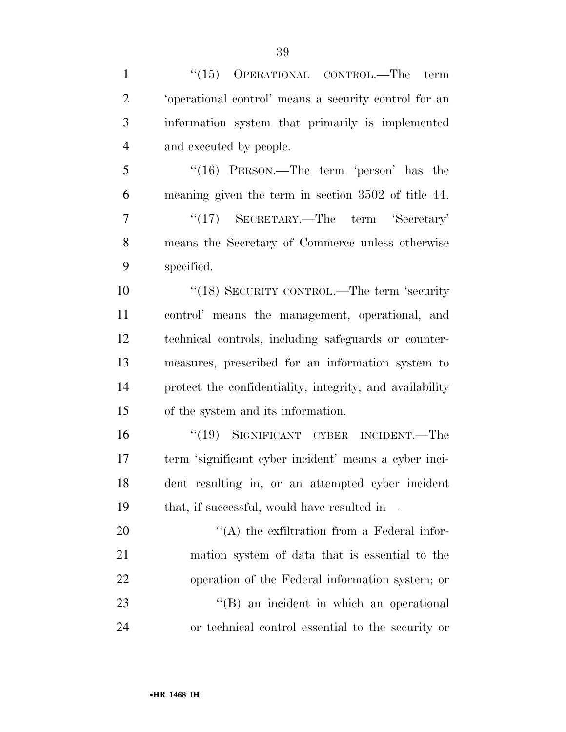| $\mathbf{1}$   | $(15)$ OPERATIONAL CONTROL.—The term                     |
|----------------|----------------------------------------------------------|
| $\overline{2}$ | 'operational control' means a security control for an    |
| 3              | information system that primarily is implemented         |
| $\overline{4}$ | and executed by people.                                  |
| 5              | " $(16)$ PERSON.—The term 'person' has the               |
| 6              | meaning given the term in section 3502 of title 44.      |
| $\tau$         | " $(17)$ SECRETARY.—The term 'Secretary'                 |
| 8              | means the Secretary of Commerce unless otherwise         |
| 9              | specified.                                               |
| 10             | "(18) SECURITY CONTROL.—The term 'security               |
| 11             | control' means the management, operational, and          |
| 12             | technical controls, including safeguards or counter-     |
| 13             | measures, prescribed for an information system to        |
| 14             | protect the confidentiality, integrity, and availability |
| 15             | of the system and its information.                       |
| 16             | "(19) SIGNIFICANT CYBER INCIDENT.—The                    |
| 17             | term 'significant cyber incident' means a cyber inci-    |
| 18             | dent resulting in, or an attempted cyber incident        |
| 19             | that, if successful, would have resulted in—             |
| <b>20</b>      | $\lq\lq$ the exfiltration from a Federal infor-          |
| 21             | mation system of data that is essential to the           |
| 22             | operation of the Federal information system; or          |
| 23             | $\lq\lq (B)$ an incident in which an operational         |
| 24             | or technical control essential to the security or        |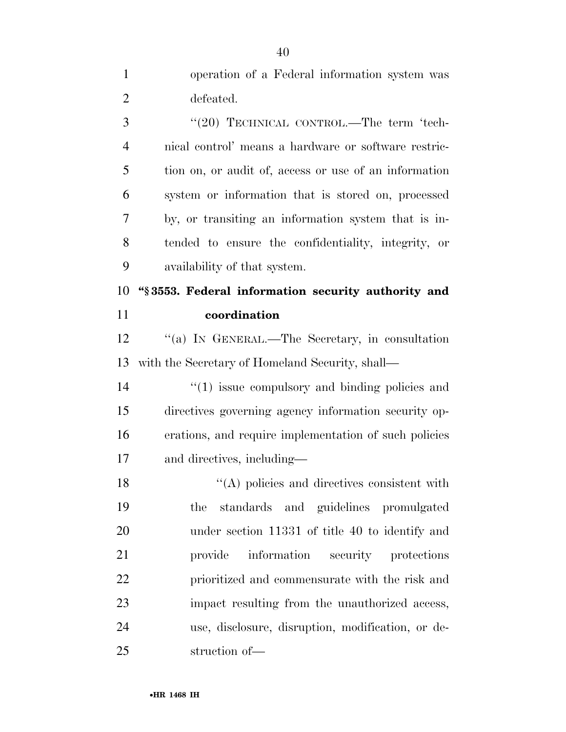| $\mathbf{1}$   | operation of a Federal information system was            |
|----------------|----------------------------------------------------------|
| $\overline{2}$ | defeated.                                                |
| 3              | "(20) TECHNICAL CONTROL.—The term 'tech-                 |
| $\overline{4}$ | nical control' means a hardware or software restric-     |
| 5              | tion on, or audit of, access or use of an information    |
| 6              | system or information that is stored on, processed       |
| 7              | by, or transiting an information system that is in-      |
| 8              | tended to ensure the confidentiality, integrity, or      |
| 9              | availability of that system.                             |
| 10             | "§3553. Federal information security authority and       |
| 11             | coordination                                             |
| 12             | "(a) IN GENERAL.—The Secretary, in consultation          |
| 13             | with the Secretary of Homeland Security, shall—          |
| 14             | $\cdot$ (1) issue compulsory and binding policies and    |
| 15             | directives governing agency information security op-     |
| 16             | erations, and require implementation of such policies    |
| 17             | and directives, including—                               |
| 18             | $\mathcal{L}(A)$ policies and directives consistent with |
| 19             | standards and guidelines promulgated<br>the              |
| 20             | under section 11331 of title 40 to identify and          |
| 21             | information security protections<br>provide              |
| 22             | prioritized and commensurate with the risk and           |
| 23             | impact resulting from the unauthorized access,           |
| 24             | use, disclosure, disruption, modification, or de-        |
| 25             | struction of-                                            |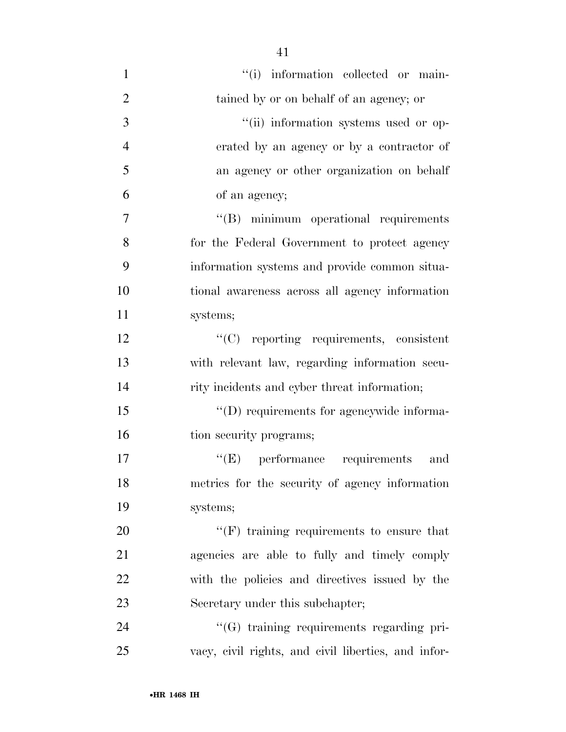| $\mathbf{1}$   | "(i) information collected or main-                 |
|----------------|-----------------------------------------------------|
| $\overline{2}$ | tained by or on behalf of an agency; or             |
| 3              | "(ii) information systems used or op-               |
| $\overline{4}$ | erated by an agency or by a contractor of           |
| 5              | an agency or other organization on behalf           |
| 6              | of an agency;                                       |
| 7              | "(B) minimum operational requirements               |
| 8              | for the Federal Government to protect agency        |
| 9              | information systems and provide common situa-       |
| 10             | tional awareness across all agency information      |
| 11             | systems;                                            |
| 12             | $\lq\lq$ reporting requirements, consistent         |
| 13             | with relevant law, regarding information secu-      |
| 14             | rity incidents and cyber threat information;        |
| 15             | "(D) requirements for agencywide informa-           |
| 16             | tion security programs;                             |
| 17             | $\lq\lq(E)$ performance requirements<br>and         |
| 18             | metrics for the security of agency information      |
| 19             | systems;                                            |
| 20             | $\lq\lq(F)$ training requirements to ensure that    |
| 21             | agencies are able to fully and timely comply        |
| 22             | with the policies and directives issued by the      |
| 23             | Secretary under this subchapter;                    |
| 24             | "(G) training requirements regarding pri-           |
| 25             | vacy, civil rights, and civil liberties, and infor- |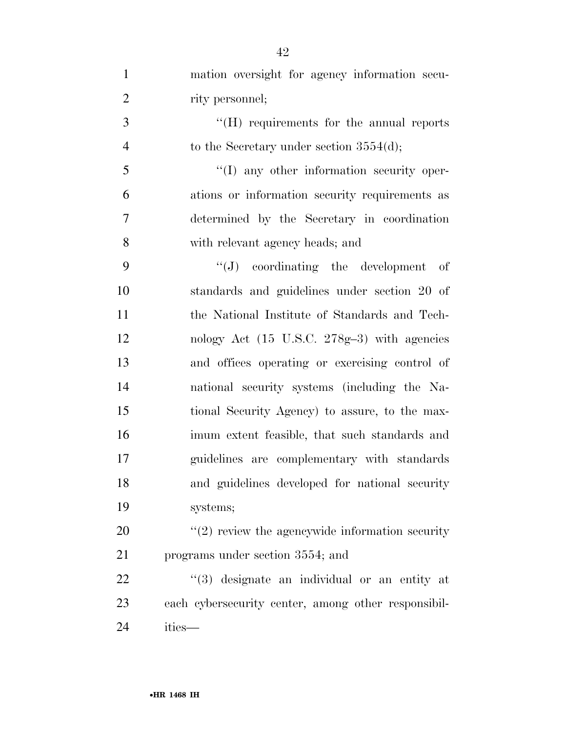mation oversight for agency information secu-2 rity personnel; 3 ''(H) requirements for the annual reports 4 to the Secretary under section 3554(d); ''(I) any other information security oper- ations or information security requirements as determined by the Secretary in coordination with relevant agency heads; and ''(J) coordinating the development of standards and guidelines under section 20 of the National Institute of Standards and Tech- nology Act (15 U.S.C. 278g–3) with agencies and offices operating or exercising control of national security systems (including the Na- tional Security Agency) to assure, to the max- imum extent feasible, that such standards and guidelines are complementary with standards and guidelines developed for national security systems; ''(2) review the agencywide information security programs under section 3554; and  $\frac{1}{2}$  (3) designate an individual or an entity at

 each cybersecurity center, among other responsibil-ities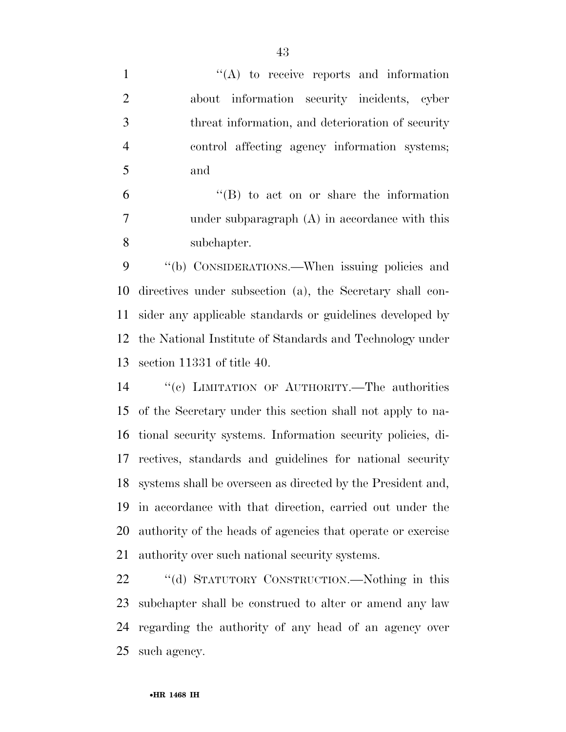''(A) to receive reports and information about information security incidents, cyber threat information, and deterioration of security control affecting agency information systems; and

 ''(B) to act on or share the information under subparagraph (A) in accordance with this subchapter.

9 "(b) CONSIDERATIONS.—When issuing policies and directives under subsection (a), the Secretary shall con- sider any applicable standards or guidelines developed by the National Institute of Standards and Technology under section 11331 of title 40.

 ''(c) LIMITATION OF AUTHORITY.—The authorities of the Secretary under this section shall not apply to na- tional security systems. Information security policies, di- rectives, standards and guidelines for national security systems shall be overseen as directed by the President and, in accordance with that direction, carried out under the authority of the heads of agencies that operate or exercise authority over such national security systems.

 ''(d) STATUTORY CONSTRUCTION.—Nothing in this subchapter shall be construed to alter or amend any law regarding the authority of any head of an agency over such agency.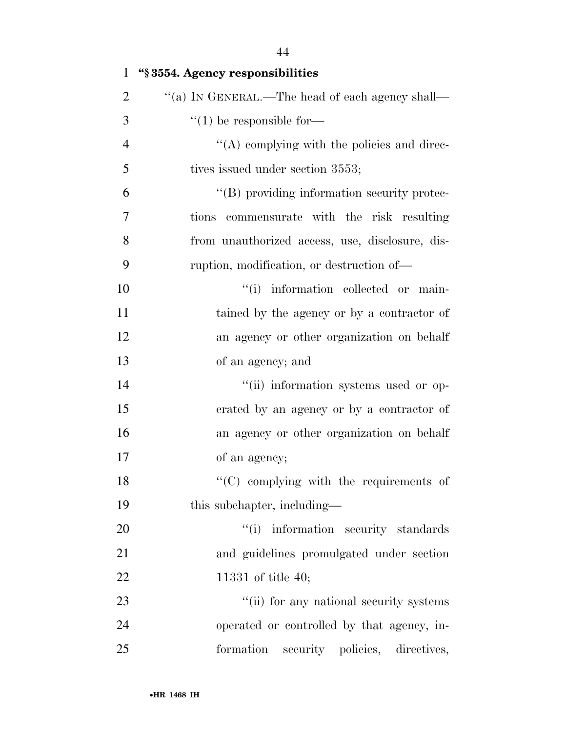| $\mathbf{1}$   | "§3554. Agency responsibilities                 |
|----------------|-------------------------------------------------|
| $\overline{2}$ | "(a) IN GENERAL.—The head of each agency shall— |
| 3              | $\lq(1)$ be responsible for-                    |
| $\overline{4}$ | "(A) complying with the policies and direc-     |
| 5              | tives issued under section 3553;                |
| 6              | "(B) providing information security protec-     |
| 7              | tions commensurate with the risk resulting      |
| 8              | from unauthorized access, use, disclosure, dis- |
| 9              | ruption, modification, or destruction of—       |
| 10             | "(i) information collected or main-             |
| 11             | tained by the agency or by a contractor of      |
| 12             | an agency or other organization on behalf       |
| 13             | of an agency; and                               |
| 14             | "(ii) information systems used or op-           |
| 15             | erated by an agency or by a contractor of       |
| 16             | an agency or other organization on behalf       |
| 17             | of an agency;                                   |
| 18             | $\cdot$ (C) complying with the requirements of  |
| 19             | this subchapter, including—                     |
| 20             | "(i) information security standards             |
| 21             | and guidelines promulgated under section        |
| 22             | 11331 of title 40;                              |
| 23             | "(ii) for any national security systems         |
| 24             | operated or controlled by that agency, in-      |
| 25             | formation security policies, directives,        |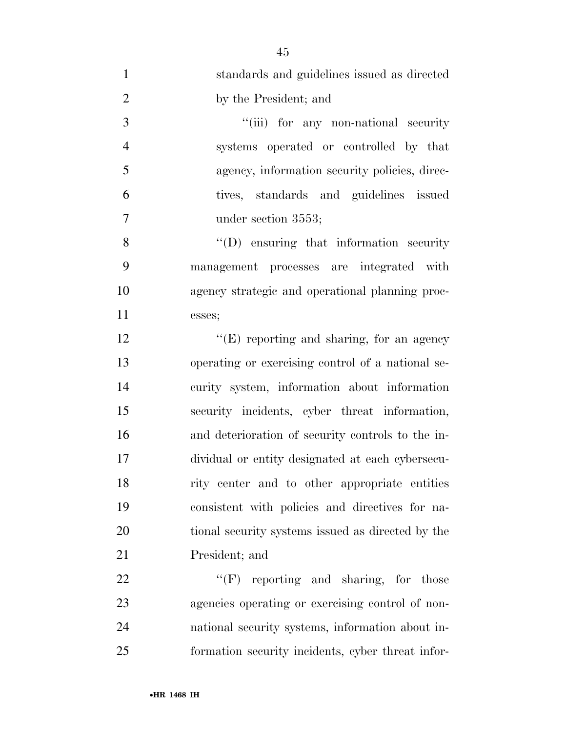| $\mathbf{1}$   | standards and guidelines issued as directed       |
|----------------|---------------------------------------------------|
| $\overline{2}$ | by the President; and                             |
| 3              | "(iii) for any non-national security              |
| $\overline{4}$ | systems operated or controlled by that            |
| 5              | agency, information security policies, direc-     |
| 6              | tives, standards and guidelines issued            |
| $\tau$         | under section 3553;                               |
| 8              | $\lq\lq$ ensuring that information security       |
| 9              | management processes are integrated with          |
| 10             | agency strategic and operational planning proc-   |
| 11             | esses;                                            |
| 12             | $\lq\lq$ (E) reporting and sharing, for an agency |
| 13             | operating or exercising control of a national se- |
| 14             | curity system, information about information      |
| 15             | security incidents, cyber threat information,     |
| 16             | and deterioration of security controls to the in- |
| 17             | dividual or entity designated at each cybersecu-  |
| 18             | rity center and to other appropriate entities     |
| 19             | consistent with policies and directives for na-   |
| 20             | tional security systems issued as directed by the |
| 21             | President; and                                    |
| 22             | $``(F)$ reporting and sharing, for those          |
| 23             | agencies operating or exercising control of non-  |
| 24             | national security systems, information about in-  |
| 25             | formation security incidents, cyber threat infor- |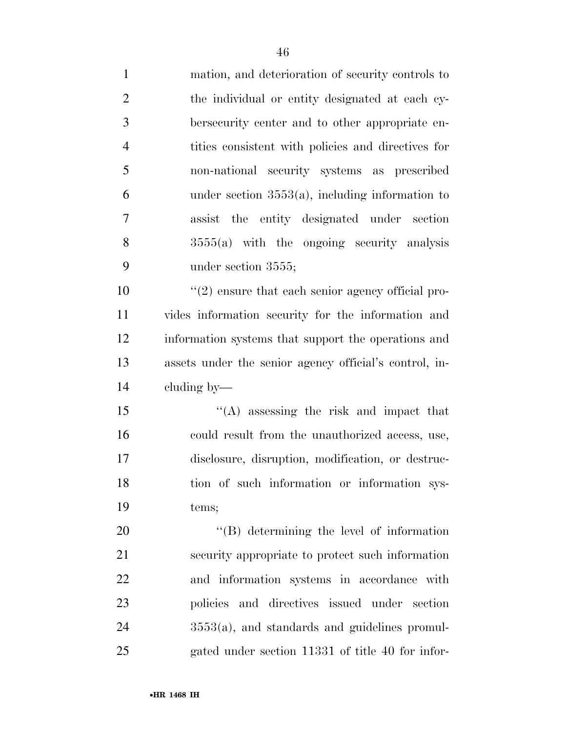| $\mathbf{1}$   | mation, and deterioration of security controls to      |
|----------------|--------------------------------------------------------|
| $\overline{2}$ | the individual or entity designated at each cy-        |
| 3              | bersecurity center and to other appropriate en-        |
| $\overline{4}$ | tities consistent with policies and directives for     |
| 5              | non-national security systems as prescribed            |
| 6              | under section $3553(a)$ , including information to     |
| 7              | assist the entity designated under section             |
| 8              | $3555(a)$ with the ongoing security analysis           |
| 9              | under section 3555;                                    |
| 10             | $\lq(2)$ ensure that each senior agency official pro-  |
| 11             | vides information security for the information and     |
| 12             | information systems that support the operations and    |
| 13             | assets under the senior agency official's control, in- |
| 14             | cluding by—                                            |
| 15             | $\lq\lq$ assessing the risk and impact that            |
| 16             | could result from the unauthorized access, use,        |
| 17             | disclosure, disruption, modification, or destruc-      |
| 18             | tion of such information or information sys-           |
| 19             | tems;                                                  |
| 20             | $\lq\lq (B)$ determining the level of information      |
| 21             | security appropriate to protect such information       |
| 22             | and information systems in accordance with             |
| 23             | policies and directives issued under section           |
| 24             | $3553(a)$ , and standards and guidelines promul-       |

gated under section 11331 of title 40 for infor-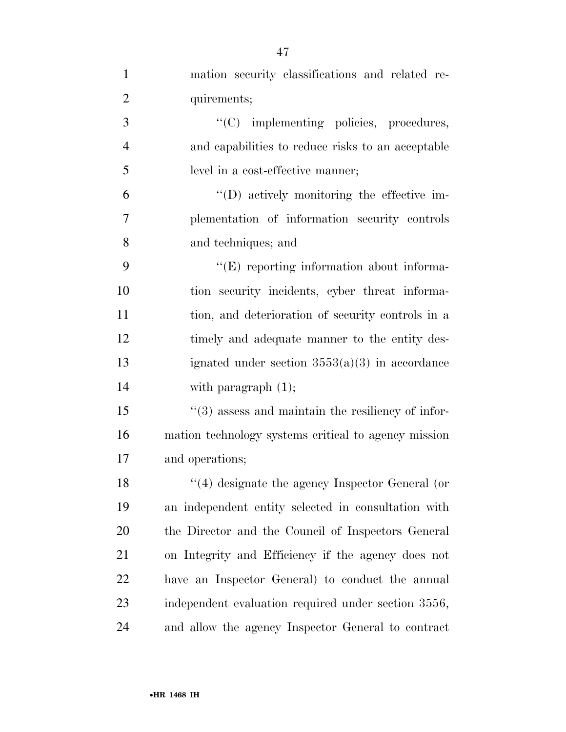| $\mathbf{1}$   | mation security classifications and related re-               |
|----------------|---------------------------------------------------------------|
| $\overline{2}$ | quirements;                                                   |
| 3              | "(C) implementing policies, procedures,                       |
| $\overline{4}$ | and capabilities to reduce risks to an acceptable             |
| 5              | level in a cost-effective manner;                             |
| 6              | $\lq\lq$ . (D) actively monitoring the effective im-          |
| 7              | plementation of information security controls                 |
| 8              | and techniques; and                                           |
| 9              | $\lq\lq(E)$ reporting information about informa-              |
| 10             | tion security incidents, cyber threat informa-                |
| 11             | tion, and deterioration of security controls in a             |
| 12             | timely and adequate manner to the entity des-                 |
| 13             | ignated under section $3553(a)(3)$ in accordance              |
| 14             | with paragraph $(1)$ ;                                        |
| 15             | $\cdot\cdot$ (3) assess and maintain the resiliency of infor- |
| 16             | mation technology systems critical to agency mission          |
| 17             | and operations;                                               |
| 18             | $"$ (4) designate the agency Inspector General (or            |
| 19             | an independent entity selected in consultation with           |
| 20             | the Director and the Council of Inspectors General            |
| 21             | on Integrity and Efficiency if the agency does not            |
| 22             | have an Inspector General) to conduct the annual              |
| 23             | independent evaluation required under section 3556,           |
| 24             | and allow the agency Inspector General to contract            |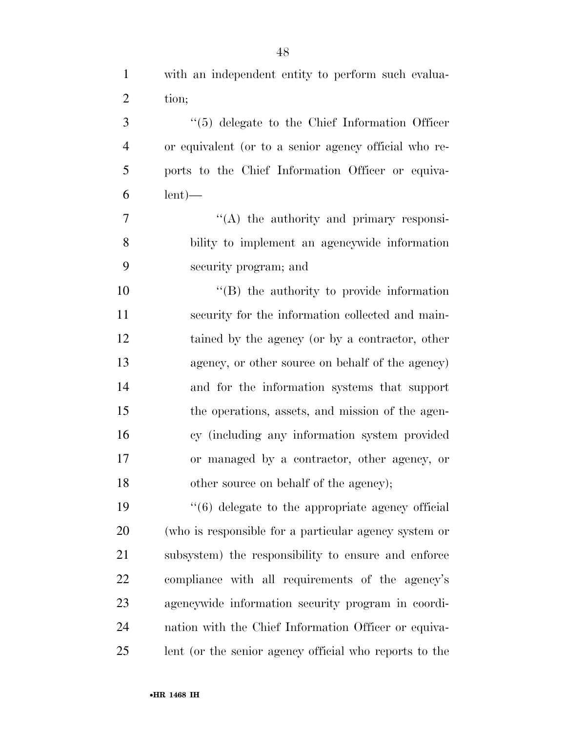with an independent entity to perform such evalua-

tion;

| 3              | $\lq(5)$ delegate to the Chief Information Officer                |
|----------------|-------------------------------------------------------------------|
| $\overline{4}$ | or equivalent (or to a senior agency official who re-             |
| 5              | ports to the Chief Information Officer or equiva-                 |
| 6              | $lent$ —                                                          |
| 7              | $\lq\lq$ the authority and primary responsi-                      |
| 8              | bility to implement an agencywide information                     |
| 9              | security program; and                                             |
| 10             | $\lq\lq (B)$ the authority to provide information                 |
| 11             | security for the information collected and main-                  |
| 12             | tained by the agency (or by a contractor, other                   |
| 13             | agency, or other source on behalf of the agency)                  |
| 14             | and for the information systems that support                      |
| 15             | the operations, assets, and mission of the agen-                  |
| 16             | cy (including any information system provided                     |
| 17             | or managed by a contractor, other agency, or                      |
| 18             | other source on behalf of the agency);                            |
| 19             | $\cdot\cdot\cdot$ (6) delegate to the appropriate agency official |
| 20             | (who is responsible for a particular agency system or             |
| 21             | subsystem) the responsibility to ensure and enforce               |
| 22             | compliance with all requirements of the agency's                  |
| 23             | agencywide information security program in coordi-                |

lent (or the senior agency official who reports to the

nation with the Chief Information Officer or equiva-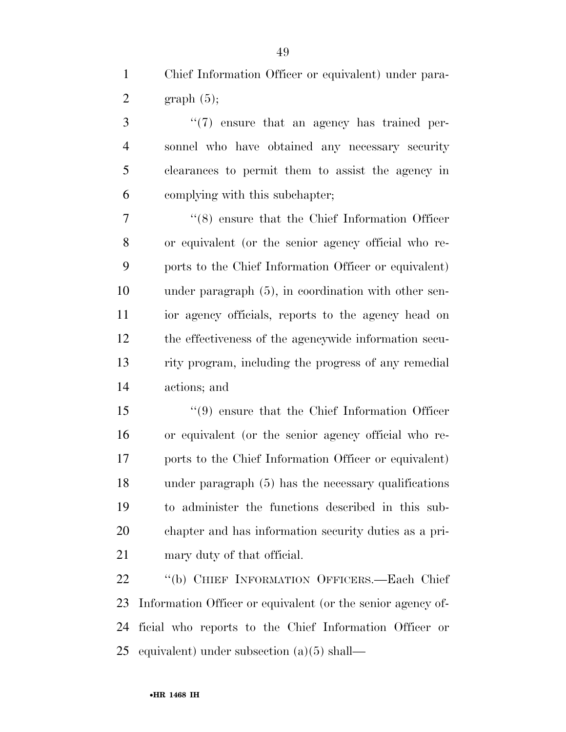Chief Information Officer or equivalent) under para-2 graph  $(5)$ ;

 ''(7) ensure that an agency has trained per- sonnel who have obtained any necessary security clearances to permit them to assist the agency in complying with this subchapter;

 ''(8) ensure that the Chief Information Officer or equivalent (or the senior agency official who re- ports to the Chief Information Officer or equivalent) under paragraph (5), in coordination with other sen- ior agency officials, reports to the agency head on the effectiveness of the agencywide information secu- rity program, including the progress of any remedial actions; and

 ''(9) ensure that the Chief Information Officer or equivalent (or the senior agency official who re- ports to the Chief Information Officer or equivalent) under paragraph (5) has the necessary qualifications to administer the functions described in this sub- chapter and has information security duties as a pri-mary duty of that official.

 ''(b) CHIEF INFORMATION OFFICERS.—Each Chief Information Officer or equivalent (or the senior agency of- ficial who reports to the Chief Information Officer or equivalent) under subsection (a)(5) shall—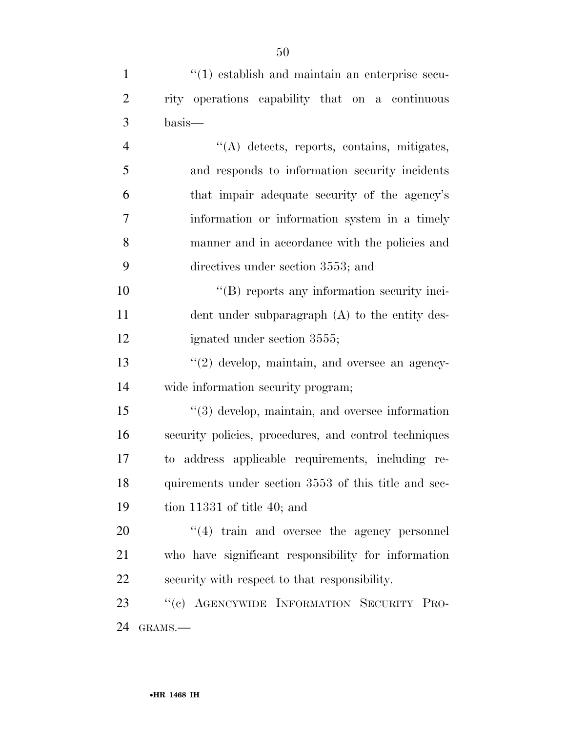| $\mathbf{1}$   | $\cdot$ (1) establish and maintain an enterprise secu- |
|----------------|--------------------------------------------------------|
| $\overline{2}$ | rity operations capability that on a continuous        |
| 3              | basis—                                                 |
| $\overline{4}$ | "(A) detects, reports, contains, mitigates,            |
| 5              | and responds to information security incidents         |
| 6              | that impair adequate security of the agency's          |
| 7              | information or information system in a timely          |
| 8              | manner and in accordance with the policies and         |
| 9              | directives under section 3553; and                     |
| 10             | "(B) reports any information security inci-            |
| 11             | dent under subparagraph (A) to the entity des-         |
| 12             | ignated under section 3555;                            |
| 13             | $\lq(2)$ develop, maintain, and oversee an agency-     |
| 14             | wide information security program;                     |
| 15             | $\lq(3)$ develop, maintain, and oversee information    |
| 16             | security policies, procedures, and control techniques  |
| 17             | to address applicable requirements, including re-      |
| 18             | quirements under section 3553 of this title and sec-   |
| 19             | tion 11331 of title 40; and                            |
| 20             | $\cdot$ (4) train and oversee the agency personnel     |
| 21             | who have significant responsibility for information    |
| 22             | security with respect to that responsibility.          |
| 23             | "(c) AGENCYWIDE INFORMATION SECURITY PRO-              |
| 24             | GRAMS.-                                                |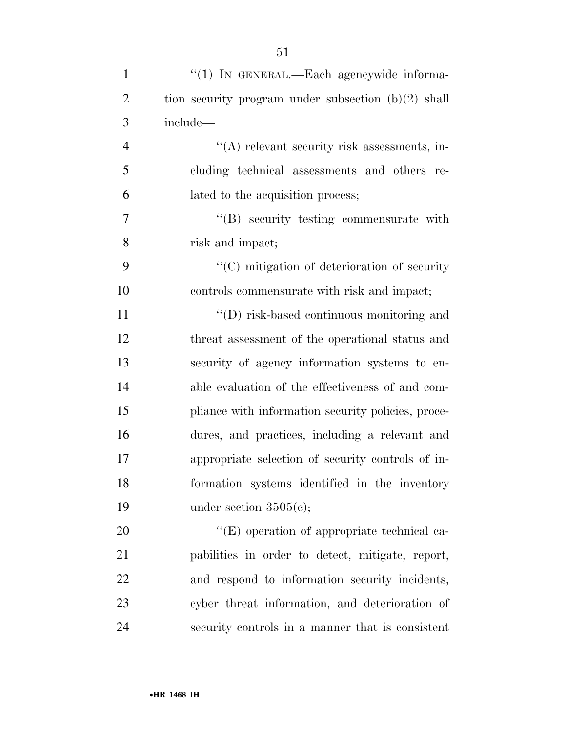| $\mathbf{1}$   | "(1) IN GENERAL.—Each agencywide informa-             |
|----------------|-------------------------------------------------------|
| $\overline{2}$ | tion security program under subsection $(b)(2)$ shall |
| 3              | include—                                              |
| $\overline{4}$ | $\lq\lq$ relevant security risk assessments, in-      |
| 5              | cluding technical assessments and others re-          |
| 6              | lated to the acquisition process;                     |
| 7              | $\lq\lq(B)$ security testing commensurate with        |
| 8              | risk and impact;                                      |
| 9              | $\cdot$ (C) mitigation of deterioration of security   |
| 10             | controls commensurate with risk and impact;           |
| 11             | $\lq\lq$ (D) risk-based continuous monitoring and     |
| 12             | threat assessment of the operational status and       |
| 13             | security of agency information systems to en-         |
| 14             | able evaluation of the effectiveness of and com-      |
| 15             | pliance with information security policies, proce-    |
| 16             | dures, and practices, including a relevant and        |
| 17             | appropriate selection of security controls of in-     |
| 18             | formation systems identified in the inventory         |
| 19             | under section $3505(c)$ ;                             |
| 20             | $\lq\lq$ operation of appropriate technical ca-       |
| 21             | pabilities in order to detect, mitigate, report,      |
| 22             | and respond to information security incidents,        |
| 23             | cyber threat information, and deterioration of        |
| 24             | security controls in a manner that is consistent      |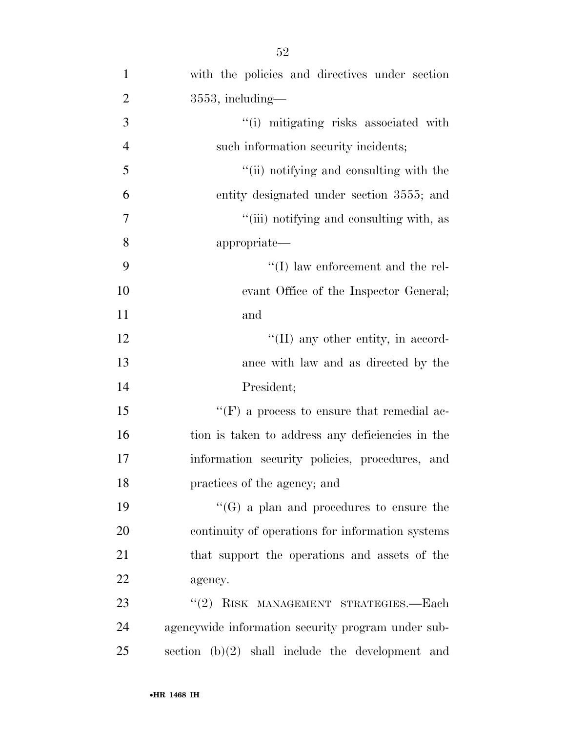| $\mathbf{1}$   | with the policies and directives under section     |
|----------------|----------------------------------------------------|
| $\overline{2}$ | $3553$ , including—                                |
| 3              | "(i) mitigating risks associated with              |
| $\overline{4}$ | such information security incidents;               |
| 5              | "(ii) notifying and consulting with the            |
| 6              | entity designated under section 3555; and          |
| 7              | "(iii) notifying and consulting with, as           |
| 8              | appropriate—                                       |
| 9              | $\lq\lq$ (I) law enforcement and the rel-          |
| 10             | evant Office of the Inspector General;             |
| 11             | and                                                |
| 12             | $\lq\lq$ (II) any other entity, in accord-         |
| 13             | ance with law and as directed by the               |
| 14             | President;                                         |
| 15             | "(F) a process to ensure that remedial ac-         |
| 16             | tion is taken to address any deficiencies in the   |
| 17             | information security policies, procedures, and     |
| 18             | practices of the agency; and                       |
| 19             | $\lq\lq(G)$ a plan and procedures to ensure the    |
| 20             | continuity of operations for information systems   |
| 21             | that support the operations and assets of the      |
| 22             | agency.                                            |
| 23             | "(2) RISK MANAGEMENT STRATEGIES.—Each              |
| 24             | agencywide information security program under sub- |
| 25             | section $(b)(2)$ shall include the development and |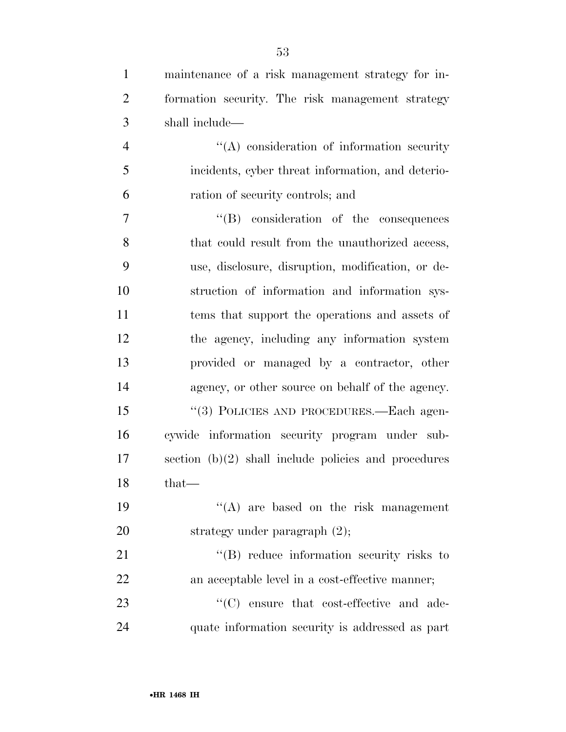| $\mathbf{1}$   | maintenance of a risk management strategy for in-      |
|----------------|--------------------------------------------------------|
| $\overline{2}$ | formation security. The risk management strategy       |
| 3              | shall include—                                         |
| $\overline{4}$ | $\lq\lq$ consideration of information security         |
| 5              | incidents, cyber threat information, and deterio-      |
| 6              | ration of security controls; and                       |
| 7              | $\lq\lq$ consideration of the consequences             |
| 8              | that could result from the unauthorized access,        |
| 9              | use, disclosure, disruption, modification, or de-      |
| 10             | struction of information and information sys-          |
| 11             | tems that support the operations and assets of         |
| 12             | the agency, including any information system           |
| 13             | provided or managed by a contractor, other             |
| 14             | agency, or other source on behalf of the agency.       |
| 15             | "(3) POLICIES AND PROCEDURES.—Each agen-               |
| 16             | cywide information security program under sub-         |
| 17             | section $(b)(2)$ shall include policies and procedures |
| 18             | that-                                                  |
| 19             | $\lq\lq$ are based on the risk management              |
| 20             | strategy under paragraph $(2)$ ;                       |
| 21             | $\lq\lq$ reduce information security risks to          |
| 22             | an acceptable level in a cost-effective manner;        |
| 23             | "(C) ensure that cost-effective and ade-               |
| 24             | quate information security is addressed as part        |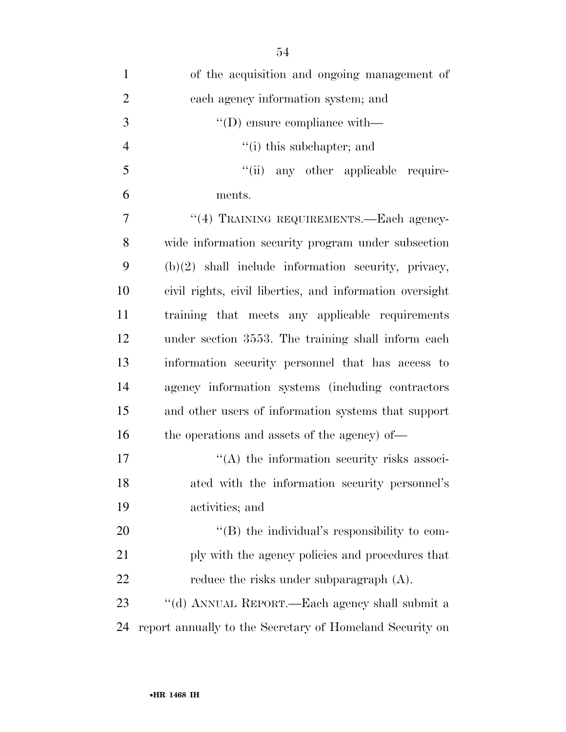| $\mathbf{1}$   | of the acquisition and ongoing management of             |
|----------------|----------------------------------------------------------|
| $\overline{2}$ | each agency information system; and                      |
| 3              | $\lq\lq$ (D) ensure compliance with —                    |
| $\overline{4}$ | $f(i)$ this subchapter; and                              |
| 5              | "(ii) any other applicable require-                      |
| 6              | ments.                                                   |
| $\overline{7}$ | "(4) TRAINING REQUIREMENTS.—Each agency-                 |
| 8              | wide information security program under subsection       |
| 9              | $(b)(2)$ shall include information security, privacy,    |
| 10             | civil rights, civil liberties, and information oversight |
| 11             | training that meets any applicable requirements          |
| 12             | under section 3553. The training shall inform each       |
| 13             | information security personnel that has access to        |
| 14             | agency information systems (including contractors)       |
| 15             | and other users of information systems that support      |
| 16             | the operations and assets of the agency) of—             |
| 17             | $\lq\lq$ the information security risks associ-          |
| 18             | ated with the information security personnel's           |
| 19             | activities; and                                          |
| <b>20</b>      | "(B) the individual's responsibility to com-             |
| 21             | ply with the agency policies and procedures that         |
| 22             | reduce the risks under subparagraph (A).                 |
| 23             | "(d) ANNUAL REPORT.—Each agency shall submit a           |
| 24             | report annually to the Secretary of Homeland Security on |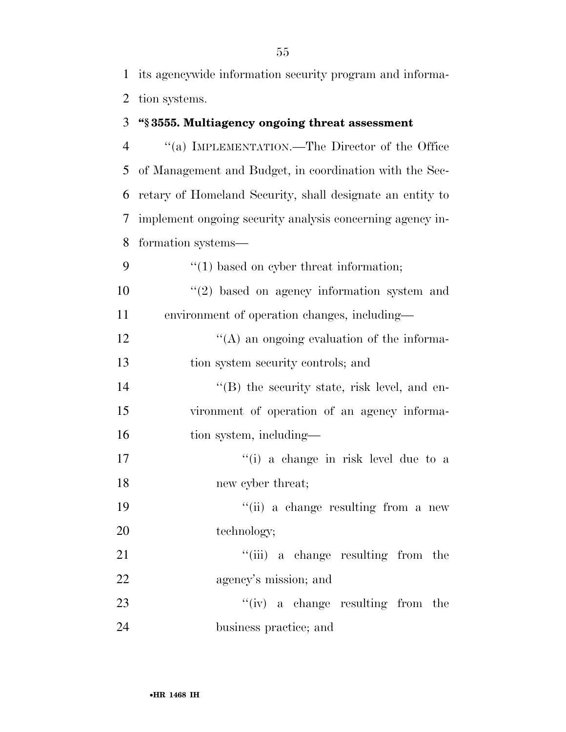1 its agencywide information security program and informa-2 tion systems.

# 3 **''§ 3555. Multiagency ongoing threat assessment**

 ''(a) IMPLEMENTATION.—The Director of the Office of Management and Budget, in coordination with the Sec- retary of Homeland Security, shall designate an entity to implement ongoing security analysis concerning agency in-formation systems—

9  $\frac{4}{1}$  based on cyber threat information;  $(2)$  based on agency information system and 11 environment of operation changes, including— 12  $\langle (A)$  an ongoing evaluation of the informa-13 tion system security controls; and 14 ''(B) the security state, risk level, and en-15 vironment of operation of an agency informa-16 tion system, including— 17 ''(i) a change in risk level due to a 18 new cyber threat; 19 ''(ii) a change resulting from a new 20 technology; 21 ''(iii) a change resulting from the 22 agency's mission; and 23 ''(iv) a change resulting from the 24 business practice; and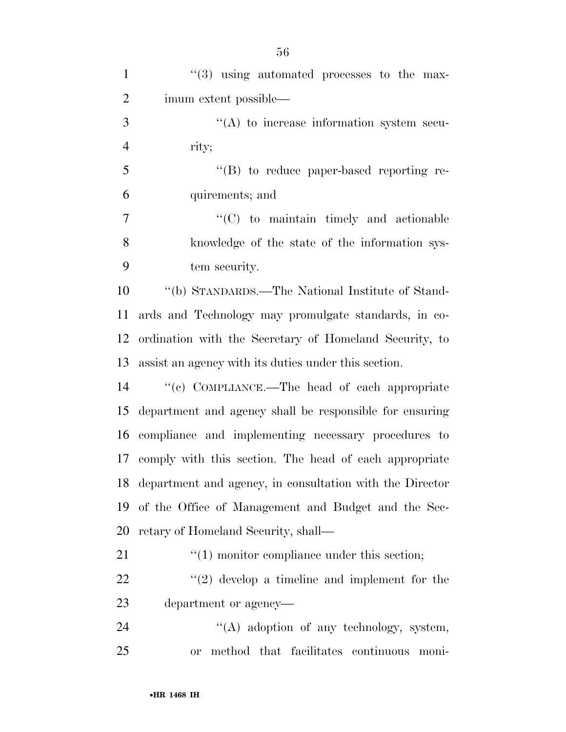| $\mathbf{1}$   | $(3)$ using automated processes to the max-                 |
|----------------|-------------------------------------------------------------|
| $\overline{2}$ | imum extent possible—                                       |
| 3              | $\lq\lq$ to increase information system secu-               |
| $\overline{4}$ | rity;                                                       |
| 5              | $\lq\lq (B)$ to reduce paper-based reporting re-            |
| 6              | quirements; and                                             |
| $\tau$         | $\lq\lq$ (C) to maintain timely and actionable              |
| 8              | knowledge of the state of the information sys-              |
| 9              | tem security.                                               |
| 10             | "(b) STANDARDS.—The National Institute of Stand-            |
| 11             | ards and Technology may promulgate standards, in co-        |
| 12             | ordination with the Secretary of Homeland Security, to      |
| 13             | assist an agency with its duties under this section.        |
| 14             | "(c) COMPLIANCE.—The head of each appropriate               |
| 15             | department and agency shall be responsible for ensuring     |
| 16             | compliance and implementing necessary procedures to         |
|                | 17 comply with this section. The head of each appropriate   |
|                | 18 department and agency, in consultation with the Director |
| 19             | of the Office of Management and Budget and the Sec-         |
| 20             | retary of Homeland Security, shall—                         |
| 21             | $\cdot\cdot\cdot(1)$ monitor compliance under this section; |
| 22             | $\lq(2)$ develop a timeline and implement for the           |
| 23             | department or agency—                                       |
| 24             | $\lq\lq$ adoption of any technology, system,                |
| 25             | method that facilitates continuous moni-<br><b>or</b>       |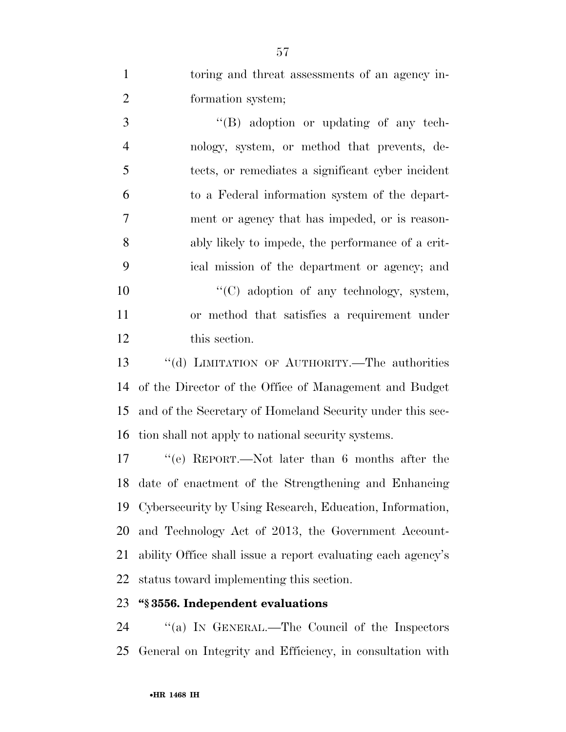| toring and threat assessments of an agency in- |
|------------------------------------------------|
| formation system;                              |

3 ''(B) adoption or updating of any tech- nology, system, or method that prevents, de- tects, or remediates a significant cyber incident to a Federal information system of the depart- ment or agency that has impeded, or is reason- ably likely to impede, the performance of a crit- ical mission of the department or agency; and  $\lq\lq$  (C) adoption of any technology, system, or method that satisfies a requirement under this section.

 ''(d) LIMITATION OF AUTHORITY.—The authorities of the Director of the Office of Management and Budget and of the Secretary of Homeland Security under this sec-tion shall not apply to national security systems.

 ''(e) REPORT.—Not later than 6 months after the date of enactment of the Strengthening and Enhancing Cybersecurity by Using Research, Education, Information, and Technology Act of 2013, the Government Account- ability Office shall issue a report evaluating each agency's status toward implementing this section.

### **''§ 3556. Independent evaluations**

24 "(a) IN GENERAL.—The Council of the Inspectors General on Integrity and Efficiency, in consultation with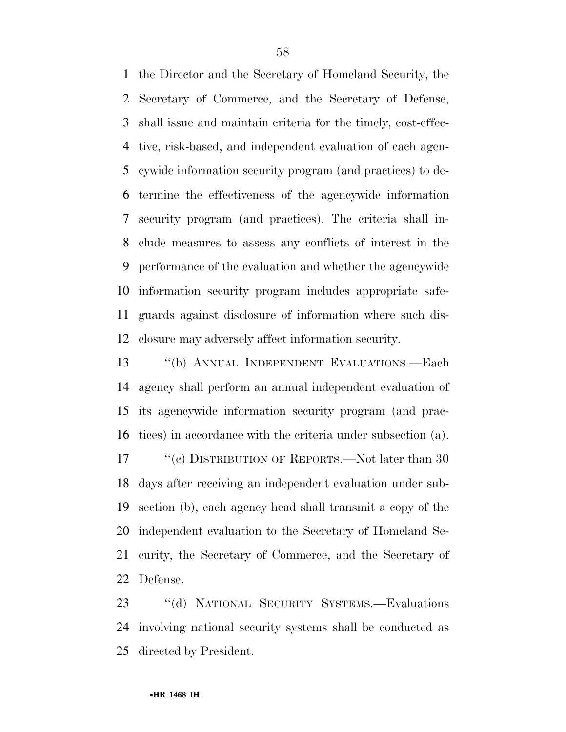the Director and the Secretary of Homeland Security, the Secretary of Commerce, and the Secretary of Defense, shall issue and maintain criteria for the timely, cost-effec- tive, risk-based, and independent evaluation of each agen- cywide information security program (and practices) to de- termine the effectiveness of the agencywide information security program (and practices). The criteria shall in- clude measures to assess any conflicts of interest in the performance of the evaluation and whether the agencywide information security program includes appropriate safe- guards against disclosure of information where such dis-closure may adversely affect information security.

 ''(b) ANNUAL INDEPENDENT EVALUATIONS.—Each agency shall perform an annual independent evaluation of its agencywide information security program (and prac- tices) in accordance with the criteria under subsection (a). 17 ''(c) DISTRIBUTION OF REPORTS.—Not later than 30 days after receiving an independent evaluation under sub- section (b), each agency head shall transmit a copy of the independent evaluation to the Secretary of Homeland Se- curity, the Secretary of Commerce, and the Secretary of Defense.

 ''(d) NATIONAL SECURITY SYSTEMS.—Evaluations involving national security systems shall be conducted as directed by President.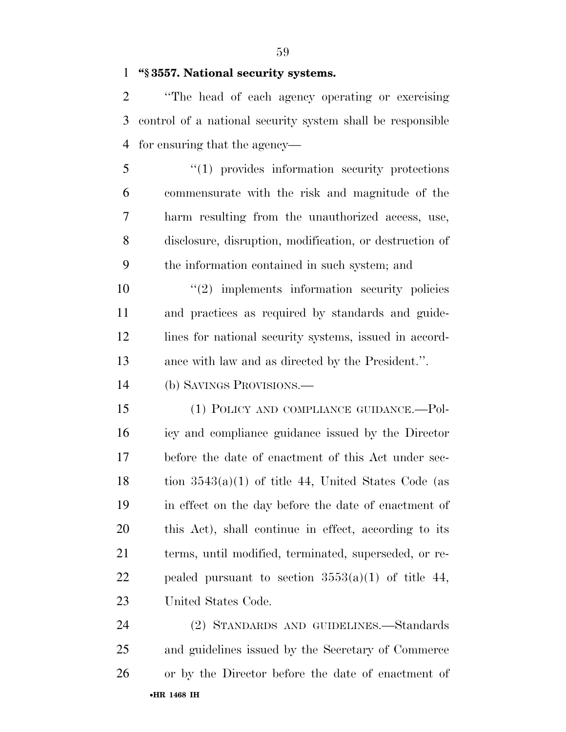**''§ 3557. National security systems.** 

 ''The head of each agency operating or exercising control of a national security system shall be responsible for ensuring that the agency—

 ''(1) provides information security protections commensurate with the risk and magnitude of the harm resulting from the unauthorized access, use, disclosure, disruption, modification, or destruction of the information contained in such system; and

 $\frac{1}{2}$  implements information security policies and practices as required by standards and guide-12 lines for national security systems, issued in accord-ance with law and as directed by the President.''.

(b) SAVINGS PROVISIONS.—

 (1) POLICY AND COMPLIANCE GUIDANCE.—Pol- icy and compliance guidance issued by the Director before the date of enactment of this Act under sec-18 tion  $3543(a)(1)$  of title 44, United States Code (as in effect on the day before the date of enactment of this Act), shall continue in effect, according to its terms, until modified, terminated, superseded, or re-22 pealed pursuant to section  $3553(a)(1)$  of title 44, United States Code.

•**HR 1468 IH** (2) STANDARDS AND GUIDELINES.—Standards and guidelines issued by the Secretary of Commerce or by the Director before the date of enactment of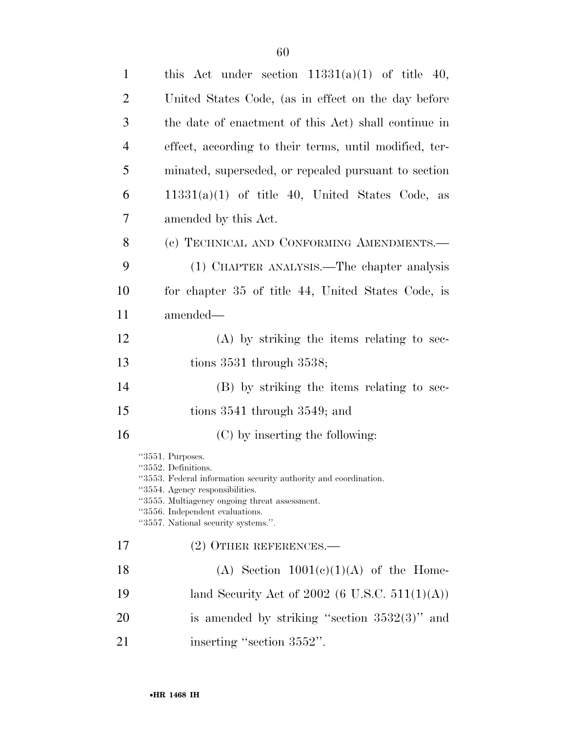| $\mathbf{1}$   | this Act under section $11331(a)(1)$ of title 40,                                                                                                                                                                                                                        |
|----------------|--------------------------------------------------------------------------------------------------------------------------------------------------------------------------------------------------------------------------------------------------------------------------|
| $\overline{2}$ | United States Code, (as in effect on the day before                                                                                                                                                                                                                      |
| 3              | the date of enactment of this Act) shall continue in                                                                                                                                                                                                                     |
| $\overline{4}$ | effect, according to their terms, until modified, ter-                                                                                                                                                                                                                   |
| 5              | minated, superseded, or repealed pursuant to section                                                                                                                                                                                                                     |
| 6              | $11331(a)(1)$ of title 40, United States Code, as                                                                                                                                                                                                                        |
| 7              | amended by this Act.                                                                                                                                                                                                                                                     |
| 8              | (c) TECHNICAL AND CONFORMING AMENDMENTS.—                                                                                                                                                                                                                                |
| 9              | (1) CHAPTER ANALYSIS.—The chapter analysis                                                                                                                                                                                                                               |
| 10             | for chapter 35 of title 44, United States Code, is                                                                                                                                                                                                                       |
| 11             | amended—                                                                                                                                                                                                                                                                 |
| 12             | $(A)$ by striking the items relating to sec-                                                                                                                                                                                                                             |
| 13             | tions $3531$ through $3538$ ;                                                                                                                                                                                                                                            |
| 14             | (B) by striking the items relating to sec-                                                                                                                                                                                                                               |
| 15             | tions $3541$ through $3549$ ; and                                                                                                                                                                                                                                        |
| 16             | (C) by inserting the following:                                                                                                                                                                                                                                          |
|                | "3551. Purposes.<br>"3552. Definitions.<br>"3553. Federal information security authority and coordination.<br>"3554. Agency responsibilities.<br>"3555. Multiagency ongoing threat assessment.<br>"3556. Independent evaluations.<br>"3557. National security systems.". |
| 17             | (2) OTHER REFERENCES.—                                                                                                                                                                                                                                                   |
| 18             | (A) Section $1001(c)(1)(A)$ of the Home-                                                                                                                                                                                                                                 |
| 19             | land Security Act of 2002 (6 U.S.C. 511(1)(A))                                                                                                                                                                                                                           |
| 20             | is amended by striking "section $3532(3)$ " and                                                                                                                                                                                                                          |
| 21             | inserting "section 3552".                                                                                                                                                                                                                                                |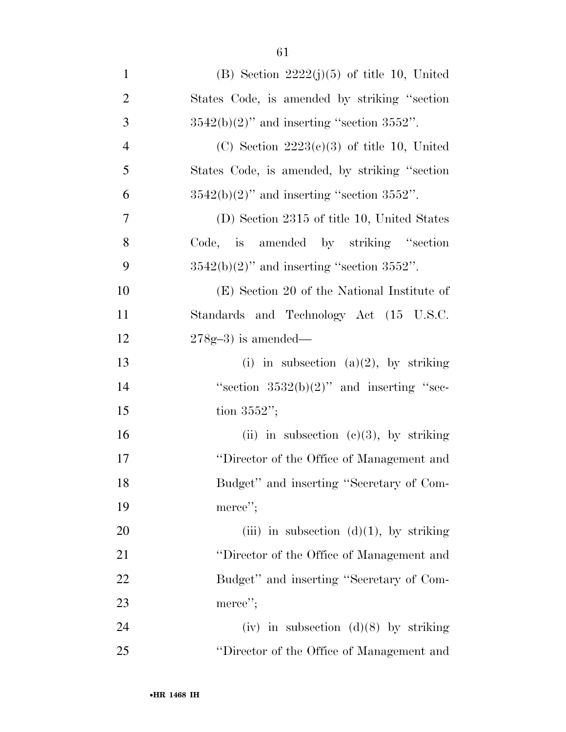| $\mathbf{1}$   | (B) Section $2222(j)(5)$ of title 10, United    |
|----------------|-------------------------------------------------|
| $\overline{2}$ | States Code, is amended by striking "section"   |
| 3              | $3542(b)(2)$ " and inserting "section $3552$ ". |
| $\overline{4}$ | (C) Section $2223(c)(3)$ of title 10, United    |
| 5              | States Code, is amended, by striking "section"  |
| 6              | $3542(b)(2)$ " and inserting "section $3552$ ". |
| $\overline{7}$ | (D) Section 2315 of title 10, United States     |
| 8              | Code, is amended by striking "section"          |
| 9              | $3542(b)(2)$ " and inserting "section $3552$ ". |
| 10             | (E) Section 20 of the National Institute of     |
| 11             | Standards and Technology Act (15 U.S.C.         |
| 12             | $278g-3$ ) is amended—                          |
| 13             | (i) in subsection (a)(2), by striking           |
| 14             | "section $3532(b)(2)$ " and inserting "sec-     |
| 15             | tion $3552$ ";                                  |
| 16             | (ii) in subsection (c)(3), by striking          |
| 17             | "Director of the Office of Management and       |
| 18             | Budget" and inserting "Secretary of Com-        |
| 19             | merce";                                         |
| 20             | (iii) in subsection $(d)(1)$ , by striking      |
| 21             | "Director of the Office of Management and       |
| 22             | Budget" and inserting "Secretary of Com-        |
| 23             | merce";                                         |
| 24             | (iv) in subsection (d)(8) by striking           |
| 25             | "Director of the Office of Management and       |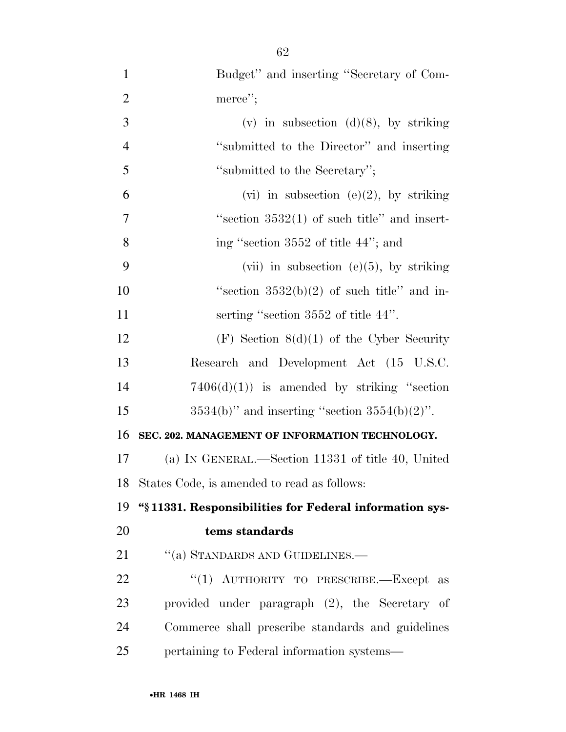| $\mathbf{1}$   | Budget" and inserting "Secretary of Com-                 |
|----------------|----------------------------------------------------------|
| $\overline{2}$ | merce";                                                  |
| 3              | (v) in subsection $(d)(8)$ , by striking                 |
| $\overline{4}$ | "submitted to the Director" and inserting                |
| 5              | "submitted to the Secretary";                            |
| 6              | (vi) in subsection (e)(2), by striking                   |
| $\overline{7}$ | "section $3532(1)$ of such title" and insert-            |
| 8              | ing "section 3552 of title 44"; and                      |
| 9              | (vii) in subsection (e) $(5)$ , by striking              |
| 10             | "section $3532(b)(2)$ of such title" and in-             |
| 11             | serting "section 3552 of title 44".                      |
| 12             | $(F)$ Section $8(d)(1)$ of the Cyber Security            |
| 13             | Research and Development Act (15 U.S.C.                  |
| 14             | $7406(d)(1)$ is amended by striking "section"            |
| 15             | $3534(b)$ " and inserting "section $3554(b)(2)$ ".       |
| 16             | SEC. 202. MANAGEMENT OF INFORMATION TECHNOLOGY.          |
| 17             | (a) IN GENERAL.—Section 11331 of title 40, United        |
|                | 18 States Code, is amended to read as follows:           |
| 19             | "\\$11331. Responsibilities for Federal information sys- |
| 20             | tems standards                                           |
| 21             | "(a) STANDARDS AND GUIDELINES.—                          |
| 22             | "(1) AUTHORITY TO PRESCRIBE.-Except<br>as                |
| 23             | provided under paragraph (2), the Secretary of           |
| 24             | Commerce shall prescribe standards and guidelines        |
| 25             | pertaining to Federal information systems—               |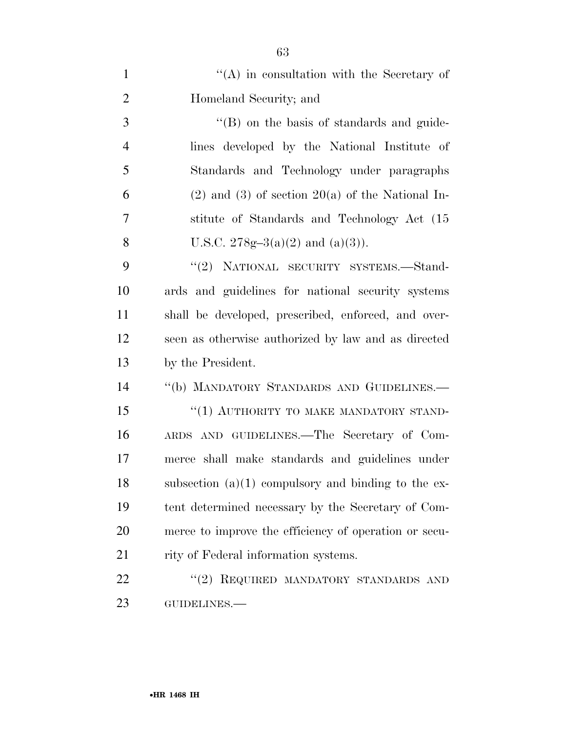| $\mathbf{1}$   | $\lq\lq$ in consultation with the Secretary of         |
|----------------|--------------------------------------------------------|
| $\overline{2}$ | Homeland Security; and                                 |
| 3              | "(B) on the basis of standards and guide-              |
| $\overline{4}$ | lines developed by the National Institute of           |
| 5              | Standards and Technology under paragraphs              |
| 6              | $(2)$ and $(3)$ of section $20(a)$ of the National In- |
| 7              | stitute of Standards and Technology Act (15            |
| 8              | U.S.C. 278g-3(a)(2) and (a)(3)).                       |
| 9              | "(2) NATIONAL SECURITY SYSTEMS.—Stand-                 |
| 10             | ards and guidelines for national security systems      |
| 11             | shall be developed, prescribed, enforced, and over-    |
| 12             | seen as otherwise authorized by law and as directed    |
| 13             | by the President.                                      |
| 14             | "(b) MANDATORY STANDARDS AND GUIDELINES.-              |
| 15             | "(1) AUTHORITY TO MAKE MANDATORY STAND-                |
| 16             | ARDS AND GUIDELINES.—The Secretary of Com-             |
| 17             | merce shall make standards and guidelines under        |
| 18             | subsection $(a)(1)$ compulsory and binding to the ex-  |
| 19             | tent determined necessary by the Secretary of Com-     |
| 20             | merce to improve the efficiency of operation or secu-  |
| 21             | rity of Federal information systems.                   |
| 22             | REQUIRED MANDATORY STANDARDS AND<br>(2)                |
| 23             | GUIDELINES.-                                           |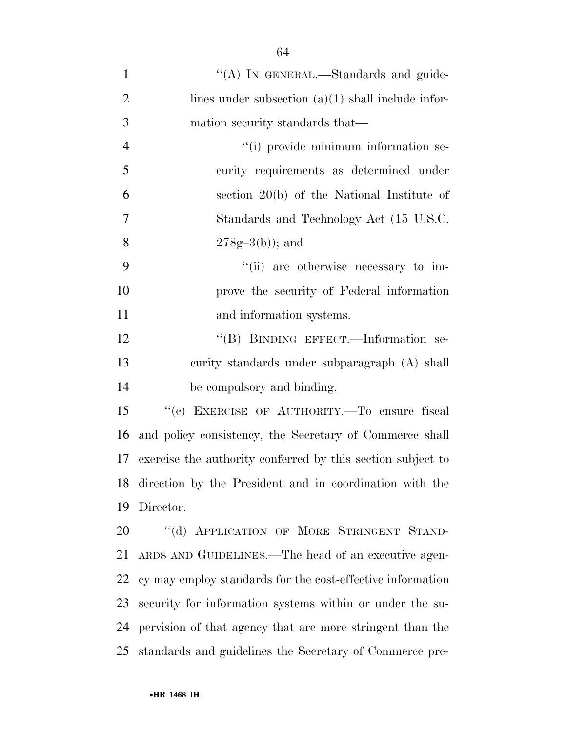| $\mathbf{1}$   | "(A) IN GENERAL.—Standards and guide-                       |
|----------------|-------------------------------------------------------------|
| $\overline{2}$ | lines under subsection $(a)(1)$ shall include infor-        |
| 3              | mation security standards that—                             |
| $\overline{4}$ | "(i) provide minimum information se-                        |
| 5              | curity requirements as determined under                     |
| 6              | section $20(b)$ of the National Institute of                |
| 7              | Standards and Technology Act (15 U.S.C.                     |
| 8              | $278g-3(b)$ ; and                                           |
| 9              | "(ii) are otherwise necessary to im-                        |
| 10             | prove the security of Federal information                   |
| 11             | and information systems.                                    |
| 12             | "(B) BINDING EFFECT.—Information se-                        |
| 13             | curity standards under subparagraph (A) shall               |
| 14             | be compulsory and binding.                                  |
| 15             | "(c) EXERCISE OF AUTHORITY.—To ensure fiscal                |
| 16             | and policy consistency, the Secretary of Commerce shall     |
| 17             | exercise the authority conferred by this section subject to |
| 18             | direction by the President and in coordination with the     |
| 19             | Director.                                                   |
| 20             | "(d) APPLICATION OF MORE STRINGENT STAND-                   |
| 21             | ARDS AND GUIDELINES.—The head of an executive agen-         |
| 22             | cy may employ standards for the cost-effective information  |
| 23             | security for information systems within or under the su-    |
| 24             | pervision of that agency that are more stringent than the   |
| 25             | standards and guidelines the Secretary of Commerce pre-     |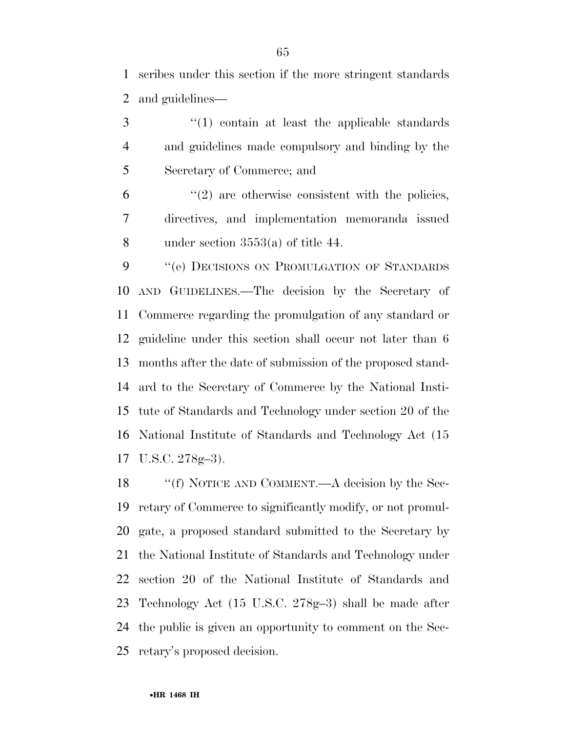scribes under this section if the more stringent standards and guidelines—

3 (1) contain at least the applicable standards and guidelines made compulsory and binding by the Secretary of Commerce; and

 $(2)$  are otherwise consistent with the policies, directives, and implementation memoranda issued under section 3553(a) of title 44.

9 "(e) DECISIONS ON PROMULGATION OF STANDARDS AND GUIDELINES.—The decision by the Secretary of Commerce regarding the promulgation of any standard or guideline under this section shall occur not later than 6 months after the date of submission of the proposed stand- ard to the Secretary of Commerce by the National Insti- tute of Standards and Technology under section 20 of the National Institute of Standards and Technology Act (15 U.S.C. 278g–3).

18 "'(f) NOTICE AND COMMENT.—A decision by the Sec- retary of Commerce to significantly modify, or not promul- gate, a proposed standard submitted to the Secretary by the National Institute of Standards and Technology under section 20 of the National Institute of Standards and Technology Act (15 U.S.C. 278g–3) shall be made after the public is given an opportunity to comment on the Sec-retary's proposed decision.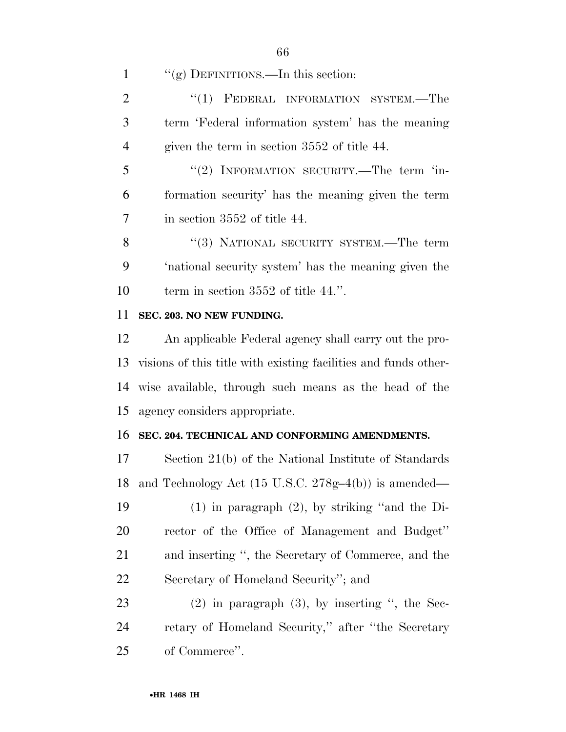1 "(g) DEFINITIONS.—In this section:

2 "(1) FEDERAL INFORMATION SYSTEM.—The term 'Federal information system' has the meaning given the term in section 3552 of title 44.

5 "(2) INFORMATION SECURITY.—The term 'in- formation security' has the meaning given the term in section 3552 of title 44.

8 "(3) NATIONAL SECURITY SYSTEM.—The term 'national security system' has the meaning given the 10 term in section 3552 of title 44.".

## **SEC. 203. NO NEW FUNDING.**

 An applicable Federal agency shall carry out the pro- visions of this title with existing facilities and funds other- wise available, through such means as the head of the agency considers appropriate.

### **SEC. 204. TECHNICAL AND CONFORMING AMENDMENTS.**

 Section 21(b) of the National Institute of Standards and Technology Act (15 U.S.C. 278g–4(b)) is amended—

 (1) in paragraph (2), by striking ''and the Di- rector of the Office of Management and Budget'' and inserting '', the Secretary of Commerce, and the Secretary of Homeland Security''; and

 (2) in paragraph (3), by inserting '', the Sec- retary of Homeland Security,'' after ''the Secretary of Commerce''.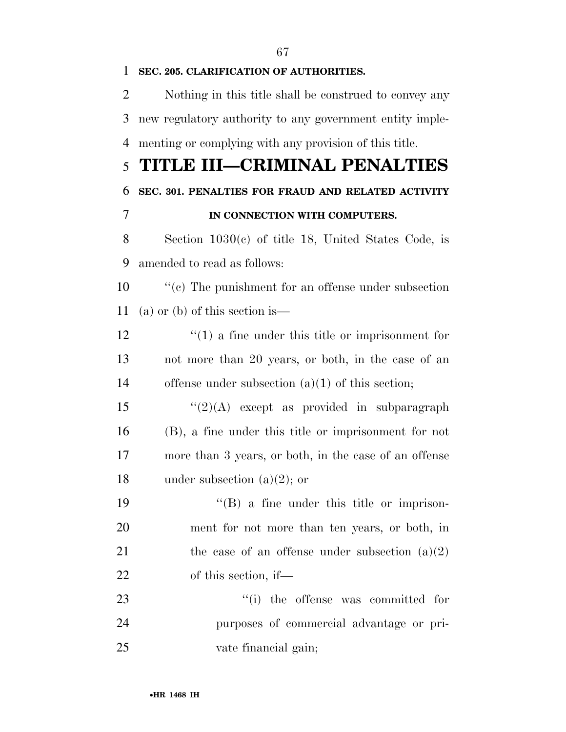# **SEC. 205. CLARIFICATION OF AUTHORITIES.**  Nothing in this title shall be construed to convey any new regulatory authority to any government entity imple- menting or complying with any provision of this title. **TITLE III—CRIMINAL PENALTIES SEC. 301. PENALTIES FOR FRAUD AND RELATED ACTIVITY IN CONNECTION WITH COMPUTERS.**  Section 1030(c) of title 18, United States Code, is amended to read as follows: 10  $\cdot$  (c) The punishment for an offense under subsection (a) or (b) of this section is— 12 ''(1) a fine under this title or imprisonment for not more than 20 years, or both, in the case of an offense under subsection (a)(1) of this section; 15  $\frac{1}{2}(2)$ (A) except as provided in subparagraph (B), a fine under this title or imprisonment for not more than 3 years, or both, in the case of an offense

under subsection (a)(2); or

19 ''(B) a fine under this title or imprison- ment for not more than ten years, or both, in 21 the case of an offense under subsection  $(a)(2)$ of this section, if—

23  $\frac{1}{1}$  the offense was committed for purposes of commercial advantage or pri-vate financial gain;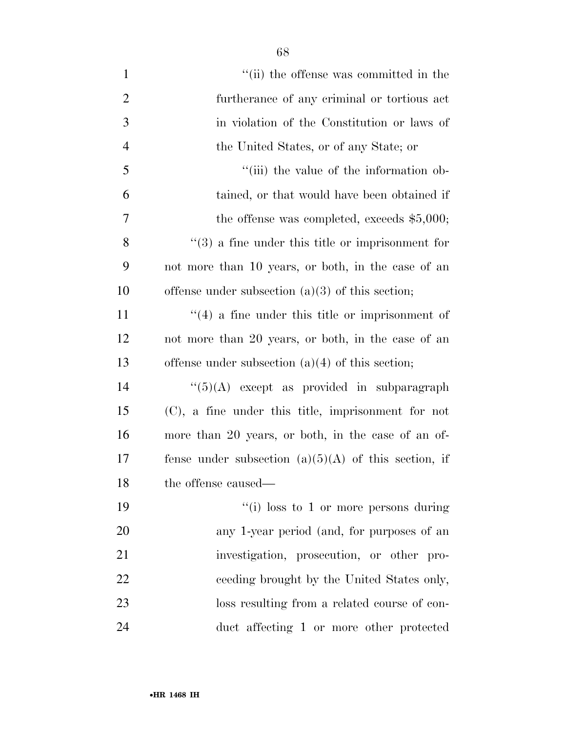| $\mathbf{1}$   | "(ii) the offense was committed in the                       |
|----------------|--------------------------------------------------------------|
| $\overline{2}$ | furtherance of any criminal or tortious act                  |
| 3              | in violation of the Constitution or laws of                  |
| $\overline{4}$ | the United States, or of any State; or                       |
| 5              | "(iii) the value of the information ob-                      |
| 6              | tained, or that would have been obtained if                  |
| 7              | the offense was completed, exceeds $$5,000;$                 |
| 8              | $\cdot\cdot$ (3) a fine under this title or imprisonment for |
| 9              | not more than 10 years, or both, in the case of an           |
| 10             | offense under subsection $(a)(3)$ of this section;           |
| 11             | $\cdot$ (4) a fine under this title or imprisonment of       |
| 12             | not more than 20 years, or both, in the case of an           |
| 13             | offense under subsection $(a)(4)$ of this section;           |
| 14             | $\lq(5)(A)$ except as provided in subparagraph               |
| 15             | $(C)$ , a fine under this title, imprisonment for not        |
| 16             | more than 20 years, or both, in the case of an of-           |
| 17             | fense under subsection $(a)(5)(A)$ of this section, if       |
| 18             | the offense caused—                                          |
| 19             | "(i) loss to 1 or more persons during                        |
| 20             | any 1-year period (and, for purposes of an                   |
| 21             | investigation, prosecution, or other pro-                    |
| 22             | ceeding brought by the United States only,                   |
| 23             | loss resulting from a related course of con-                 |
| 24             | duct affecting 1 or more other protected                     |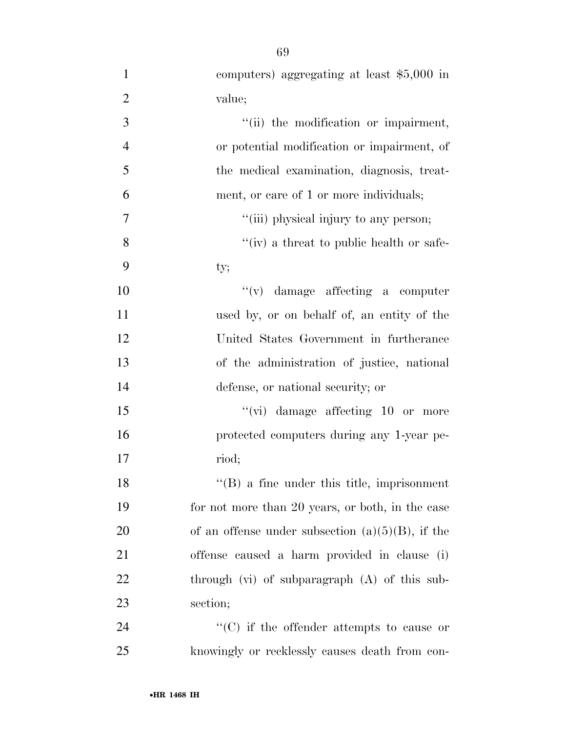| $\mathbf{1}$   | computers) aggregating at least \$5,000 in          |
|----------------|-----------------------------------------------------|
| $\overline{2}$ | value;                                              |
| 3              | "(ii) the modification or impairment,               |
| $\overline{4}$ | or potential modification or impairment, of         |
| 5              | the medical examination, diagnosis, treat-          |
| 6              | ment, or care of 1 or more individuals;             |
| $\tau$         | "(iii) physical injury to any person;               |
| 8              | "(iv) a threat to public health or safe-            |
| 9              | ty;                                                 |
| 10             | $f'(v)$ damage affecting a computer                 |
| 11             | used by, or on behalf of, an entity of the          |
| 12             | United States Government in furtherance             |
| 13             | of the administration of justice, national          |
| 14             | defense, or national security; or                   |
| 15             | $``(vi)$ damage affecting 10 or more                |
| 16             | protected computers during any 1-year pe-           |
| 17             | riod;                                               |
| 18             | $\lq\lq$ (B) a fine under this title, imprisonment  |
| 19             | for not more than 20 years, or both, in the case    |
| 20             | of an offense under subsection $(a)(5)(B)$ , if the |
| 21             | offense caused a harm provided in clause (i)        |
| 22             | through $(vi)$ of subparagraph $(A)$ of this sub-   |
| 23             | section;                                            |
| 24             | $\lq\lq$ (C) if the offender attempts to cause or   |
| 25             | knowingly or recklessly causes death from con-      |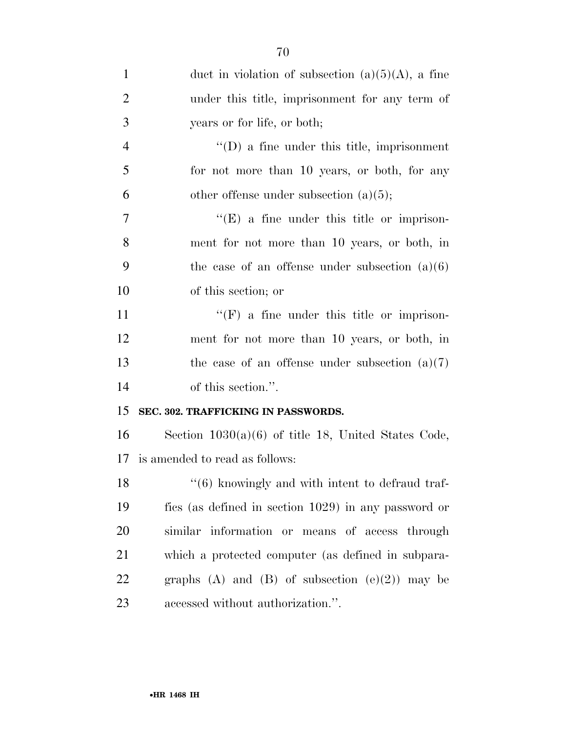| $\mathbf{1}$   | duct in violation of subsection $(a)(5)(A)$ , a fine            |
|----------------|-----------------------------------------------------------------|
| $\overline{2}$ | under this title, imprisonment for any term of                  |
| 3              | years or for life, or both;                                     |
| $\overline{4}$ | $\lq\lq$ (D) a fine under this title, imprisonment              |
| 5              | for not more than 10 years, or both, for any                    |
| 6              | other offense under subsection $(a)(5)$ ;                       |
| $\overline{7}$ | $\lq\lq(E)$ a fine under this title or imprison-                |
| 8              | ment for not more than 10 years, or both, in                    |
| 9              | the case of an offense under subsection $(a)(6)$                |
| 10             | of this section; or                                             |
| 11             | $\lq\lq(F)$ a fine under this title or imprison-                |
| 12             | ment for not more than 10 years, or both, in                    |
| 13             | the case of an offense under subsection $(a)(7)$                |
| 14             | of this section.".                                              |
| 15             | SEC. 302. TRAFFICKING IN PASSWORDS.                             |
| 16             | Section $1030(a)(6)$ of title 18, United States Code,           |
| 17             | is amended to read as follows:                                  |
| 18             | $\cdot\cdot\cdot(6)$ knowingly and with intent to defraud traf- |
| 19             | fics (as defined in section 1029) in any password or            |
| 20             | similar information or means of access through                  |
| 21             | which a protected computer (as defined in subpara-              |
| 22             | graphs (A) and (B) of subsection $(e)(2)$ may be                |
| 23             | accessed without authorization.".                               |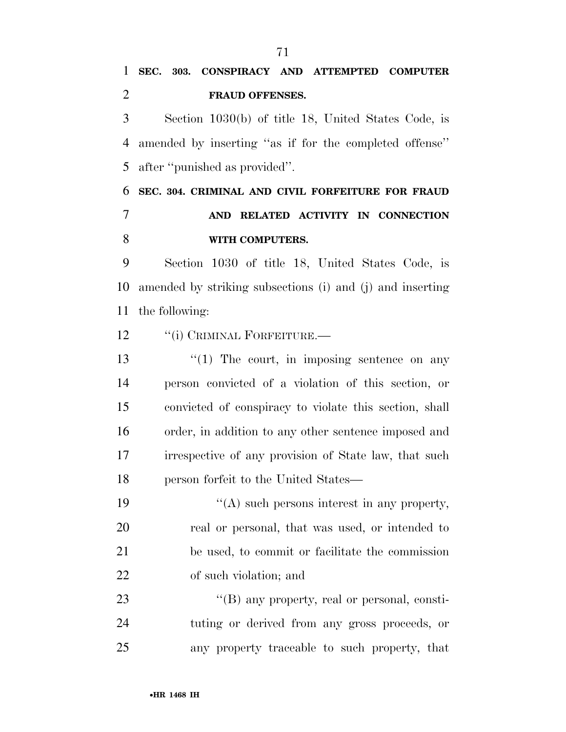Section 1030(b) of title 18, United States Code, is amended by inserting ''as if for the completed offense'' after ''punished as provided''.

 **SEC. 304. CRIMINAL AND CIVIL FORFEITURE FOR FRAUD AND RELATED ACTIVITY IN CONNECTION WITH COMPUTERS.** 

 Section 1030 of title 18, United States Code, is amended by striking subsections (i) and (j) and inserting the following:

12 "(i) CRIMINAL FORFEITURE.—

13 ''(1) The court, in imposing sentence on any person convicted of a violation of this section, or convicted of conspiracy to violate this section, shall order, in addition to any other sentence imposed and irrespective of any provision of State law, that such person forfeit to the United States—

 $"$ (A) such persons interest in any property, real or personal, that was used, or intended to be used, to commit or facilitate the commission of such violation; and

23 "(B) any property, real or personal, consti- tuting or derived from any gross proceeds, or any property traceable to such property, that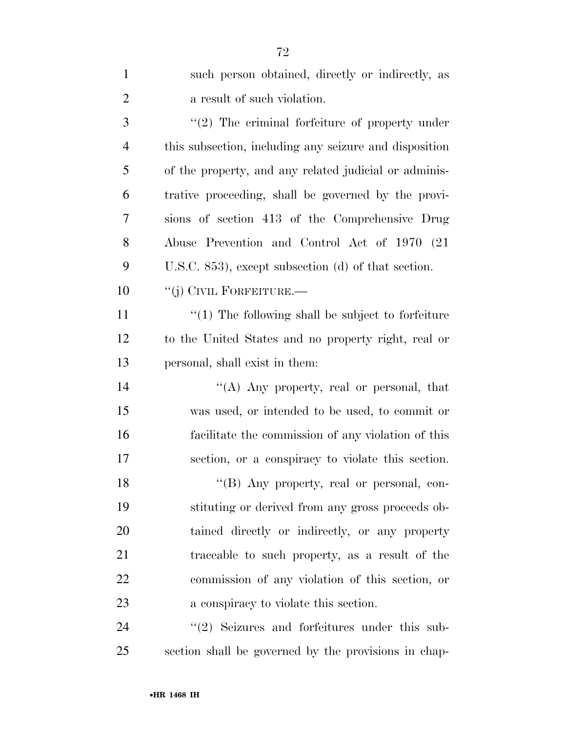| $\mathbf{1}$   | such person obtained, directly or indirectly, as         |
|----------------|----------------------------------------------------------|
| $\overline{2}$ | a result of such violation.                              |
| 3              | $\lq(2)$ The criminal forfeiture of property under       |
| $\overline{4}$ | this subsection, including any seizure and disposition   |
| 5              | of the property, and any related judicial or adminis-    |
| 6              | trative proceeding, shall be governed by the provi-      |
| 7              | sions of section 413 of the Comprehensive Drug           |
| 8              | Abuse Prevention and Control Act of 1970 (21)            |
| 9              | U.S.C. 853), except subsection (d) of that section.      |
| 10             | "(j) CIVIL FORFEITURE.—                                  |
| 11             | $\cdot$ (1) The following shall be subject to forfeiture |
| 12             | to the United States and no property right, real or      |
| 13             | personal, shall exist in them:                           |
| 14             | "(A) Any property, real or personal, that                |
| 15             | was used, or intended to be used, to commit or           |
| 16             | facilitate the commission of any violation of this       |
| 17             | section, or a conspiracy to violate this section.        |
| 18             | "(B) Any property, real or personal, con-                |
| 19             | stituting or derived from any gross proceeds ob-         |
| 20             | tained directly or indirectly, or any property           |
| 21             | traceable to such property, as a result of the           |
| 22             | commission of any violation of this section, or          |
| 23             | a conspiracy to violate this section.                    |
| 24             | $\lq(2)$ Seizures and forfeitures under this sub-        |

section shall be governed by the provisions in chap-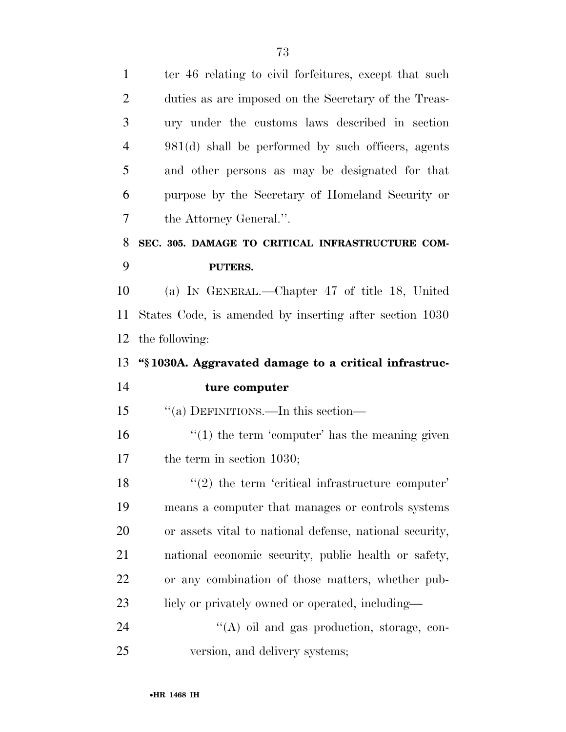1 ter 46 relating to civil forfeitures, except that such duties as are imposed on the Secretary of the Treas- ury under the customs laws described in section 981(d) shall be performed by such officers, agents and other persons as may be designated for that purpose by the Secretary of Homeland Security or the Attorney General.''. **SEC. 305. DAMAGE TO CRITICAL INFRASTRUCTURE COM- PUTERS.**  (a) IN GENERAL.—Chapter 47 of title 18, United States Code, is amended by inserting after section 1030 the following: **''§ 1030A. Aggravated damage to a critical infrastruc- ture computer**  ''(a) DEFINITIONS.—In this section—  $\frac{1}{2}$  (1) the term 'computer' has the meaning given the term in section 1030; 18 ''(2) the term 'critical infrastructure computer' means a computer that manages or controls systems or assets vital to national defense, national security, national economic security, public health or safety, or any combination of those matters, whether pub-23 licly or privately owned or operated, including— 24 "(A) oil and gas production, storage, con-

version, and delivery systems;

•**HR 1468 IH**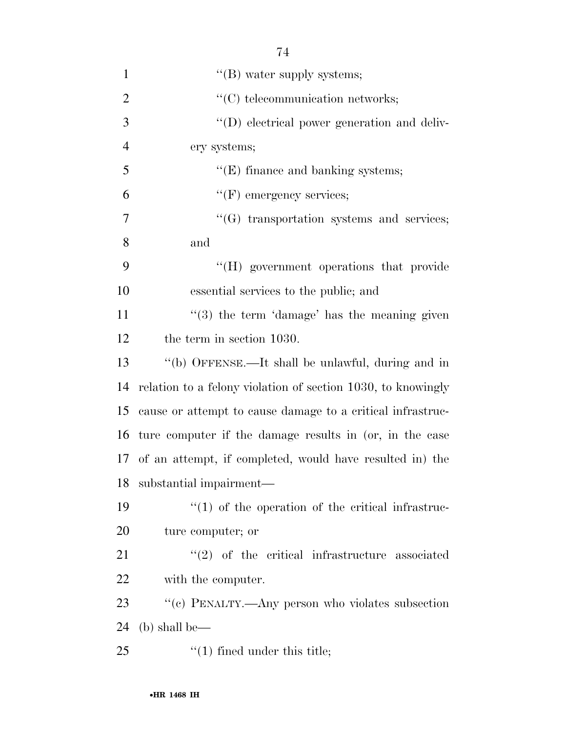| $\mathbf{1}$   | $\lq\lq$ (B) water supply systems;                           |
|----------------|--------------------------------------------------------------|
| $\overline{2}$ | $\lq\lq$ telecommunication networks;                         |
| 3              | $\lq\lq$ electrical power generation and deliv-              |
| $\overline{4}$ | ery systems;                                                 |
| 5              | $\lq\lq$ (E) finance and banking systems;                    |
| 6              | $\lq\lq(F)$ emergency services;                              |
| 7              | $\lq\lq(G)$ transportation systems and services;             |
| 8              | and                                                          |
| 9              | "(H) government operations that provide                      |
| 10             | essential services to the public; and                        |
| 11             | $\cdot\cdot$ (3) the term 'damage' has the meaning given     |
| 12             | the term in section 1030.                                    |
| 13             | "(b) OFFENSE.—It shall be unlawful, during and in            |
| 14             | relation to a felony violation of section 1030, to knowingly |
| 15             | cause or attempt to cause damage to a critical infrastruc-   |
| 16             | ture computer if the damage results in (or, in the case      |
|                | 17 of an attempt, if completed, would have resulted in the   |
|                | 18 substantial impairment—                                   |
| 19             | $\lq(1)$ of the operation of the critical infrastruc-        |
| 20             | ture computer; or                                            |
| 21             | $\lq(2)$ of the critical infrastructure associated           |
| 22             | with the computer.                                           |
| 23             | "(c) PENALTY.—Any person who violates subsection             |
| 24             | $(b)$ shall be—                                              |
| 25             | $f'(1)$ fined under this title;                              |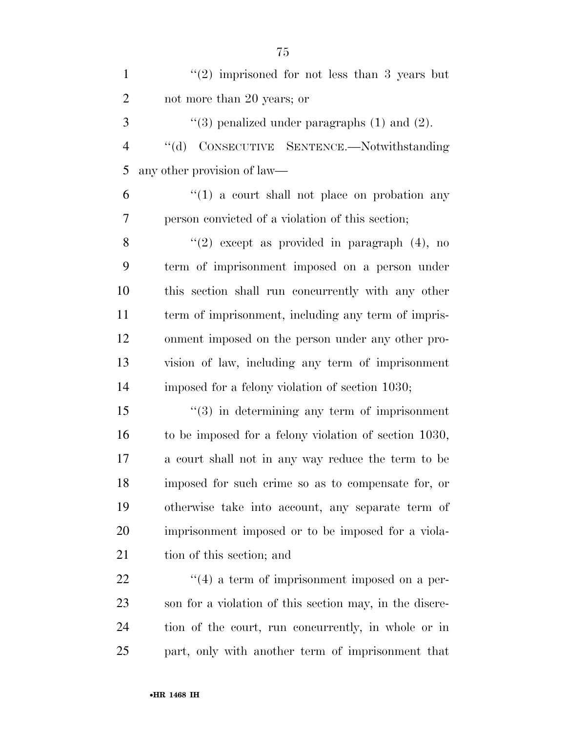| $\mathbf{1}$   | $(2)$ imprisoned for not less than 3 years but                |
|----------------|---------------------------------------------------------------|
| $\overline{2}$ | not more than 20 years; or                                    |
| 3              | $\lq(3)$ penalized under paragraphs (1) and (2).              |
| $\overline{4}$ | "(d) CONSECUTIVE SENTENCE.--Notwithstanding                   |
| 5              | any other provision of law—                                   |
| 6              | $\lq(1)$ a court shall not place on probation any             |
| 7              | person convicted of a violation of this section;              |
| 8              | "(2) except as provided in paragraph $(4)$ , no               |
| 9              | term of imprisonment imposed on a person under                |
| 10             | this section shall run concurrently with any other            |
| 11             | term of imprisonment, including any term of impris-           |
| 12             | onment imposed on the person under any other pro-             |
| 13             | vision of law, including any term of imprisonment             |
| 14             | imposed for a felony violation of section 1030;               |
| 15             | $(3)$ in determining any term of imprisonment                 |
| 16             | to be imposed for a felony violation of section 1030,         |
| 17             | a court shall not in any way reduce the term to be            |
| 18             | imposed for such crime so as to compensate for, or            |
| 19             | otherwise take into account, any separate term of             |
| 20             | imprisonment imposed or to be imposed for a viola-            |
| 21             | tion of this section; and                                     |
| 22             | $\cdot\cdot\cdot(4)$ a term of imprisonment imposed on a per- |
| 23             | son for a violation of this section may, in the discre-       |
| 24             | tion of the court, run concurrently, in whole or in           |
| 25             | part, only with another term of imprisonment that             |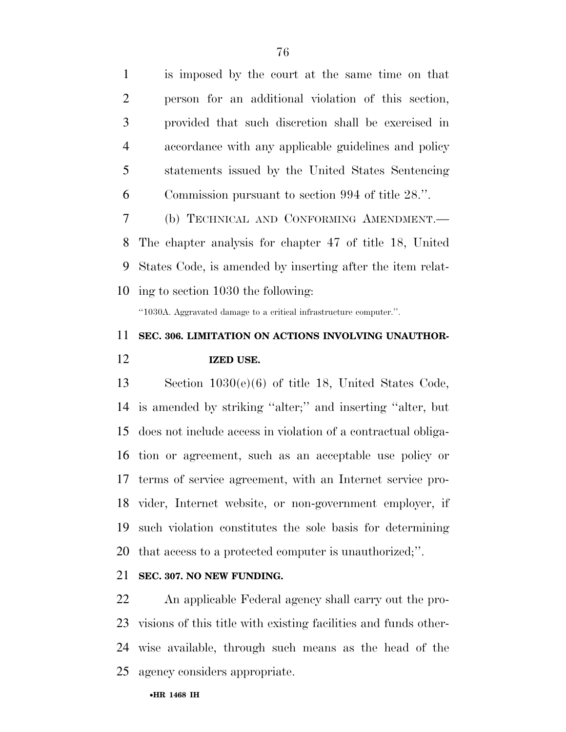is imposed by the court at the same time on that person for an additional violation of this section, provided that such discretion shall be exercised in accordance with any applicable guidelines and policy statements issued by the United States Sentencing Commission pursuant to section 994 of title 28.''. (b) TECHNICAL AND CONFORMING AMENDMENT.— The chapter analysis for chapter 47 of title 18, United

 States Code, is amended by inserting after the item relat-ing to section 1030 the following:

''1030A. Aggravated damage to a critical infrastructure computer.''.

# **SEC. 306. LIMITATION ON ACTIONS INVOLVING UNAUTHOR-IZED USE.**

 Section 1030(e)(6) of title 18, United States Code, is amended by striking ''alter;'' and inserting ''alter, but does not include access in violation of a contractual obliga- tion or agreement, such as an acceptable use policy or terms of service agreement, with an Internet service pro- vider, Internet website, or non-government employer, if such violation constitutes the sole basis for determining that access to a protected computer is unauthorized;''.

### **SEC. 307. NO NEW FUNDING.**

 An applicable Federal agency shall carry out the pro- visions of this title with existing facilities and funds other- wise available, through such means as the head of the agency considers appropriate.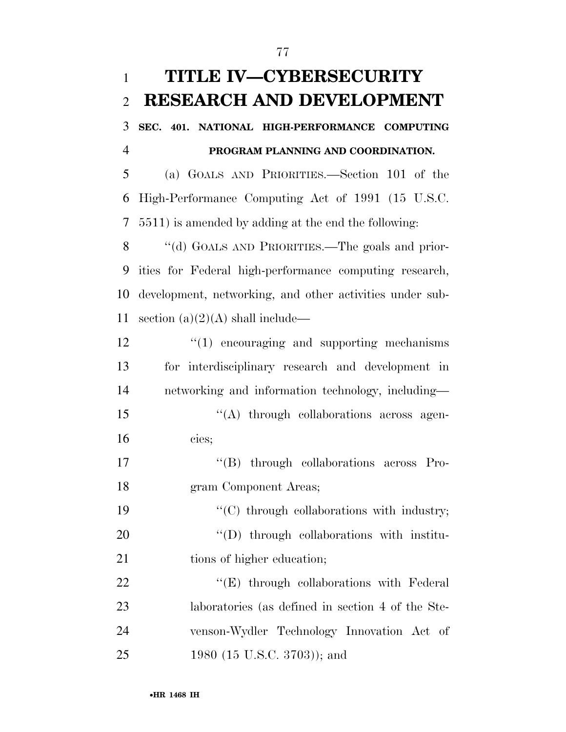(a) GOALS AND PRIORITIES.—Section 101 of the High-Performance Computing Act of 1991 (15 U.S.C. 5511) is amended by adding at the end the following:

8 "(d) GOALS AND PRIORITIES.—The goals and prior- ities for Federal high-performance computing research, development, networking, and other activities under sub-11 section  $(a)(2)(A)$  shall include—

| 12 | $\lq(1)$ encouraging and supporting mechanisms    |
|----|---------------------------------------------------|
| 13 | for interdisciplinary research and development in |
| 14 | networking and information technology, including- |
| 15 | "(A) through collaborations across agen-          |
| 16 | cies;                                             |
| 17 | "(B) through collaborations across Pro-           |
| 18 | gram Component Areas;                             |
| 19 | $\lq\lq$ through collaborations with industry;    |
| 20 | $\lq\lq$ through collaborations with institu-     |
| 21 | tions of higher education;                        |
| 22 | $\lq\lq(E)$ through collaborations with Federal   |
| 23 | laboratories (as defined in section 4 of the Ste- |
| 24 | venson-Wydler Technology Innovation Act of        |
| 25 | 1980 (15 U.S.C. 3703)); and                       |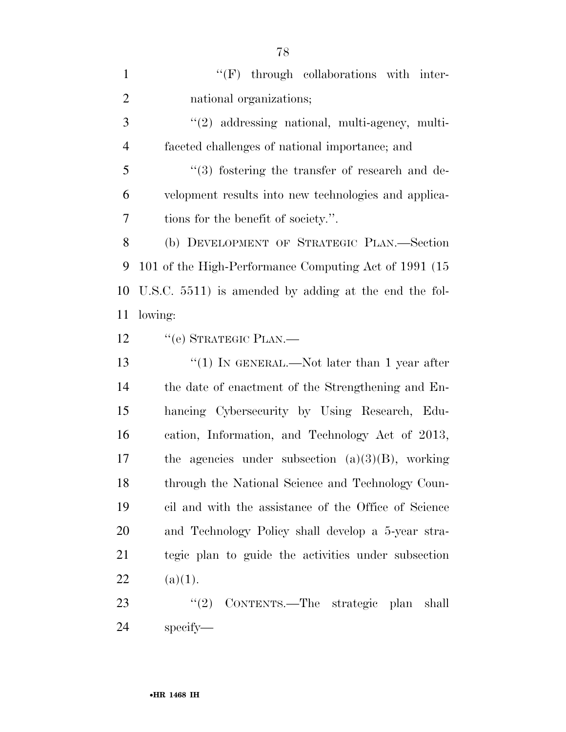$\langle 'F \rangle$  through collaborations with inter- national organizations; ''(2) addressing national, multi-agency, multi- faceted challenges of national importance; and ''(3) fostering the transfer of research and de- velopment results into new technologies and applica- tions for the benefit of society.''. (b) DEVELOPMENT OF STRATEGIC PLAN.—Section 101 of the High-Performance Computing Act of 1991 (15 U.S.C. 5511) is amended by adding at the end the fol- lowing: 12 "(e) STRATEGIC PLAN.— 13 ''(1) IN GENERAL.—Not later than 1 year after the date of enactment of the Strengthening and En- hancing Cybersecurity by Using Research, Edu- cation, Information, and Technology Act of 2013, the agencies under subsection (a)(3)(B), working 18 through the National Science and Technology Coun- cil and with the assistance of the Office of Science and Technology Policy shall develop a 5-year stra- tegic plan to guide the activities under subsection 22 (a)(1). 23 "(2) CONTENTS.—The strategic plan shall specify—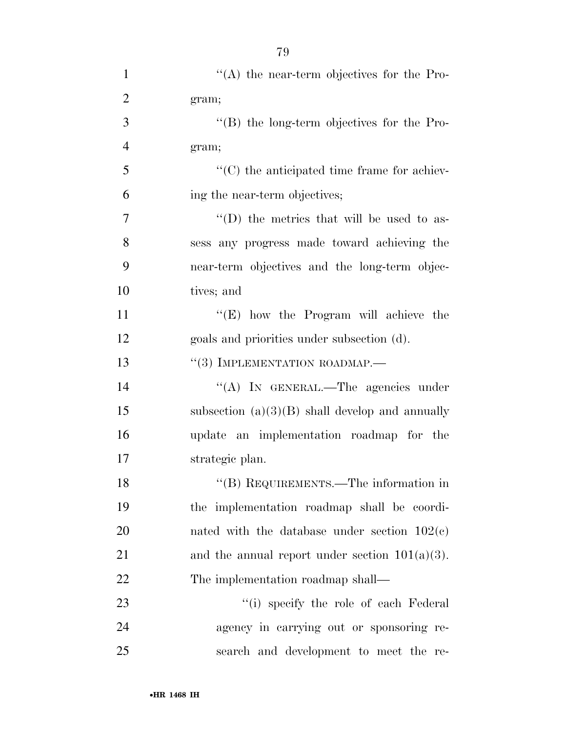| $\mathbf{1}$   | $\lq\lq$ the near-term objectives for the Pro-      |
|----------------|-----------------------------------------------------|
| $\overline{2}$ | gram;                                               |
| 3              | $\lq\lq (B)$ the long-term objectives for the Pro-  |
| $\overline{4}$ | gram;                                               |
| 5              | $\lq\lq$ (C) the anticipated time frame for achiev- |
| 6              | ing the near-term objectives;                       |
| $\overline{7}$ | "(D) the metrics that will be used to as-           |
| 8              | sess any progress made toward achieving the         |
| 9              | near-term objectives and the long-term objec-       |
| 10             | tives; and                                          |
| 11             | " $(E)$ how the Program will achieve the            |
| 12             | goals and priorities under subsection (d).          |
| 13             | $``(3)$ IMPLEMENTATION ROADMAP.—                    |
| 14             | "(A) IN GENERAL.—The agencies under                 |
| 15             | subsection $(a)(3)(B)$ shall develop and annually   |
| 16             | update an implementation roadmap for the            |
| 17             | strategic plan.                                     |
| 18             | "(B) REQUIREMENTS.—The information in               |
| 19             | the implementation roadmap shall be coordi-         |
| 20             | nated with the database under section $102(c)$      |
| 21             | and the annual report under section $101(a)(3)$ .   |
| 22             | The implementation roadmap shall—                   |
| 23             | "(i) specify the role of each Federal               |
| 24             | agency in carrying out or sponsoring re-            |
| 25             | search and development to meet the re-              |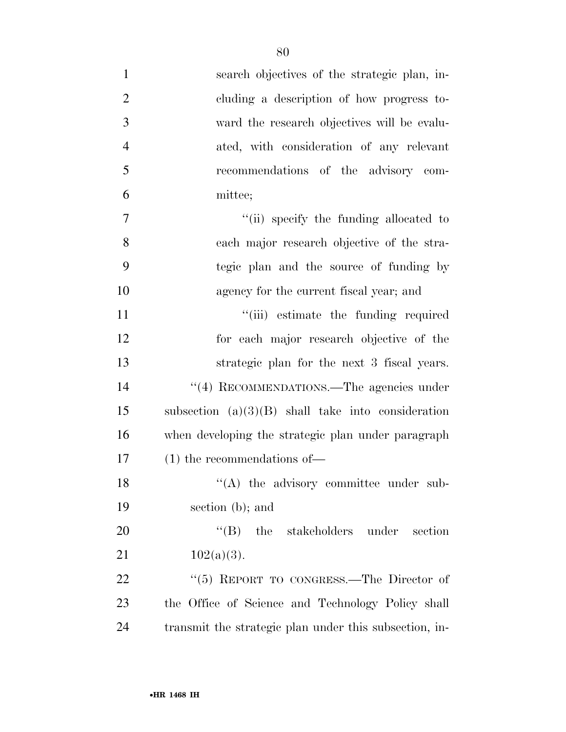| $\mathbf{1}$   | search objectives of the strategic plan, in-           |
|----------------|--------------------------------------------------------|
| $\overline{2}$ | cluding a description of how progress to-              |
| 3              | ward the research objectives will be evalu-            |
| $\overline{4}$ | ated, with consideration of any relevant               |
| 5              | recommendations of the advisory com-                   |
| 6              | mittee;                                                |
| 7              | "(ii) specify the funding allocated to                 |
| 8              | each major research objective of the stra-             |
| 9              | tegic plan and the source of funding by                |
| 10             | agency for the current fiscal year; and                |
| 11             | "(iii) estimate the funding required                   |
| 12             | for each major research objective of the               |
| 13             | strategic plan for the next 3 fiscal years.            |
| 14             | "(4) RECOMMENDATIONS.—The agencies under               |
| 15             | subsection $(a)(3)(B)$ shall take into consideration   |
| 16             | when developing the strategic plan under paragraph     |
| 17             | $(1)$ the recommendations of —                         |
| 18             | $\lq($ A) the advisory committee under sub-            |
| 19             | section (b); and                                       |
| 20             | $\lq\lq(B)$ the stakeholders under section             |
| 21             | $102(a)(3)$ .                                          |
| 22             | " $(5)$ REPORT TO CONGRESS.—The Director of            |
| 23             | the Office of Science and Technology Policy shall      |
| 24             | transmit the strategic plan under this subsection, in- |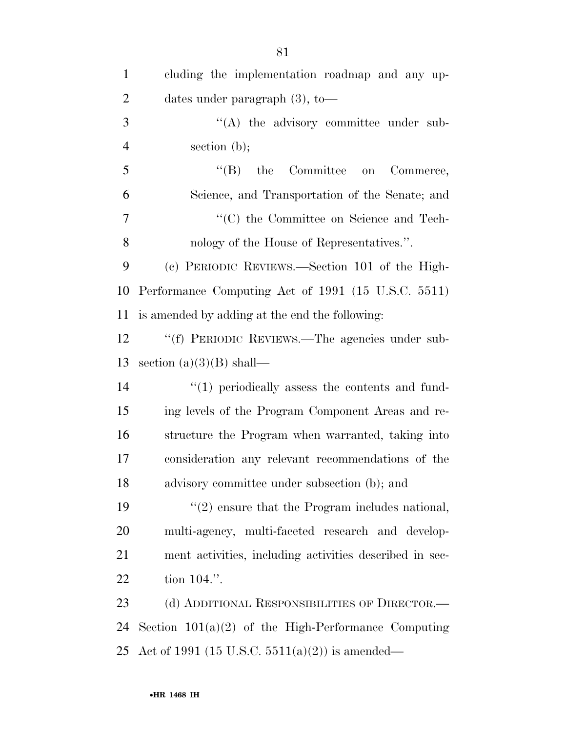| $\mathbf{1}$   | cluding the implementation roadmap and any up-          |
|----------------|---------------------------------------------------------|
| $\overline{2}$ | dates under paragraph $(3)$ , to-                       |
| 3              | "(A) the advisory committee under sub-                  |
| $\overline{4}$ | section $(b)$ ;                                         |
| 5              | $\lq\lq(B)$ the<br>Committee<br>Commerce,<br>on         |
| 6              | Science, and Transportation of the Senate; and          |
| 7              | "(C) the Committee on Science and Tech-                 |
| 8              | nology of the House of Representatives.".               |
| 9              | (c) PERIODIC REVIEWS.—Section 101 of the High-          |
| 10             | Performance Computing Act of 1991 (15 U.S.C. 5511)      |
| 11             | is amended by adding at the end the following:          |
| 12             | "(f) PERIODIC REVIEWS.—The agencies under sub-          |
| 13             | section $(a)(3)(B)$ shall—                              |
| 14             | $\lq(1)$ periodically assess the contents and fund-     |
| 15             | ing levels of the Program Component Areas and re-       |
| 16             | structure the Program when warranted, taking into       |
| 17             | consideration any relevant recommendations of the       |
| 18             | advisory committee under subsection (b); and            |
| 19             | $\lq(2)$ ensure that the Program includes national,     |
| 20             | multi-agency, multi-faceted research and develop-       |
| 21             | ment activities, including activities described in sec- |
| 22             | tion 104.".                                             |
| 23             | (d) ADDITIONAL RESPONSIBILITIES OF DIRECTOR.—           |
| 24             | Section $101(a)(2)$ of the High-Performance Computing   |
| 25             | Act of 1991 (15 U.S.C. 5511(a)(2)) is amended—          |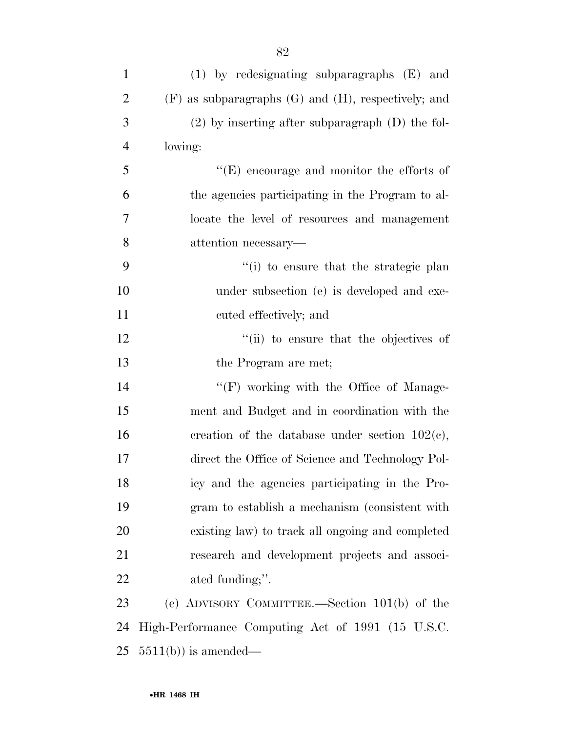| $\mathbf{1}$   | $(1)$ by redesignating subparagraphs $(E)$ and             |
|----------------|------------------------------------------------------------|
| $\overline{2}$ | $(F)$ as subparagraphs $(G)$ and $(H)$ , respectively; and |
| 3              | $(2)$ by inserting after subparagraph $(D)$ the fol-       |
| $\overline{4}$ | lowing:                                                    |
| 5              | $\lq\lq(E)$ encourage and monitor the efforts of           |
| 6              | the agencies participating in the Program to al-           |
| 7              | locate the level of resources and management               |
| 8              | attention necessary—                                       |
| 9              | "(i) to ensure that the strategic plan                     |
| 10             | under subsection (e) is developed and exe-                 |
| 11             | cuted effectively; and                                     |
| 12             | "(ii) to ensure that the objectives of                     |
| 13             | the Program are met;                                       |
| 14             | $\lq\lq(F)$ working with the Office of Manage-             |
| 15             | ment and Budget and in coordination with the               |
| 16             | creation of the database under section $102(e)$ ,          |
| 17             | direct the Office of Science and Technology Pol-           |
| 18             | icy and the agencies participating in the Pro-             |
| 19             | gram to establish a mechanism (consistent with             |
| <b>20</b>      | existing law) to track all ongoing and completed           |
| 21             | research and development projects and associ-              |
| 22             | ated funding;".                                            |
| 23             | (e) ADVISORY COMMITTEE.—Section 101(b) of the              |
| 24             | High-Performance Computing Act of 1991 (15 U.S.C.          |
| 25             | $5511(b)$ is amended—                                      |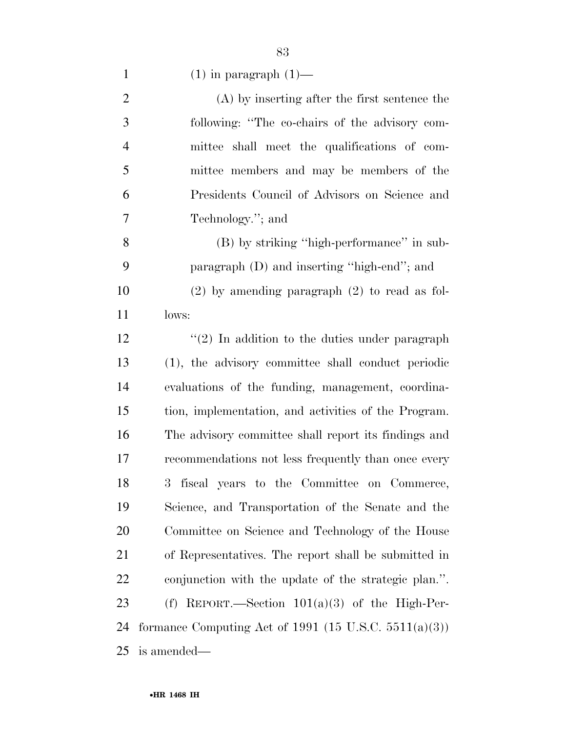1  $(1)$  in paragraph  $(1)$ —

| $\mathbf{2}$   | (A) by inserting after the first sentence the            |
|----------------|----------------------------------------------------------|
| 3              | following: "The co-chairs of the advisory com-           |
| $\overline{4}$ | mittee shall meet the qualifications of com-             |
| 5              | mittee members and may be members of the                 |
| 6              | Presidents Council of Advisors on Science and            |
| $\overline{7}$ | Technology."; and                                        |
| 8              | (B) by striking "high-performance" in sub-               |
| 9              | paragraph (D) and inserting "high-end"; and              |
| 10             | $(2)$ by amending paragraph $(2)$ to read as fol-        |
| 11             | lows:                                                    |
| 12             | $\lq(2)$ In addition to the duties under paragraph       |
| 13             | (1), the advisory committee shall conduct periodic       |
| 14             | evaluations of the funding, management, coordina-        |
| 15             | tion, implementation, and activities of the Program.     |
| 16             | The advisory committee shall report its findings and     |
| 17             | recommendations not less frequently than once every      |
| 18             | fiscal years to the Committee on Commerce,<br>$3^-$      |
| 19             | Science, and Transportation of the Senate and the        |
| 20             | Committee on Science and Technology of the House         |
| 21             | of Representatives. The report shall be submitted in     |
| 22             | conjunction with the update of the strategic plan.".     |
| 23             | REPORT.—Section $101(a)(3)$ of the High-Per-<br>(f)      |
| 24             | formance Computing Act of 1991 (15 U.S.C. $5511(a)(3)$ ) |
| 25             | is amended—                                              |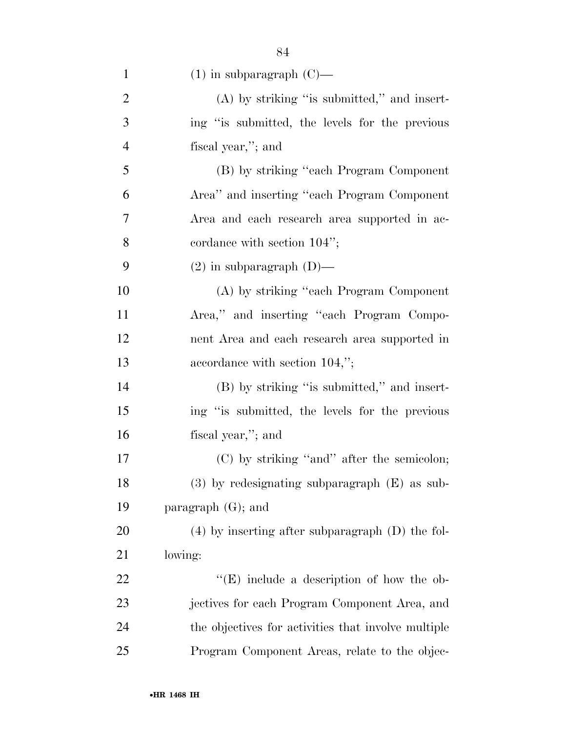| $\mathbf{1}$   | $(1)$ in subparagraph $(C)$ —                        |
|----------------|------------------------------------------------------|
| $\overline{2}$ | $(A)$ by striking "is submitted," and insert-        |
| 3              | ing "is submitted, the levels for the previous       |
| $\overline{4}$ | fiscal year,"; and                                   |
| 5              | (B) by striking "each Program Component              |
| 6              | Area" and inserting "each Program Component"         |
| 7              | Area and each research area supported in ac-         |
| 8              | cordance with section $104$ ";                       |
| 9              | $(2)$ in subparagraph $(D)$ —                        |
| 10             | (A) by striking "each Program Component"             |
| 11             | Area," and inserting "each Program Compo-            |
| 12             | nent Area and each research area supported in        |
| 13             | accordance with section 104,";                       |
| 14             | (B) by striking "is submitted," and insert-          |
| 15             | ing "is submitted, the levels for the previous       |
| 16             | fiscal year,"; and                                   |
| 17             | (C) by striking "and" after the semicolon;           |
| 18             | $(3)$ by redesignating subparagraph $(E)$ as sub-    |
| 19             | paragraph $(G)$ ; and                                |
| 20             | $(4)$ by inserting after subparagraph $(D)$ the fol- |
| 21             | lowing:                                              |
| 22             | $\lq\lq(E)$ include a description of how the ob-     |
| 23             | jectives for each Program Component Area, and        |
| 24             | the objectives for activities that involve multiple  |
| 25             | Program Component Areas, relate to the objec-        |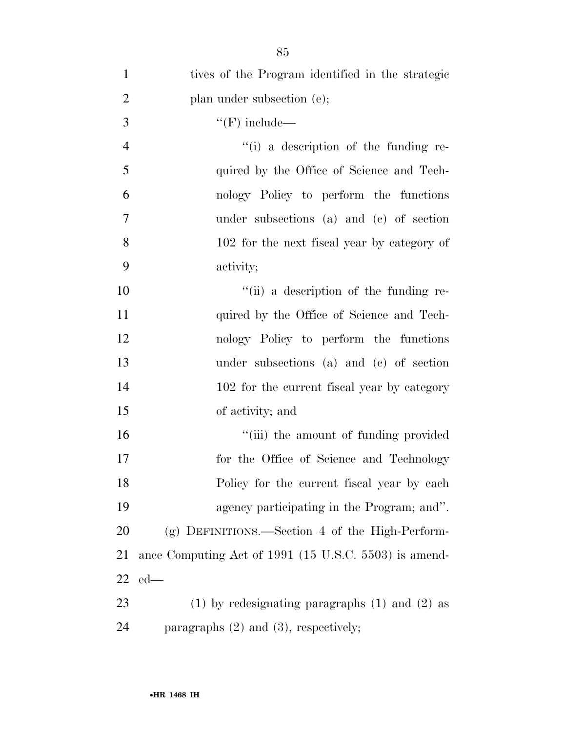| $\mathbf{1}$   | tives of the Program identified in the strategic      |
|----------------|-------------------------------------------------------|
| $\overline{2}$ | plan under subsection (e);                            |
| 3              | $\lq\lq(F)$ include—                                  |
| $\overline{4}$ | $``(i)$ a description of the funding re-              |
| 5              | quired by the Office of Science and Tech-             |
| 6              | nology Policy to perform the functions                |
| $\overline{7}$ | under subsections (a) and (c) of section              |
| 8              | 102 for the next fiscal year by category of           |
| 9              | activity;                                             |
| 10             | "(ii) a description of the funding re-                |
| 11             | quired by the Office of Science and Tech-             |
| 12             | nology Policy to perform the functions                |
| 13             | under subsections (a) and (c) of section              |
| 14             | 102 for the current fiscal year by category           |
| 15             | of activity; and                                      |
| 16             | "(iii) the amount of funding provided                 |
| 17             | for the Office of Science and Technology              |
| 18             | Policy for the current fiscal year by each            |
| 19             | agency participating in the Program; and".            |
| 20             | $(g)$ DEFINITIONS.—Section 4 of the High-Perform-     |
| 21             | ance Computing Act of 1991 (15 U.S.C. 5503) is amend- |
| 22             | $ed$ —                                                |
| 23             | $(1)$ by redesignating paragraphs $(1)$ and $(2)$ as  |
| 24             | paragraphs $(2)$ and $(3)$ , respectively;            |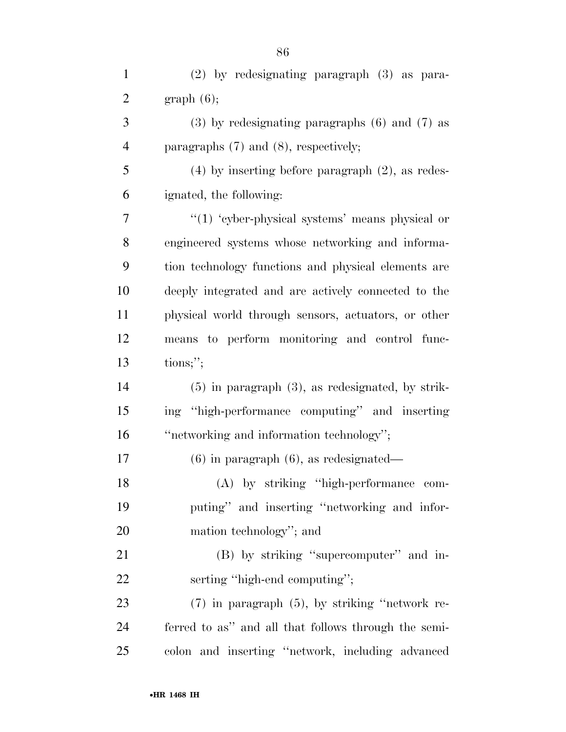| $\mathbf{1}$   | $(2)$ by redesignating paragraph $(3)$ as para-       |
|----------------|-------------------------------------------------------|
| $\overline{c}$ | graph(6);                                             |
| 3              | $(3)$ by redesignating paragraphs $(6)$ and $(7)$ as  |
| $\overline{4}$ | paragraphs $(7)$ and $(8)$ , respectively;            |
| 5              | $(4)$ by inserting before paragraph $(2)$ , as redes- |
| 6              | ignated, the following:                               |
| 7              | " $(1)$ 'cyber-physical systems' means physical or    |
| 8              | engineered systems whose networking and informa-      |
| 9              | tion technology functions and physical elements are   |
| 10             | deeply integrated and are actively connected to the   |
| 11             | physical world through sensors, actuators, or other   |
| 12             | means to perform monitoring and control func-         |
| 13             | tions;                                                |
| 14             | $(5)$ in paragraph $(3)$ , as redesignated, by strik- |
| 15             | ing "high-performance computing" and inserting        |
| 16             | "networking and information technology";              |
| 17             | $(6)$ in paragraph $(6)$ , as redesignated—           |
| 18             | (A) by striking "high-performance com-                |
| 19             | puting" and inserting "networking and infor-          |
| 20             | mation technology"; and                               |
| 21             | (B) by striking "supercomputer" and in-               |
| 22             | serting "high-end computing";                         |
| 23             | $(7)$ in paragraph $(5)$ , by striking "network re-   |
| 24             | ferred to as" and all that follows through the semi-  |
| 25             | colon and inserting "network, including advanced      |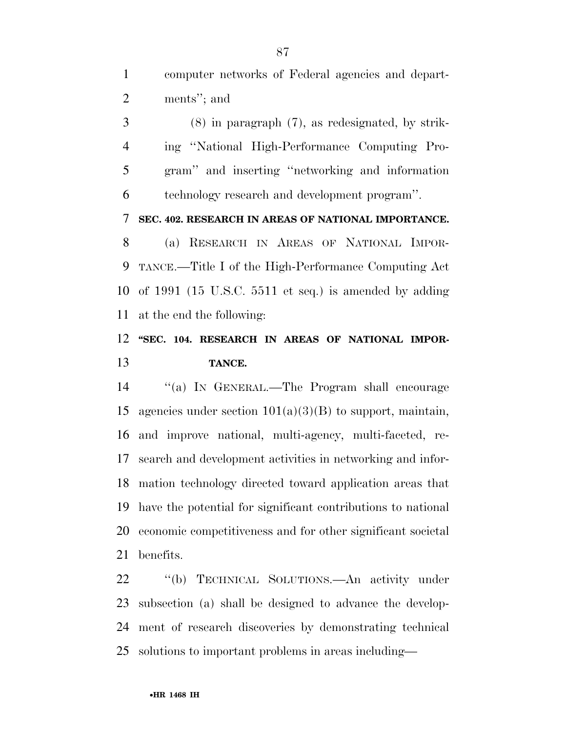computer networks of Federal agencies and depart-ments''; and

 (8) in paragraph (7), as redesignated, by strik- ing ''National High-Performance Computing Pro- gram'' and inserting ''networking and information technology research and development program''.

**SEC. 402. RESEARCH IN AREAS OF NATIONAL IMPORTANCE.** 

 (a) RESEARCH IN AREAS OF NATIONAL IMPOR- TANCE.—Title I of the High-Performance Computing Act of 1991 (15 U.S.C. 5511 et seq.) is amended by adding at the end the following:

## **''SEC. 104. RESEARCH IN AREAS OF NATIONAL IMPOR-TANCE.**

 ''(a) IN GENERAL.—The Program shall encourage 15 agencies under section  $101(a)(3)(B)$  to support, maintain, and improve national, multi-agency, multi-faceted, re- search and development activities in networking and infor- mation technology directed toward application areas that have the potential for significant contributions to national economic competitiveness and for other significant societal benefits.

 ''(b) TECHNICAL SOLUTIONS.—An activity under subsection (a) shall be designed to advance the develop- ment of research discoveries by demonstrating technical solutions to important problems in areas including—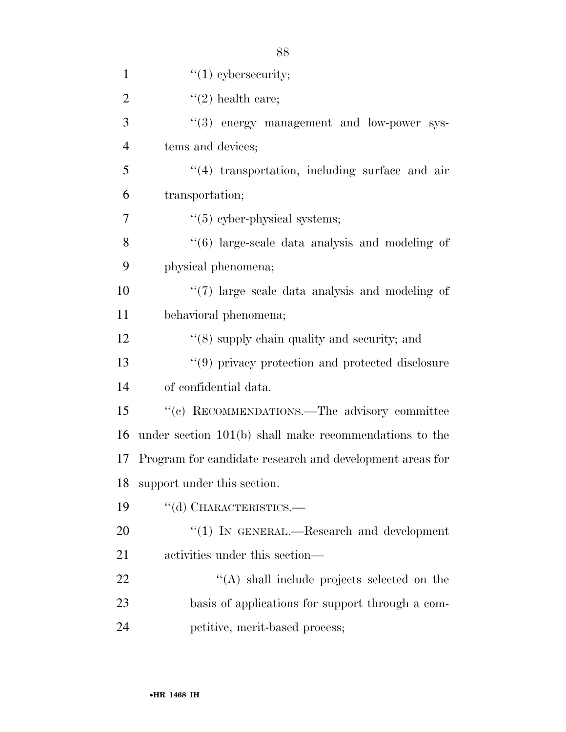| $\mathbf{1}$   | " $(1)$ cybersecurity;                                         |
|----------------|----------------------------------------------------------------|
| $\overline{2}$ | $(2)$ health care;                                             |
| 3              | "(3) energy management and low-power sys-                      |
| $\overline{4}$ | tems and devices;                                              |
| 5              | $\lq(4)$ transportation, including surface and air             |
| 6              | transportation;                                                |
| 7              | $\lq(5)$ cyber-physical systems;                               |
| 8              | $\cdot\cdot\cdot(6)$ large-scale data analysis and modeling of |
| 9              | physical phenomena;                                            |
| 10             | $\lq(7)$ large scale data analysis and modeling of             |
| 11             | behavioral phenomena;                                          |
| 12             | $\cdot$ (8) supply chain quality and security; and             |
| 13             | "(9) privacy protection and protected disclosure               |
| 14             | of confidential data.                                          |
| 15             | "(c) RECOMMENDATIONS.—The advisory committee                   |
| 16             | under section $101(b)$ shall make recommendations to the       |
|                | 17 Program for candidate research and development areas for    |
| 18             | support under this section.                                    |
| 19             | "(d) CHARACTERISTICS.—                                         |
| 20             | "(1) IN GENERAL.—Research and development                      |
| 21             | activities under this section—                                 |
| 22             | "(A) shall include projects selected on the                    |
| 23             | basis of applications for support through a com-               |
| 24             | petitive, merit-based process;                                 |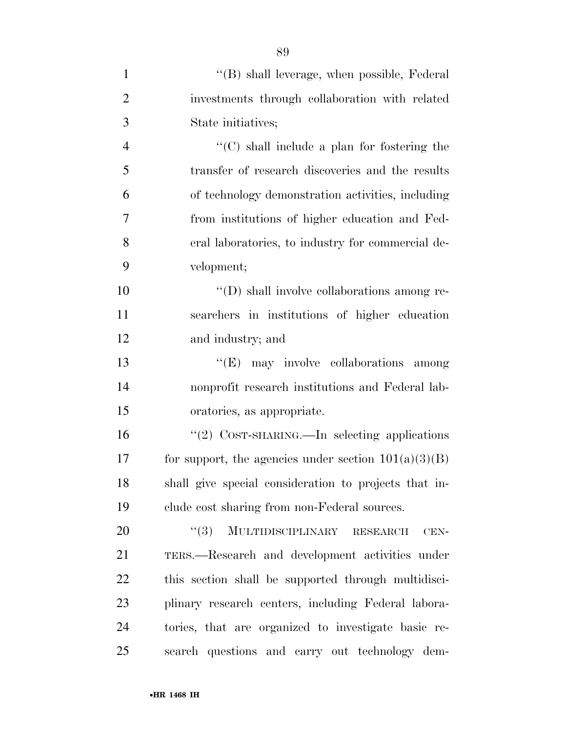| $\mathbf{1}$   | "(B) shall leverage, when possible, Federal            |
|----------------|--------------------------------------------------------|
| $\overline{2}$ | investments through collaboration with related         |
| 3              | State initiatives;                                     |
| $\overline{4}$ | $\cdot$ (C) shall include a plan for fostering the     |
| 5              | transfer of research discoveries and the results       |
| 6              | of technology demonstration activities, including      |
| 7              | from institutions of higher education and Fed-         |
| 8              | eral laboratories, to industry for commercial de-      |
| 9              | velopment;                                             |
| 10             | $\lq\lq$ (D) shall involve collaborations among re-    |
| 11             | searchers in institutions of higher education          |
| 12             | and industry; and                                      |
| 13             | "(E) may involve collaborations among                  |
| 14             | nonprofit research institutions and Federal lab-       |
| 15             | oratories, as appropriate.                             |
| 16             | "(2) COST-SHARING.—In selecting applications           |
| 17             | for support, the agencies under section $101(a)(3)(B)$ |
| 18             | shall give special consideration to projects that in-  |
| 19             | clude cost sharing from non-Federal sources.           |
| 20             | MULTIDISCIPLINARY<br>(3)<br><b>RESEARCH</b><br>CEN-    |
| 21             | TERS.—Research and development activities under        |
| 22             | this section shall be supported through multidisci-    |
| 23             | plinary research centers, including Federal labora-    |
| 24             | tories, that are organized to investigate basic re-    |
| 25             | search questions and carry out technology dem-         |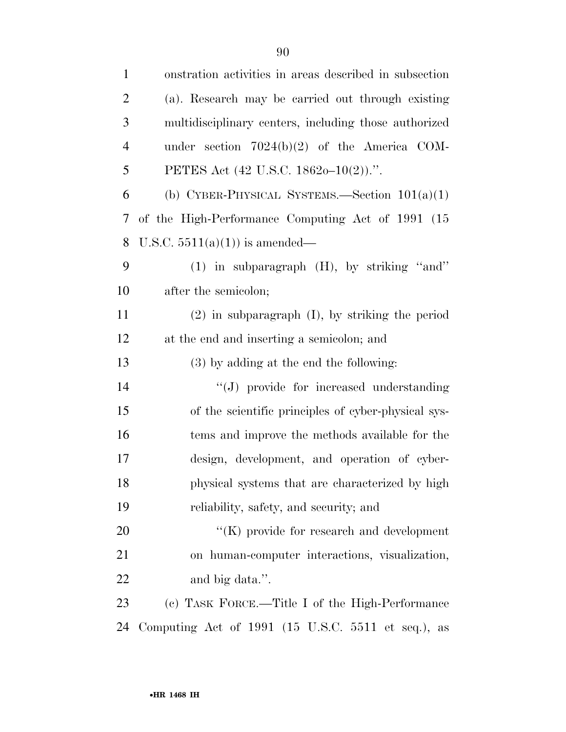| $\mathbf{1}$   | onstration activities in areas described in subsection |
|----------------|--------------------------------------------------------|
| $\overline{2}$ | (a). Research may be carried out through existing      |
| 3              | multidisciplinary centers, including those authorized  |
| $\overline{4}$ | under section $7024(b)(2)$ of the America COM-         |
| 5              | PETES Act (42 U.S.C. 1862o-10(2)).".                   |
| 6              | (b) CYBER-PHYSICAL SYSTEMS.—Section $101(a)(1)$        |
| 7              | of the High-Performance Computing Act of 1991 (15      |
| 8              | U.S.C. $5511(a)(1)$ is amended—                        |
| 9              | $(1)$ in subparagraph $(H)$ , by striking "and"        |
| 10             | after the semicolon;                                   |
| 11             | $(2)$ in subparagraph $(I)$ , by striking the period   |
| 12             | at the end and inserting a semicolon; and              |
| 13             | (3) by adding at the end the following:                |
| 14             | "(J) provide for increased understanding               |
| 15             | of the scientific principles of cyber-physical sys-    |
| 16             | tems and improve the methods available for the         |
| 17             | design, development, and operation of cyber-           |
| 18             | physical systems that are characterized by high        |
| 19             | reliability, safety, and security; and                 |
| 20             | $\lq\lq(K)$ provide for research and development       |
| 21             | on human-computer interactions, visualization,         |
| 22             | and big data.".                                        |
| 23             | (c) TASK FORCE.—Title I of the High-Performance        |
| 24             | Computing Act of 1991 (15 U.S.C. 5511 et seq.), as     |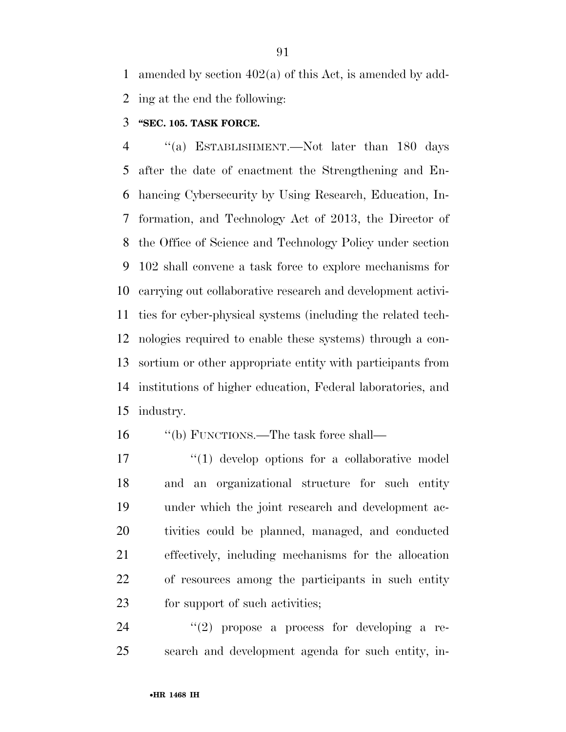amended by section 402(a) of this Act, is amended by add-ing at the end the following:

### **''SEC. 105. TASK FORCE.**

 ''(a) ESTABLISHMENT.—Not later than 180 days after the date of enactment the Strengthening and En- hancing Cybersecurity by Using Research, Education, In- formation, and Technology Act of 2013, the Director of the Office of Science and Technology Policy under section 102 shall convene a task force to explore mechanisms for carrying out collaborative research and development activi- ties for cyber-physical systems (including the related tech- nologies required to enable these systems) through a con- sortium or other appropriate entity with participants from institutions of higher education, Federal laboratories, and industry.

16 ''(b) FUNCTIONS.—The task force shall—

17 ''(1) develop options for a collaborative model and an organizational structure for such entity under which the joint research and development ac- tivities could be planned, managed, and conducted effectively, including mechanisms for the allocation of resources among the participants in such entity 23 for support of such activities;

24  $(2)$  propose a process for developing a re-search and development agenda for such entity, in-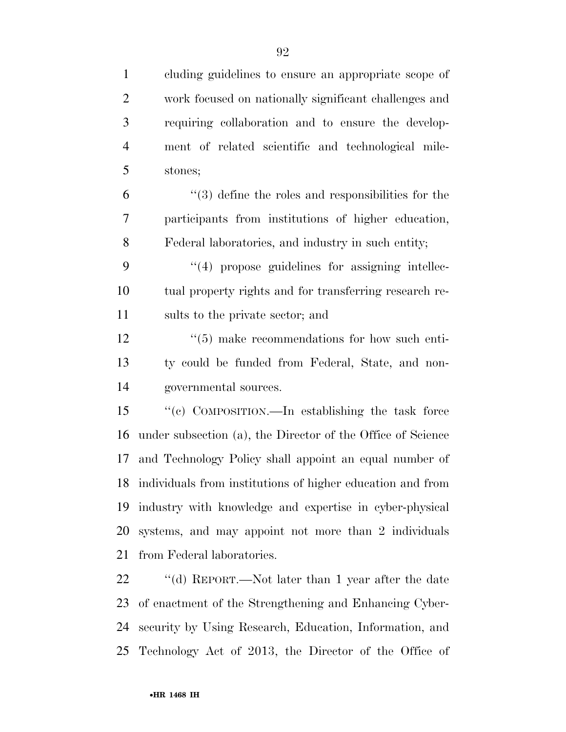cluding guidelines to ensure an appropriate scope of work focused on nationally significant challenges and requiring collaboration and to ensure the develop- ment of related scientific and technological mile- stones; ''(3) define the roles and responsibilities for the participants from institutions of higher education, Federal laboratories, and industry in such entity;  $(4)$  propose guidelines for assigning intellec- tual property rights and for transferring research re- sults to the private sector; and  $\frac{1}{5}$  make recommendations for how such enti- ty could be funded from Federal, State, and non- governmental sources. ''(c) COMPOSITION.—In establishing the task force under subsection (a), the Director of the Office of Science and Technology Policy shall appoint an equal number of individuals from institutions of higher education and from industry with knowledge and expertise in cyber-physical systems, and may appoint not more than 2 individuals from Federal laboratories.

 ''(d) REPORT.—Not later than 1 year after the date of enactment of the Strengthening and Enhancing Cyber- security by Using Research, Education, Information, and Technology Act of 2013, the Director of the Office of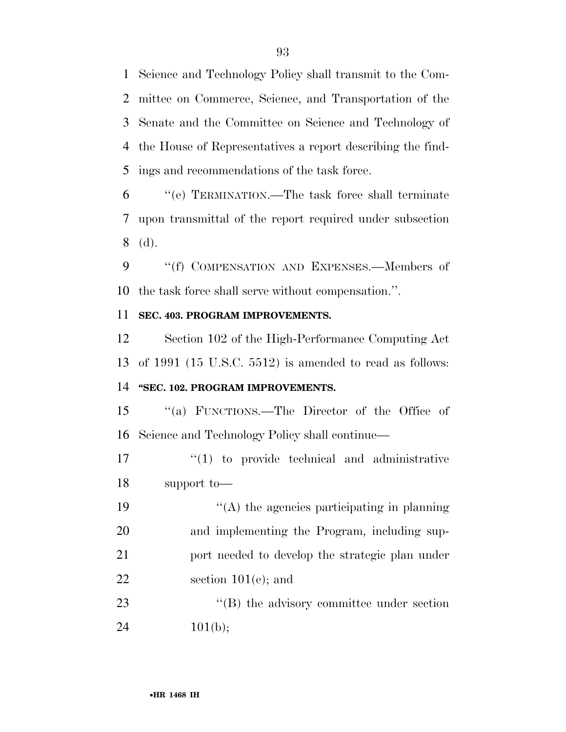Science and Technology Policy shall transmit to the Com- mittee on Commerce, Science, and Transportation of the Senate and the Committee on Science and Technology of the House of Representatives a report describing the find-ings and recommendations of the task force.

 ''(e) TERMINATION.—The task force shall terminate upon transmittal of the report required under subsection (d).

9 "(f) COMPENSATION AND EXPENSES.—Members of the task force shall serve without compensation.''.

### **SEC. 403. PROGRAM IMPROVEMENTS.**

 Section 102 of the High-Performance Computing Act of 1991 (15 U.S.C. 5512) is amended to read as follows: **''SEC. 102. PROGRAM IMPROVEMENTS.** 

 ''(a) FUNCTIONS.—The Director of the Office of Science and Technology Policy shall continue—

17  $\frac{17}{2}$  to provide technical and administrative support to—

 ''(A) the agencies participating in planning and implementing the Program, including sup- port needed to develop the strategic plan under section 101(e); and

23 ''(B) the advisory committee under section 24  $101(b);$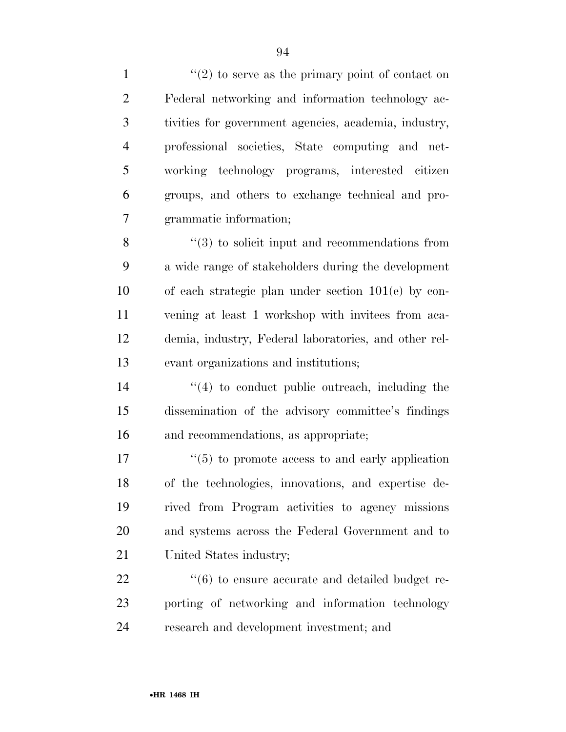$\frac{1}{2}$  to serve as the primary point of contact on Federal networking and information technology ac- tivities for government agencies, academia, industry, professional societies, State computing and net- working technology programs, interested citizen groups, and others to exchange technical and pro-grammatic information;

8 ''(3) to solicit input and recommendations from a wide range of stakeholders during the development of each strategic plan under section 101(e) by con- vening at least 1 workshop with invitees from aca- demia, industry, Federal laboratories, and other rel-evant organizations and institutions;

14 ''(4) to conduct public outreach, including the dissemination of the advisory committee's findings and recommendations, as appropriate;

 $\frac{17}{17}$  ''(5) to promote access to and early application of the technologies, innovations, and expertise de- rived from Program activities to agency missions and systems across the Federal Government and to United States industry;

 $\frac{22}{16}$  ''(6) to ensure accurate and detailed budget re- porting of networking and information technology research and development investment; and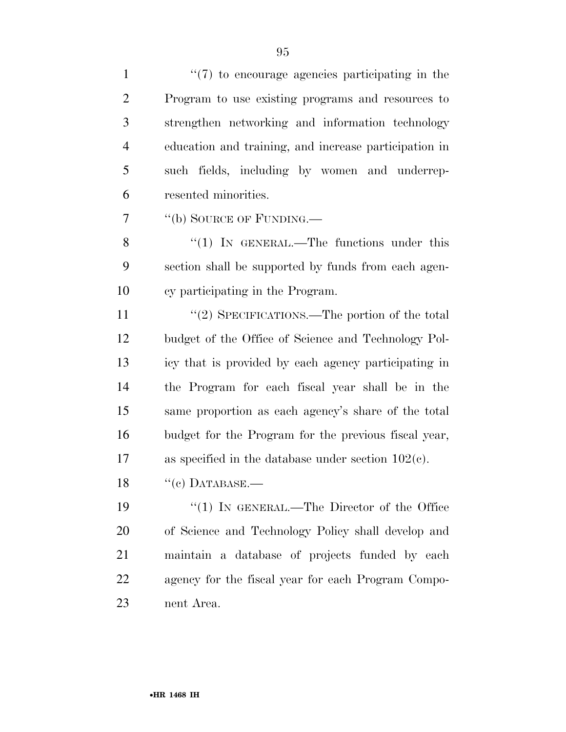| $\mathbf{1}$   | $\lq(7)$ to encourage agencies participating in the   |
|----------------|-------------------------------------------------------|
| $\overline{2}$ | Program to use existing programs and resources to     |
| 3              | strengthen networking and information technology      |
| $\overline{4}$ | education and training, and increase participation in |
| 5              | such fields, including by women and underrep-         |
| 6              | resented minorities.                                  |
| 7              | "(b) SOURCE OF FUNDING.—                              |
| 8              | "(1) IN GENERAL.—The functions under this             |
| 9              | section shall be supported by funds from each agen-   |
| 10             | cy participating in the Program.                      |
| 11             | "(2) SPECIFICATIONS.—The portion of the total         |
| 12             | budget of the Office of Science and Technology Pol-   |
| 13             | icy that is provided by each agency participating in  |
| 14             | the Program for each fiscal year shall be in the      |
| 15             | same proportion as each agency's share of the total   |
| 16             | budget for the Program for the previous fiscal year,  |
| 17             | as specified in the database under section $102(c)$ . |
| 18             | $``(c)$ DATABASE.—                                    |
| 19             | "(1) IN GENERAL.—The Director of the Office           |
| 20             | of Science and Technology Policy shall develop and    |
| 21             | maintain a database of projects funded by each        |
| 22             | agency for the fiscal year for each Program Compo-    |
| 23             | nent Area.                                            |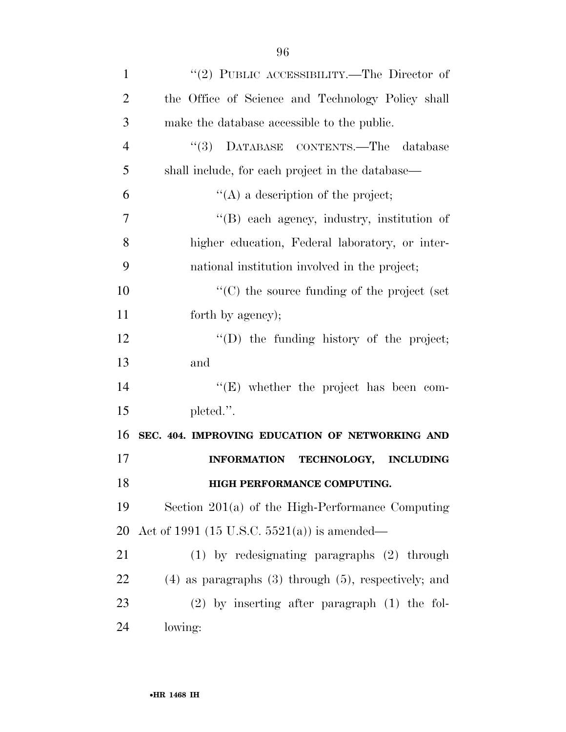| $\mathbf{1}$   | "(2) PUBLIC ACCESSIBILITY.—The Director of                   |
|----------------|--------------------------------------------------------------|
| $\overline{2}$ | the Office of Science and Technology Policy shall            |
| 3              | make the database accessible to the public.                  |
| $\overline{4}$ | DATABASE CONTENTS.-The database<br>(3)                       |
| 5              | shall include, for each project in the database—             |
| 6              | $\lq\lq$ a description of the project;                       |
| 7              | "(B) each agency, industry, institution of                   |
| 8              | higher education, Federal laboratory, or inter-              |
| 9              | national institution involved in the project;                |
| 10             | $\lq\lq$ (C) the source funding of the project (set          |
| 11             | forth by agency);                                            |
| 12             | $\lq\lq$ the funding history of the project;                 |
| 13             | and                                                          |
| 14             | $\lq\lq$ (E) whether the project has been com-               |
| 15             | pleted.".                                                    |
| 16             | SEC. 404. IMPROVING EDUCATION OF NETWORKING AND              |
| 17             | <b>INFORMATION</b><br><b>TECHNOLOGY,</b><br><b>INCLUDING</b> |
| 18             | HIGH PERFORMANCE COMPUTING.                                  |
| 19             | Section $201(a)$ of the High-Performance Computing           |
| 20             | Act of 1991 (15 U.S.C. 5521(a)) is amended—                  |
| 21             | $(1)$ by redesignating paragraphs $(2)$ through              |
| 22             | $(4)$ as paragraphs $(3)$ through $(5)$ , respectively; and  |
| 23             | $(2)$ by inserting after paragraph $(1)$ the fol-            |
| 24             | lowing:                                                      |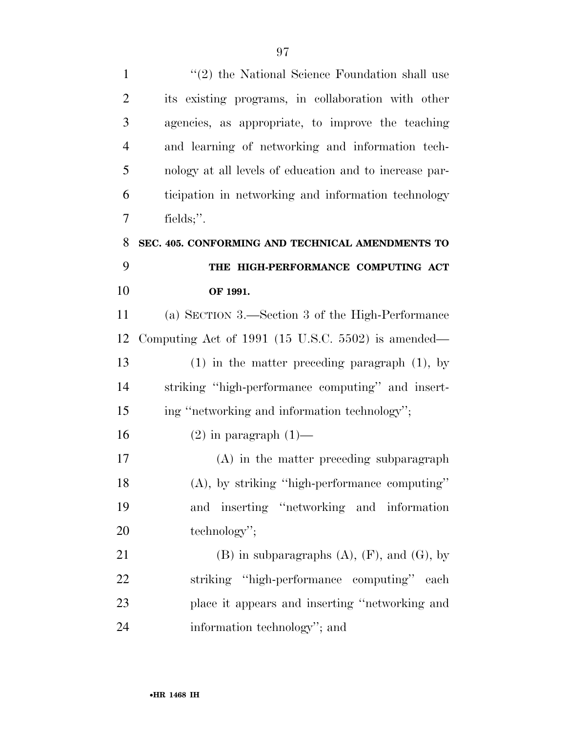| $\mathbf{1}$   | $\lq(2)$ the National Science Foundation shall use     |
|----------------|--------------------------------------------------------|
| $\overline{2}$ | its existing programs, in collaboration with other     |
| 3              | agencies, as appropriate, to improve the teaching      |
| $\overline{4}$ | and learning of networking and information tech-       |
| 5              | nology at all levels of education and to increase par- |
| 6              | ticipation in networking and information technology    |
| 7              | fields;".                                              |
| 8              | SEC. 405. CONFORMING AND TECHNICAL AMENDMENTS TO       |
| 9              | THE HIGH-PERFORMANCE COMPUTING ACT                     |
| 10             | OF 1991.                                               |
| 11             | (a) SECTION 3.—Section 3 of the High-Performance       |
| 12             | Computing Act of 1991 (15 U.S.C. 5502) is amended—     |
| 13             | $(1)$ in the matter preceding paragraph $(1)$ , by     |
| 14             | striking "high-performance computing" and insert-      |
| 15             | ing "networking and information technology";           |
| 16             | $(2)$ in paragraph $(1)$ —                             |
| 17             | $(A)$ in the matter preceding subparagraph             |
| 18             | $(A)$ , by striking "high-performance computing"       |
| 19             | inserting "networking and information<br>and           |
| 20             | technology";                                           |
| 21             | $(B)$ in subparagraphs $(A)$ , $(F)$ , and $(G)$ , by  |
| 22             | striking "high-performance computing" each             |
| 23             | place it appears and inserting "networking and         |
| 24             | information technology"; and                           |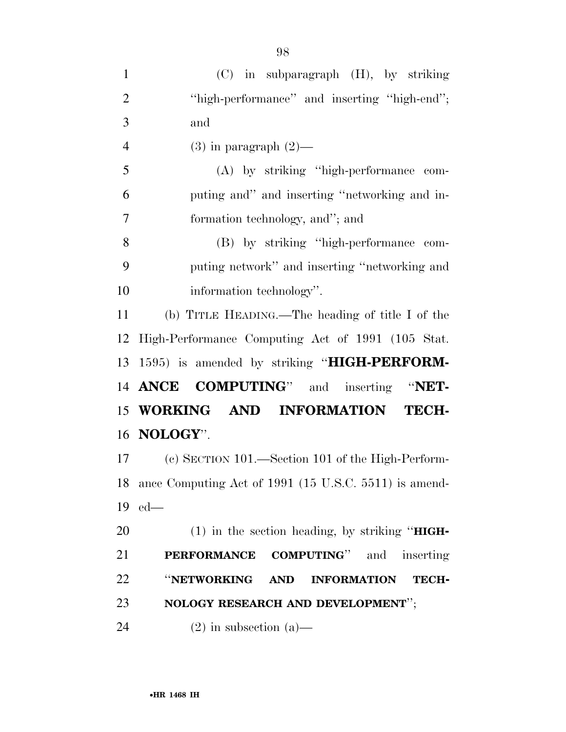| $\mathbf{1}$   | $(C)$ in subparagraph $(H)$ , by striking                |
|----------------|----------------------------------------------------------|
| $\overline{2}$ | "high-performance" and inserting "high-end";             |
| 3              | and                                                      |
| $\overline{4}$ | $(3)$ in paragraph $(2)$ —                               |
| 5              | (A) by striking "high-performance com-                   |
| 6              | puting and" and inserting "networking and in-            |
| $\overline{7}$ | formation technology, and"; and                          |
| 8              | (B) by striking "high-performance com-                   |
| 9              | puting network" and inserting "networking and            |
| 10             | information technology".                                 |
| 11             | (b) TITLE HEADING.—The heading of title I of the         |
| 12             | High-Performance Computing Act of 1991 (105 Stat.        |
|                | 13 1595) is amended by striking "HIGH-PERFORM-           |
|                | 14 ANCE COMPUTING" and inserting "NET-                   |
|                | 15 WORKING AND INFORMATION TECH-                         |
|                | 16 <b>NOLOGY</b> ".                                      |
|                | (c) SECTION 101.—Section 101 of the High-Perform-<br>17  |
|                | 18 ance Computing Act of 1991 (15 U.S.C. 5511) is amend- |
| 19             | $ed$ —                                                   |
| 20             | $(1)$ in the section heading, by striking "HIGH-         |
| 21             | PERFORMANCE COMPUTING" and inserting                     |
| 22             | "NETWORKING AND<br><b>INFORMATION</b><br><b>TECH-</b>    |
| 23             | NOLOGY RESEARCH AND DEVELOPMENT";                        |
|                |                                                          |

24 (2) in subsection (a)—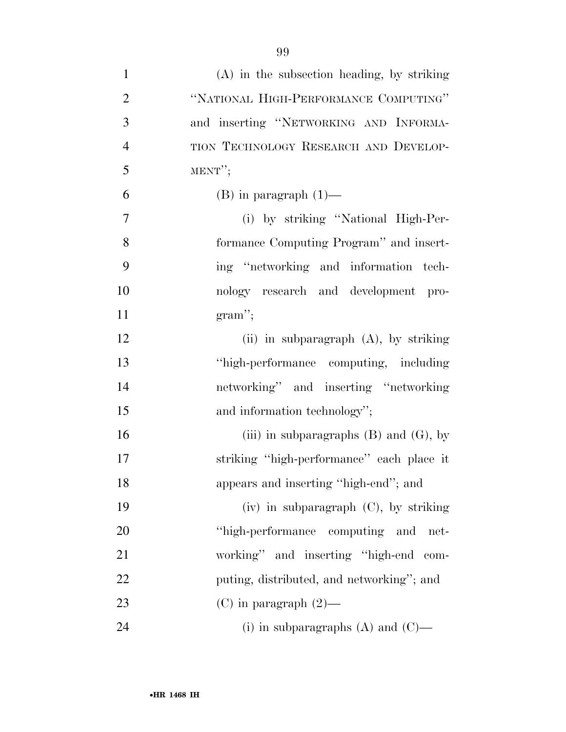| $\mathbf{1}$   | $(A)$ in the subsection heading, by striking |
|----------------|----------------------------------------------|
| $\overline{2}$ | "NATIONAL HIGH-PERFORMANCE COMPUTING"        |
| 3              | and inserting "NETWORKING AND INFORMA-       |
| $\overline{4}$ | TION TECHNOLOGY RESEARCH AND DEVELOP-        |
| 5              | $MENT''$ ;                                   |
| 6              | $(B)$ in paragraph $(1)$ —                   |
| $\tau$         | (i) by striking "National High-Per-          |
| 8              | formance Computing Program" and insert-      |
| 9              | ing "networking and information tech-        |
| 10             | nology research and development pro-         |
| 11             | $gram$ ";                                    |
| 12             | (ii) in subparagraph (A), by striking        |
| 13             | "high-performance computing, including       |
| 14             | networking" and inserting "networking        |
| 15             | and information technology";                 |
| 16             | (iii) in subparagraphs $(B)$ and $(G)$ , by  |
| 17             | striking "high-performance" each place it    |
| 18             | appears and inserting "high-end"; and        |
| 19             | $(iv)$ in subparagraph $(C)$ , by striking   |
| 20             | "high-performance computing and net-         |
| 21             | working" and inserting "high-end com-        |
| 22             | puting, distributed, and networking"; and    |
| 23             | $(C)$ in paragraph $(2)$ —                   |
| 24             | (i) in subparagraphs $(A)$ and $(C)$ —       |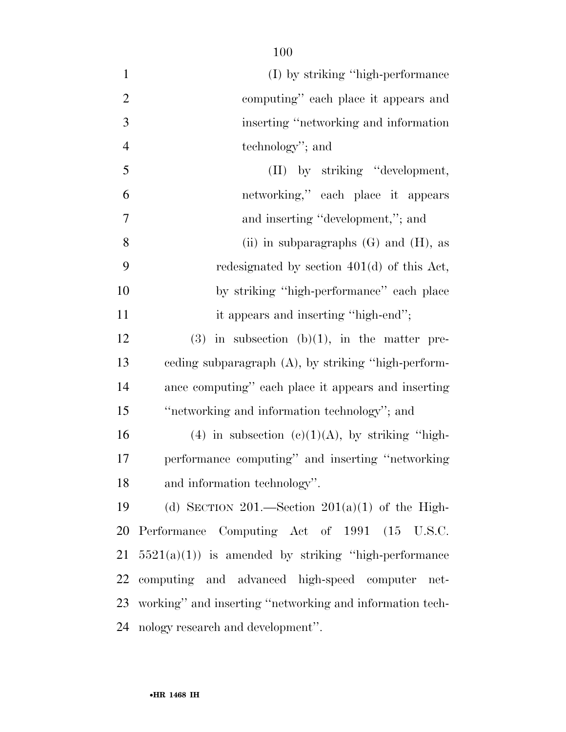| $\mathbf{1}$   | (I) by striking "high-performance"                       |
|----------------|----------------------------------------------------------|
| $\overline{2}$ | computing" each place it appears and                     |
| 3              | inserting "networking and information"                   |
| $\overline{4}$ | technology"; and                                         |
| 5              | (II) by striking "development,                           |
| 6              | networking," each place it appears                       |
| $\overline{7}$ | and inserting "development,"; and                        |
| 8              | (ii) in subparagraphs $(G)$ and $(H)$ , as               |
| 9              | redesignated by section $401(d)$ of this Act,            |
| 10             | by striking "high-performance" each place                |
| 11             | it appears and inserting "high-end";                     |
| 12             | $(3)$ in subsection $(b)(1)$ , in the matter pre-        |
| 13             | eeding subparagraph (A), by striking "high-perform-      |
| 14             | ance computing" each place it appears and inserting      |
| 15             | "networking and information technology"; and             |
| 16             | (4) in subsection (c)(1)(A), by striking "high-          |
| 17             | performance computing" and inserting "networking         |
| 18             | and information technology".                             |
| 19             | (d) SECTION 201.—Section $201(a)(1)$ of the High-        |
| 20             | Performance Computing Act of 1991 (15 U.S.C.             |
| 21             | $5521(a)(1)$ is amended by striking "high-performance"   |
| 22             | computing and advanced high-speed computer net-          |
| 23             | working" and inserting "networking and information tech- |
| 24             | nology research and development".                        |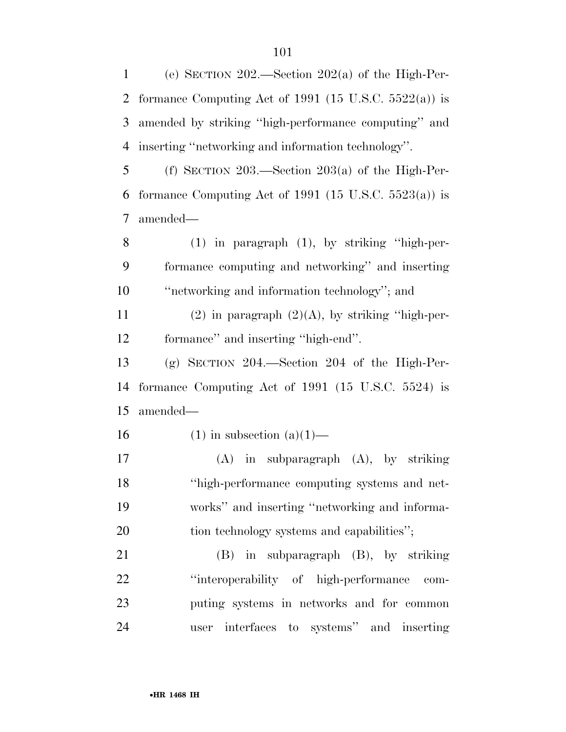(e) SECTION 202.—Section 202(a) of the High-Per-2 formance Computing Act of 1991 (15 U.S.C.  $5522(a)$ ) is amended by striking ''high-performance computing'' and inserting ''networking and information technology''. (f) SECTION 203.—Section 203(a) of the High-Per-

6 formance Computing Act of 1991 (15 U.S.C. 5523(a)) is amended—

 (1) in paragraph (1), by striking ''high-per- formance computing and networking'' and inserting ''networking and information technology''; and

11 (2) in paragraph  $(2)(A)$ , by striking "high-per-formance'' and inserting ''high-end''.

 (g) SECTION 204.—Section 204 of the High-Per- formance Computing Act of 1991 (15 U.S.C. 5524) is amended—

16 (1) in subsection  $(a)(1)$ —

 (A) in subparagraph (A), by striking ''high-performance computing systems and net- works'' and inserting ''networking and informa-20 tion technology systems and capabilities";

 (B) in subparagraph (B), by striking 22 "interoperability of high-performance com- puting systems in networks and for common user interfaces to systems'' and inserting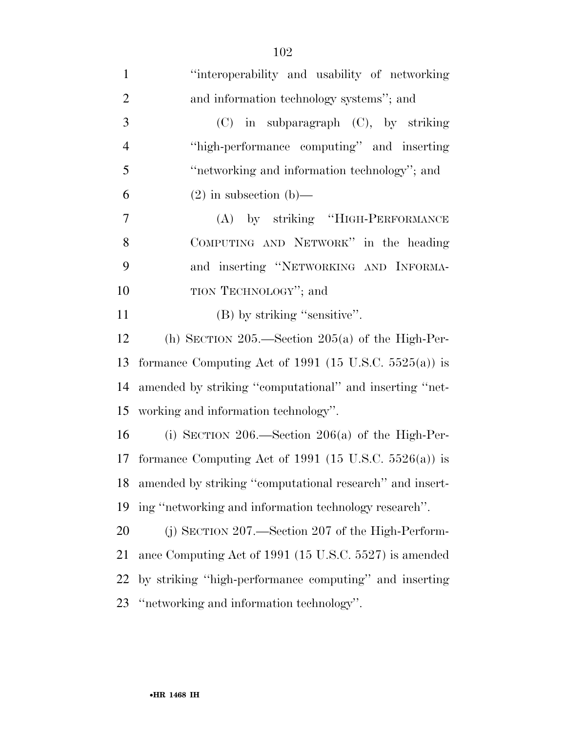| $\mathbf{1}$   | "interoperability and usability of networking            |
|----------------|----------------------------------------------------------|
| $\overline{2}$ | and information technology systems"; and                 |
| 3              | $(C)$ in subparagraph $(C)$ , by striking                |
| $\overline{4}$ | "high-performance computing" and inserting               |
| 5              | "networking and information technology"; and             |
| 6              | $(2)$ in subsection $(b)$ —                              |
| $\overline{7}$ | (A) by striking "HIGH-PERFORMANCE                        |
| 8              | COMPUTING AND NETWORK" in the heading                    |
| 9              | and inserting "NETWORKING AND INFORMA-                   |
| 10             | TION TECHNOLOGY"; and                                    |
| 11             | (B) by striking "sensitive".                             |
| 12             | (h) SECTION $205$ —Section $205(a)$ of the High-Per-     |
| 13             | formance Computing Act of 1991 (15 U.S.C. 5525(a)) is    |
| 14             | amended by striking "computational" and inserting "net-  |
| 15             | working and information technology".                     |
| 16             | (i) SECTION 206.—Section 206(a) of the High-Per-         |
| 17             | formance Computing Act of 1991 (15 U.S.C. 5526(a)) is    |
| 18             | amended by striking "computational research" and insert- |
| 19             | ing "networking and information technology research".    |
| 20             | $(j)$ SECTION 207.—Section 207 of the High-Perform-      |
| 21             | ance Computing Act of 1991 (15 U.S.C. 5527) is amended   |
| 22             | by striking "high-performance computing" and inserting   |
| 23             | "networking and information technology".                 |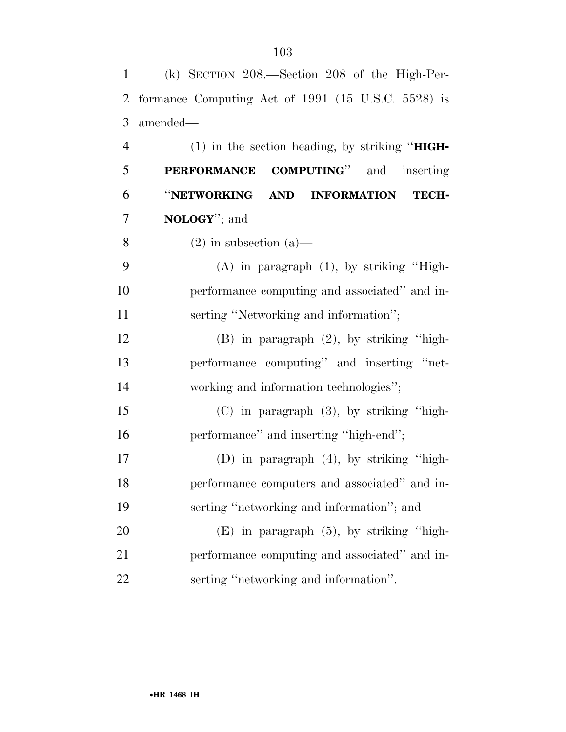| $\mathbf{1}$   | $(k)$ SECTION 208.—Section 208 of the High-Per-       |
|----------------|-------------------------------------------------------|
| 2              | formance Computing Act of 1991 (15 U.S.C. 5528) is    |
| 3              | amended—                                              |
| $\overline{4}$ | $(1)$ in the section heading, by striking "HIGH-      |
| 5              | <b>PERFORMANCE COMPUTING</b> " and inserting          |
| 6              | "NETWORKING<br><b>AND INFORMATION</b><br><b>TECH-</b> |
| $\overline{7}$ | <b>NOLOGY</b> "; and                                  |
| 8              | $(2)$ in subsection $(a)$ —                           |
| 9              | $(A)$ in paragraph $(1)$ , by striking "High-         |
| 10             | performance computing and associated" and in-         |
| 11             | serting "Networking and information";                 |
| 12             | $(B)$ in paragraph $(2)$ , by striking "high-         |
| 13             | performance computing" and inserting "net-            |
| 14             | working and information technologies";                |
| 15             | $(C)$ in paragraph $(3)$ , by striking "high-         |
| 16             | performance" and inserting "high-end";                |
| 17             | (D) in paragraph $(4)$ , by striking "high-           |
| 18             | performance computers and associated" and in-         |
| 19             | serting "networking and information"; and             |
| 20             | $(E)$ in paragraph $(5)$ , by striking "high-         |
| 21             | performance computing and associated" and in-         |
| 22             | serting "networking and information".                 |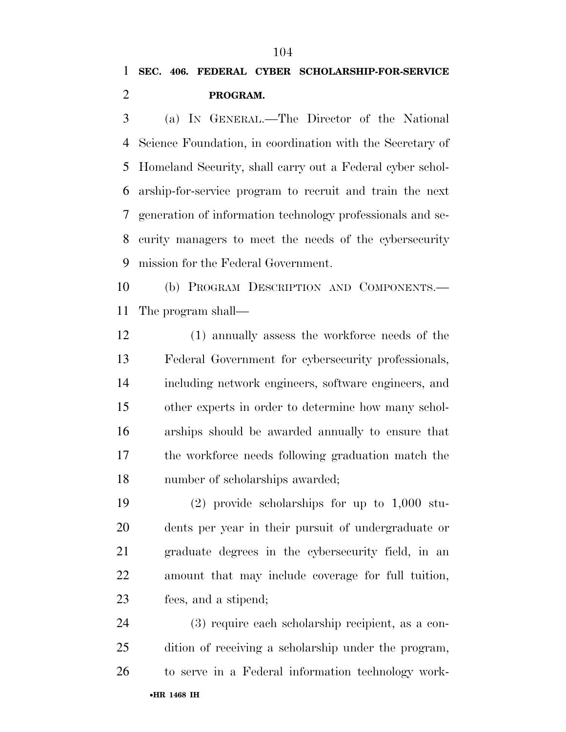# **SEC. 406. FEDERAL CYBER SCHOLARSHIP-FOR-SERVICE PROGRAM.**

 (a) IN GENERAL.—The Director of the National Science Foundation, in coordination with the Secretary of Homeland Security, shall carry out a Federal cyber schol- arship-for-service program to recruit and train the next generation of information technology professionals and se- curity managers to meet the needs of the cybersecurity mission for the Federal Government.

 (b) PROGRAM DESCRIPTION AND COMPONENTS.— The program shall—

 (1) annually assess the workforce needs of the Federal Government for cybersecurity professionals, including network engineers, software engineers, and other experts in order to determine how many schol- arships should be awarded annually to ensure that the workforce needs following graduation match the number of scholarships awarded;

 (2) provide scholarships for up to 1,000 stu- dents per year in their pursuit of undergraduate or graduate degrees in the cybersecurity field, in an amount that may include coverage for full tuition, fees, and a stipend;

•**HR 1468 IH** (3) require each scholarship recipient, as a con- dition of receiving a scholarship under the program, to serve in a Federal information technology work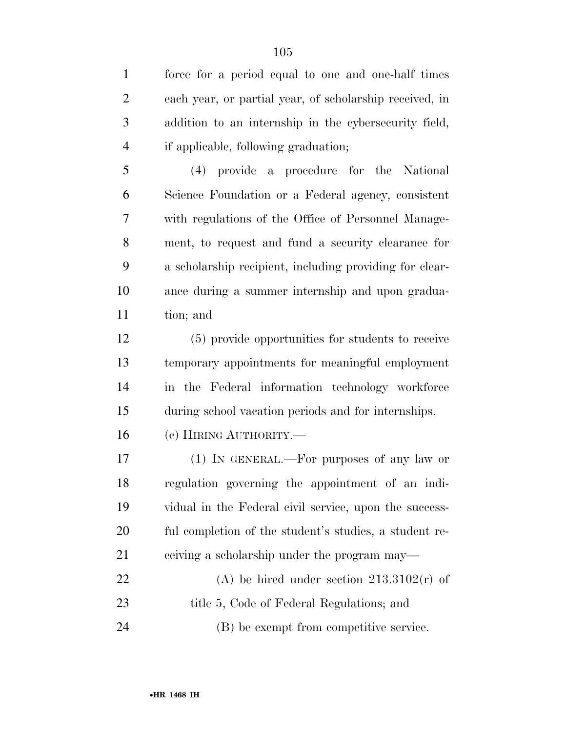force for a period equal to one and one-half times each year, or partial year, of scholarship received, in addition to an internship in the cybersecurity field, if applicable, following graduation;

 (4) provide a procedure for the National Science Foundation or a Federal agency, consistent with regulations of the Office of Personnel Manage- ment, to request and fund a security clearance for a scholarship recipient, including providing for clear- ance during a summer internship and upon gradua-tion; and

 (5) provide opportunities for students to receive temporary appointments for meaningful employment in the Federal information technology workforce during school vacation periods and for internships.

(c) HIRING AUTHORITY.—

 (1) IN GENERAL.—For purposes of any law or regulation governing the appointment of an indi- vidual in the Federal civil service, upon the success- ful completion of the student's studies, a student re-21 ceiving a scholarship under the program may— 22 (A) be hired under section  $213.3102(r)$  of 23 title 5, Code of Federal Regulations; and

(B) be exempt from competitive service.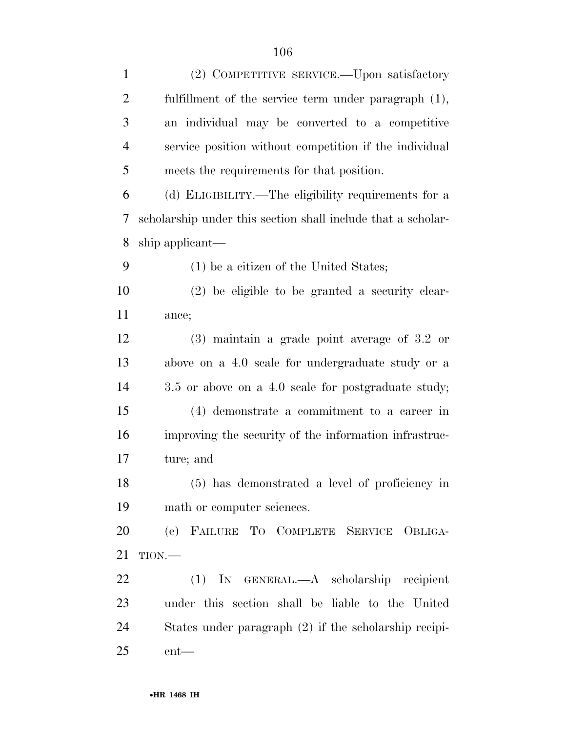| $\mathbf{1}$   | (2) COMPETITIVE SERVICE.—Upon satisfactory                   |
|----------------|--------------------------------------------------------------|
| $\overline{2}$ | fulfillment of the service term under paragraph $(1)$ ,      |
| 3              | an individual may be converted to a competitive              |
| $\overline{4}$ | service position without competition if the individual       |
| 5              | meets the requirements for that position.                    |
| 6              | (d) ELIGIBILITY.—The eligibility requirements for a          |
| 7              | scholarship under this section shall include that a scholar- |
| 8              | ship applicant—                                              |
| 9              | $(1)$ be a citizen of the United States;                     |
| 10             | $(2)$ be eligible to be granted a security clear-            |
| 11             | ance;                                                        |
| 12             | $(3)$ maintain a grade point average of 3.2 or               |
| 13             | above on a 4.0 scale for undergraduate study or a            |
| 14             | 3.5 or above on a 4.0 scale for postgraduate study;          |
| 15             | (4) demonstrate a commitment to a career in                  |
| 16             | improving the security of the information infrastruc-        |
| 17             | ture; and                                                    |
| 18             | (5) has demonstrated a level of proficiency in               |
| 19             | math or computer sciences.                                   |
| 20             | (e) FAILURE TO COMPLETE SERVICE OBLIGA-                      |
| 21             | $TION$ .                                                     |
| 22             | (1) IN GENERAL.—A scholarship recipient                      |
| 23             | under this section shall be liable to the United             |
| 24             | States under paragraph (2) if the scholarship recipi-        |
| 25             | $ent$ — $\,$                                                 |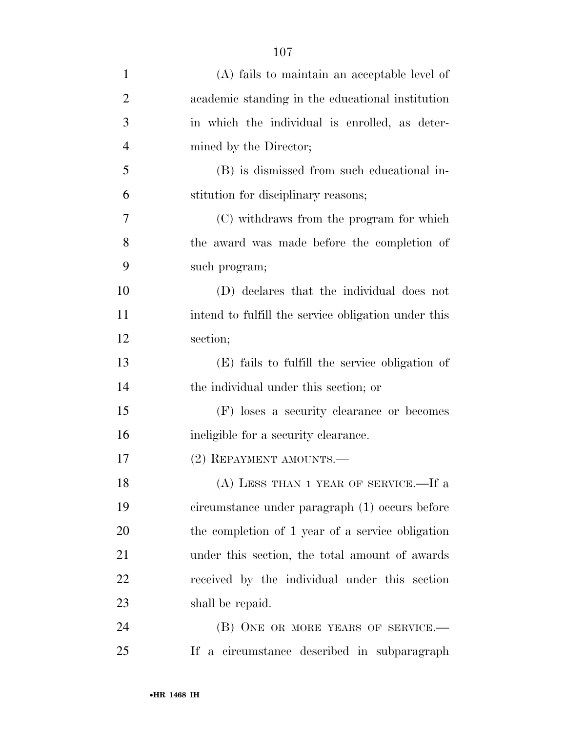| $\mathbf{1}$   | (A) fails to maintain an acceptable level of        |
|----------------|-----------------------------------------------------|
| $\overline{2}$ | academic standing in the educational institution    |
| 3              | in which the individual is enrolled, as deter-      |
| $\overline{4}$ | mined by the Director;                              |
| 5              | (B) is dismissed from such educational in-          |
| 6              | stitution for disciplinary reasons;                 |
| $\tau$         | (C) withdraws from the program for which            |
| 8              | the award was made before the completion of         |
| 9              | such program;                                       |
| 10             | (D) declares that the individual does not           |
| 11             | intend to fulfill the service obligation under this |
| 12             | section;                                            |
| 13             | (E) fails to fulfill the service obligation of      |
| 14             | the individual under this section; or               |
| 15             | (F) loses a security clearance or becomes           |
| 16             | ineligible for a security clearance.                |
| 17             | (2) REPAYMENT AMOUNTS.—                             |
| 18             | (A) LESS THAN 1 YEAR OF SERVICE.—If a               |
| 19             | circumstance under paragraph (1) occurs before      |
| 20             | the completion of 1 year of a service obligation    |
| 21             | under this section, the total amount of awards      |
| 22             | received by the individual under this section       |
| 23             | shall be repaid.                                    |
| 24             | (B) ONE OR MORE YEARS OF SERVICE.—                  |
| 25             | If a circumstance described in subparagraph         |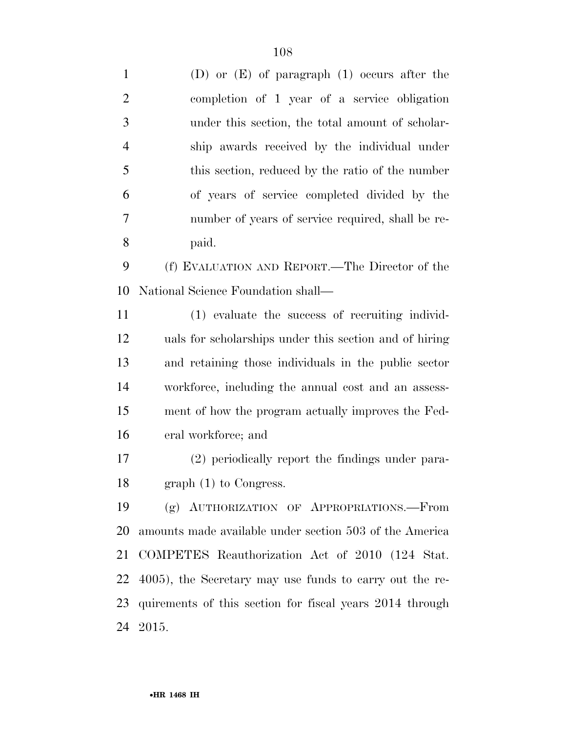| $\mathbf{1}$   | (D) or $(E)$ of paragraph $(1)$ occurs after the         |
|----------------|----------------------------------------------------------|
| $\overline{2}$ | completion of 1 year of a service obligation             |
| 3              | under this section, the total amount of scholar-         |
| $\overline{4}$ | ship awards received by the individual under             |
| 5              | this section, reduced by the ratio of the number         |
| 6              | of years of service completed divided by the             |
| 7              | number of years of service required, shall be re-        |
| 8              | paid.                                                    |
| 9              | (f) EVALUATION AND REPORT.—The Director of the           |
| 10             | National Science Foundation shall—                       |
| 11             | (1) evaluate the success of recruiting individ-          |
| 12             | uals for scholarships under this section and of hiring   |
| 13             | and retaining those individuals in the public sector     |
| 14             | workforce, including the annual cost and an assess-      |
| 15             | ment of how the program actually improves the Fed-       |
| 16             | eral workforce; and                                      |
| 17             | (2) periodically report the findings under para-         |
| 18             | $graph(1)$ to Congress.                                  |
| 19             | (g) AUTHORIZATION OF APPROPRIATIONS.-From                |
| 20             | amounts made available under section 503 of the America  |
| 21             | COMPETES Reauthorization Act of 2010 (124 Stat.          |
| 22             | 4005), the Secretary may use funds to carry out the re-  |
| 23             | quirements of this section for fiscal years 2014 through |
| 24             | 2015.                                                    |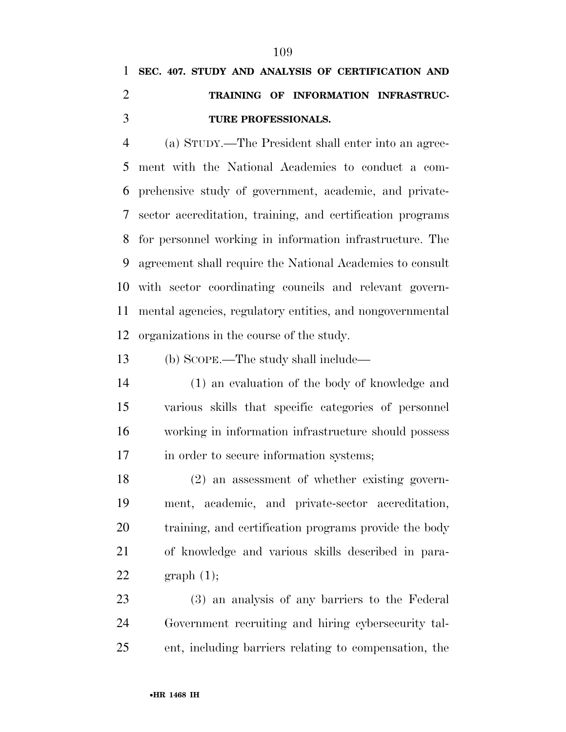# **SEC. 407. STUDY AND ANALYSIS OF CERTIFICATION AND TRAINING OF INFORMATION INFRASTRUC-TURE PROFESSIONALS.**

 (a) STUDY.—The President shall enter into an agree- ment with the National Academies to conduct a com- prehensive study of government, academic, and private- sector accreditation, training, and certification programs for personnel working in information infrastructure. The agreement shall require the National Academies to consult with sector coordinating councils and relevant govern- mental agencies, regulatory entities, and nongovernmental organizations in the course of the study.

(b) SCOPE.—The study shall include—

 (1) an evaluation of the body of knowledge and various skills that specific categories of personnel working in information infrastructure should possess in order to secure information systems;

 (2) an assessment of whether existing govern- ment, academic, and private-sector accreditation, training, and certification programs provide the body of knowledge and various skills described in para-22 graph  $(1)$ ;

 (3) an analysis of any barriers to the Federal Government recruiting and hiring cybersecurity tal-ent, including barriers relating to compensation, the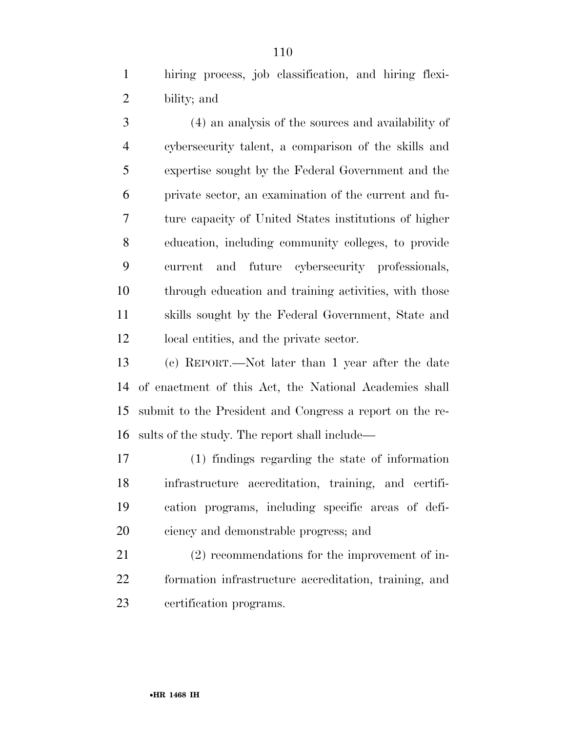hiring process, job classification, and hiring flexi-bility; and

 (4) an analysis of the sources and availability of cybersecurity talent, a comparison of the skills and expertise sought by the Federal Government and the private sector, an examination of the current and fu- ture capacity of United States institutions of higher education, including community colleges, to provide current and future cybersecurity professionals, through education and training activities, with those skills sought by the Federal Government, State and local entities, and the private sector.

 (c) REPORT.—Not later than 1 year after the date of enactment of this Act, the National Academies shall submit to the President and Congress a report on the re-sults of the study. The report shall include—

 (1) findings regarding the state of information infrastructure accreditation, training, and certifi- cation programs, including specific areas of defi-ciency and demonstrable progress; and

 (2) recommendations for the improvement of in- formation infrastructure accreditation, training, and certification programs.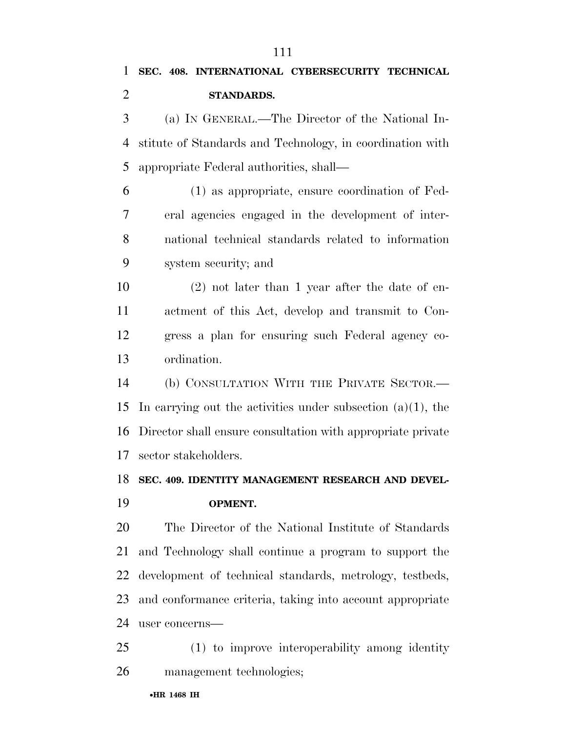(a) IN GENERAL.—The Director of the National In- stitute of Standards and Technology, in coordination with appropriate Federal authorities, shall—

 (1) as appropriate, ensure coordination of Fed- eral agencies engaged in the development of inter- national technical standards related to information system security; and

 (2) not later than 1 year after the date of en- actment of this Act, develop and transmit to Con- gress a plan for ensuring such Federal agency co-ordination.

 (b) CONSULTATION WITH THE PRIVATE SECTOR.— In carrying out the activities under subsection (a)(1), the Director shall ensure consultation with appropriate private sector stakeholders.

### **SEC. 409. IDENTITY MANAGEMENT RESEARCH AND DEVEL-**

**OPMENT.** 

# The Director of the National Institute of Standards and Technology shall continue a program to support the development of technical standards, metrology, testbeds, and conformance criteria, taking into account appropriate user concerns—

 (1) to improve interoperability among identity management technologies;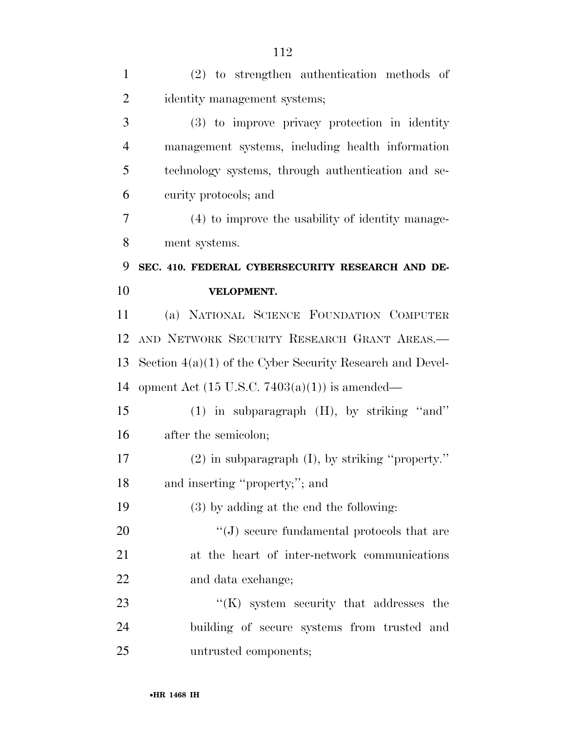| $\mathbf{1}$   | $(2)$ to strengthen authentication methods of               |
|----------------|-------------------------------------------------------------|
| $\overline{2}$ | identity management systems;                                |
| 3              | (3) to improve privacy protection in identity               |
| $\overline{4}$ | management systems, including health information            |
| 5              | technology systems, through authentication and se-          |
| 6              | curity protocols; and                                       |
| 7              | (4) to improve the usability of identity manage-            |
| 8              | ment systems.                                               |
| 9              | SEC. 410. FEDERAL CYBERSECURITY RESEARCH AND DE-            |
| 10             | VELOPMENT.                                                  |
| 11             | (a) NATIONAL SCIENCE FOUNDATION COMPUTER                    |
| 12             | AND NETWORK SECURITY RESEARCH GRANT AREAS.                  |
| 13             | Section $4(a)(1)$ of the Cyber Security Research and Devel- |
| 14             | opment Act $(15 \text{ U.S.C. } 7403(a)(1))$ is amended—    |
| 15             | $(1)$ in subparagraph $(H)$ , by striking "and"             |
| 16             | after the semicolon;                                        |
| 17             | $(2)$ in subparagraph $(I)$ , by striking "property."       |
| 18             | and inserting "property;"; and                              |
| 19             | $(3)$ by adding at the end the following:                   |
| 20             | $\lq\lq(J)$ secure fundamental protocols that are           |
| 21             | at the heart of inter-network communications                |
| 22             | and data exchange;                                          |
| 23             | $\lq\lq$ (K) system security that addresses the             |
| 24             | building of secure systems from trusted and                 |
| 25             | untrusted components;                                       |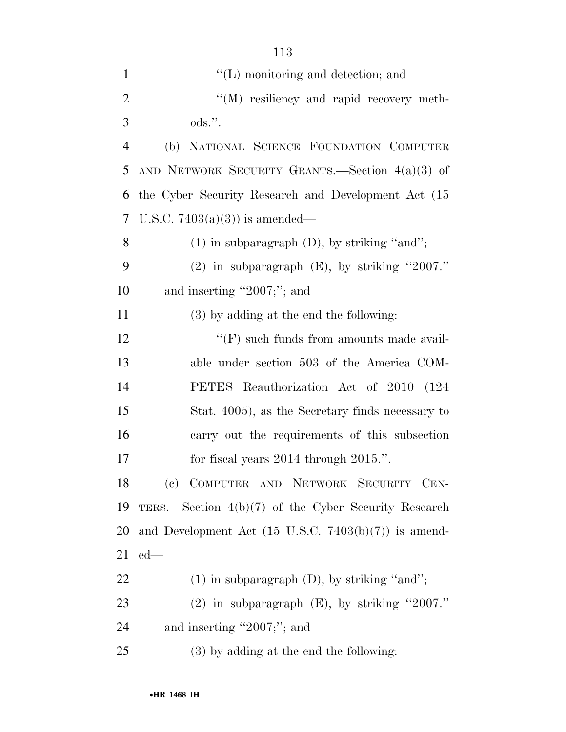| $\mathbf{1}$   | $\lq\lq$ (L) monitoring and detection; and                      |
|----------------|-----------------------------------------------------------------|
| $\overline{2}$ | "(M) resiliency and rapid recovery meth-                        |
| 3              | $\mathrm{ods}$ .".                                              |
| $\overline{4}$ | (b) NATIONAL SCIENCE FOUNDATION COMPUTER                        |
| 5              | AND NETWORK SECURITY GRANTS. Section $4(a)(3)$ of               |
| 6              | the Cyber Security Research and Development Act (15             |
| 7              | U.S.C. $7403(a)(3)$ is amended—                                 |
| 8              | $(1)$ in subparagraph $(D)$ , by striking "and";                |
| 9              | $(2)$ in subparagraph $(E)$ , by striking "2007."               |
| 10             | and inserting "2007;"; and                                      |
| 11             | (3) by adding at the end the following:                         |
| 12             | $\lq\lq(F)$ such funds from amounts made avail-                 |
| 13             | able under section 503 of the America COM-                      |
| 14             | PETES Reauthorization Act of 2010 (124                          |
| 15             | Stat. 4005), as the Secretary finds necessary to                |
| 16             | carry out the requirements of this subsection                   |
| 17             | for fiscal years $2014$ through $2015$ .".                      |
| 18             | (c) COMPUTER AND NETWORK SECURITY CEN-                          |
| 19             | TERS.—Section $4(b)(7)$ of the Cyber Security Research          |
| 20             | and Development Act $(15 \text{ U.S.C. } 7403(b)(7))$ is amend- |
| 21             | $ed$ —                                                          |
| 22             | $(1)$ in subparagraph $(D)$ , by striking "and";                |
| 23             | $(2)$ in subparagraph $(E)$ , by striking "2007."               |
| 24             | and inserting "2007;"; and                                      |
| 25             | (3) by adding at the end the following:                         |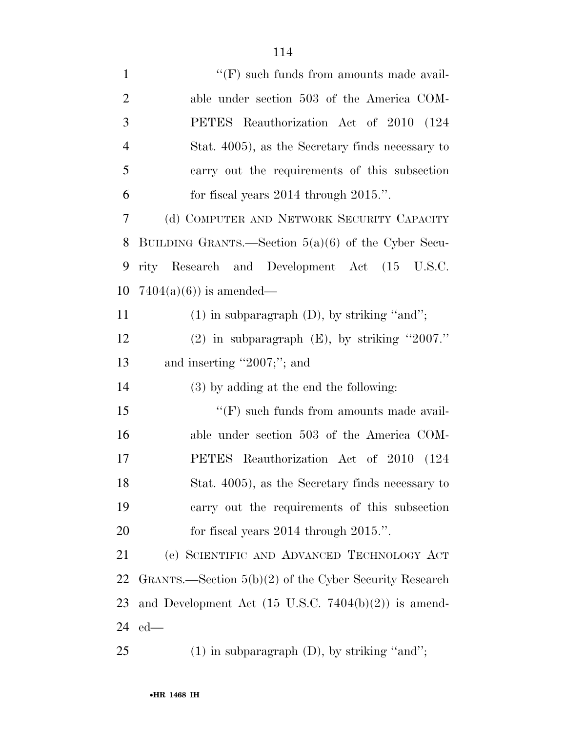| $\mathbf{1}$   | $\lq\lq(F)$ such funds from amounts made avail-                 |
|----------------|-----------------------------------------------------------------|
| $\overline{2}$ | able under section 503 of the America COM-                      |
| 3              | PETES Reauthorization Act of 2010 (124                          |
| $\overline{4}$ | Stat. 4005), as the Secretary finds necessary to                |
| 5              | carry out the requirements of this subsection                   |
| 6              | for fiscal years $2014$ through $2015$ .".                      |
| 7              | (d) COMPUTER AND NETWORK SECURITY CAPACITY                      |
| 8              | BUILDING GRANTS.—Section $5(a)(6)$ of the Cyber Secu-           |
| 9              | rity Research and Development Act (15 U.S.C.                    |
| 10             | $7404(a)(6)$ is amended—                                        |
| 11             | $(1)$ in subparagraph $(D)$ , by striking "and";                |
| 12             | $(2)$ in subparagraph $(E)$ , by striking "2007."               |
| 13             | and inserting "2007;"; and                                      |
| 14             | (3) by adding at the end the following:                         |
| 15             | $\lq\lq(F)$ such funds from amounts made avail-                 |
| 16             | able under section 503 of the America COM-                      |
| 17             | PETES Reauthorization Act of 2010 (124                          |
| 18             | Stat. 4005), as the Secretary finds necessary to                |
| 19             | carry out the requirements of this subsection                   |
| 20             | for fiscal years $2014$ through $2015$ .".                      |
| 21             | (e) SCIENTIFIC AND ADVANCED TECHNOLOGY ACT                      |
| 22             | GRANTS.—Section $5(b)(2)$ of the Cyber Security Research        |
| 23             | and Development Act $(15 \text{ U.S.C. } 7404(b)(2))$ is amend- |
| 24             | $ed$ —                                                          |
| 25             | $(1)$ in subparagraph $(D)$ , by striking "and";                |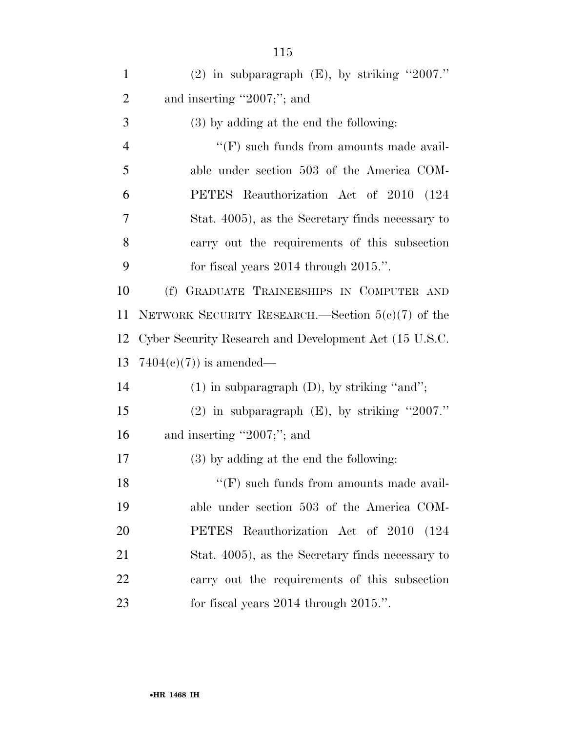| $\mathbf{1}$   | (2) in subparagraph $(E)$ , by striking "2007."        |
|----------------|--------------------------------------------------------|
| $\overline{2}$ | and inserting "2007;"; and                             |
| 3              | $(3)$ by adding at the end the following:              |
| $\overline{4}$ | $\lq\lq(F)$ such funds from amounts made avail-        |
| 5              | able under section 503 of the America COM-             |
| 6              | PETES Reauthorization Act of 2010 (124                 |
| $\overline{7}$ | Stat. 4005), as the Secretary finds necessary to       |
| 8              | carry out the requirements of this subsection          |
| 9              | for fiscal years $2014$ through $2015$ .".             |
| 10             | GRADUATE TRAINEESHIPS IN COMPUTER AND<br>(f)           |
| 11             | NETWORK SECURITY RESEARCH.—Section $5(c)(7)$ of the    |
| 12             | Cyber Security Research and Development Act (15 U.S.C. |
| 13             | $7404(c)(7)$ is amended—                               |
| 14             | $(1)$ in subparagraph $(D)$ , by striking "and";       |
| 15             | $(2)$ in subparagraph $(E)$ , by striking "2007."      |
| 16             | and inserting "2007;"; and                             |
| 17             | $(3)$ by adding at the end the following:              |
| 18             | $``(F)$ such funds from amounts made avail-            |
| 19             | able under section 503 of the America COM-             |
| 20             | PETES Reauthorization Act of 2010 (124                 |
| 21             | Stat. 4005), as the Secretary finds necessary to       |
| 22             | carry out the requirements of this subsection          |
| 23             | for fiscal years $2014$ through $2015$ .".             |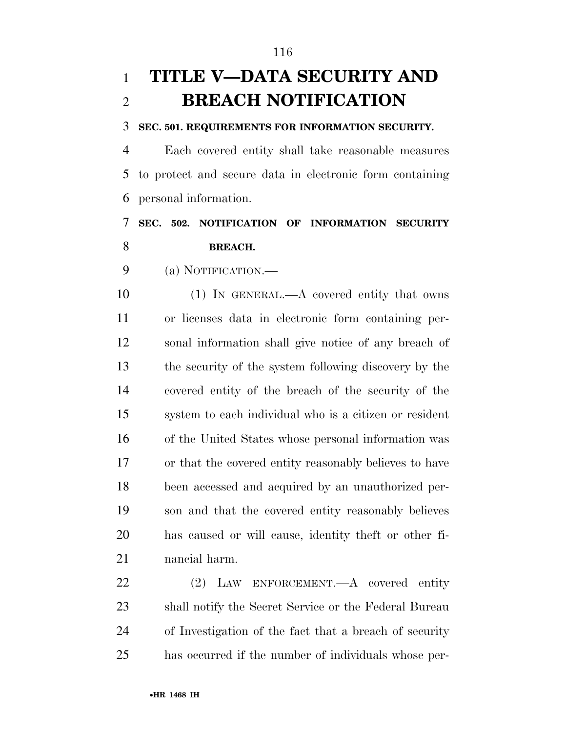# **TITLE V—DATA SECURITY AND BREACH NOTIFICATION**

#### **SEC. 501. REQUIREMENTS FOR INFORMATION SECURITY.**

 Each covered entity shall take reasonable measures to protect and secure data in electronic form containing personal information.

## **SEC. 502. NOTIFICATION OF INFORMATION SECURITY BREACH.**

(a) NOTIFICATION.—

10 (1) IN GENERAL.—A covered entity that owns or licenses data in electronic form containing per- sonal information shall give notice of any breach of the security of the system following discovery by the covered entity of the breach of the security of the system to each individual who is a citizen or resident of the United States whose personal information was or that the covered entity reasonably believes to have been accessed and acquired by an unauthorized per- son and that the covered entity reasonably believes has caused or will cause, identity theft or other fi-nancial harm.

 (2) LAW ENFORCEMENT.—A covered entity shall notify the Secret Service or the Federal Bureau of Investigation of the fact that a breach of security has occurred if the number of individuals whose per-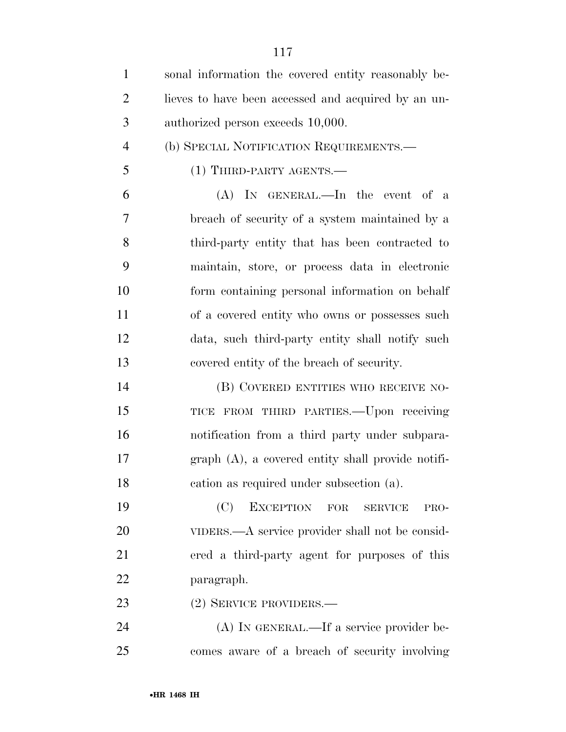| $\mathbf{1}$   | sonal information the covered entity reasonably be- |
|----------------|-----------------------------------------------------|
| $\overline{2}$ | lieves to have been accessed and acquired by an un- |
| 3              | authorized person exceeds 10,000.                   |
| $\overline{4}$ | (b) SPECIAL NOTIFICATION REQUIREMENTS.              |
| 5              | $(1)$ THIRD-PARTY AGENTS.—                          |
| 6              | $(A)$ In GENERAL.—In the event of a                 |
| $\overline{7}$ | breach of security of a system maintained by a      |
| 8              | third-party entity that has been contracted to      |
| 9              | maintain, store, or process data in electronic      |
| 10             | form containing personal information on behalf      |
| 11             | of a covered entity who owns or possesses such      |
| 12             | data, such third-party entity shall notify such     |
| 13             | covered entity of the breach of security.           |
| 14             | (B) COVERED ENTITIES WHO RECEIVE NO-                |
| 15             | TICE FROM THIRD PARTIES.—Upon receiving             |
| 16             | notification from a third party under subpara-      |
| 17             | graph (A), a covered entity shall provide notifi-   |
| 18             | cation as required under subsection (a).            |
| 19             | (C)<br>EXCEPTION FOR<br><b>SERVICE</b><br>PRO-      |
| 20             | VIDERS.—A service provider shall not be consid-     |
| 21             | ered a third-party agent for purposes of this       |
| 22             | paragraph.                                          |
| 23             | (2) SERVICE PROVIDERS.—                             |
| 24             | (A) IN GENERAL.—If a service provider be-           |
| 25             | comes aware of a breach of security involving       |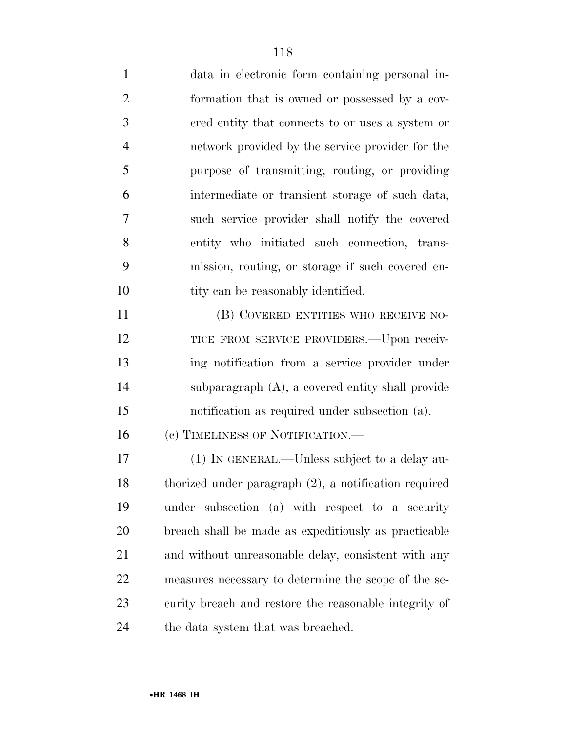data in electronic form containing personal in- formation that is owned or possessed by a cov- ered entity that connects to or uses a system or network provided by the service provider for the purpose of transmitting, routing, or providing intermediate or transient storage of such data, such service provider shall notify the covered entity who initiated such connection, trans- mission, routing, or storage if such covered en-10 tity can be reasonably identified. (B) COVERED ENTITIES WHO RECEIVE NO-12 TICE FROM SERVICE PROVIDERS. Upon receiv- ing notification from a service provider under subparagraph (A), a covered entity shall provide notification as required under subsection (a). 16 (c) TIMELINESS OF NOTIFICATION.— (1) IN GENERAL.—Unless subject to a delay au- thorized under paragraph (2), a notification required under subsection (a) with respect to a security breach shall be made as expeditiously as practicable and without unreasonable delay, consistent with any measures necessary to determine the scope of the se-curity breach and restore the reasonable integrity of

24 the data system that was breached.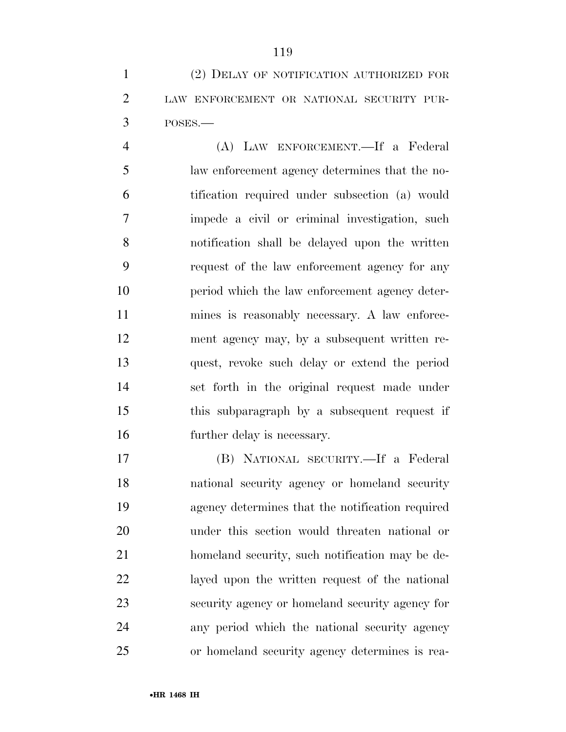(2) DELAY OF NOTIFICATION AUTHORIZED FOR LAW ENFORCEMENT OR NATIONAL SECURITY PUR-POSES.—

 (A) LAW ENFORCEMENT.—If a Federal law enforcement agency determines that the no- tification required under subsection (a) would impede a civil or criminal investigation, such notification shall be delayed upon the written request of the law enforcement agency for any period which the law enforcement agency deter- mines is reasonably necessary. A law enforce- ment agency may, by a subsequent written re- quest, revoke such delay or extend the period set forth in the original request made under this subparagraph by a subsequent request if further delay is necessary.

 (B) NATIONAL SECURITY.—If a Federal national security agency or homeland security agency determines that the notification required under this section would threaten national or homeland security, such notification may be de- layed upon the written request of the national security agency or homeland security agency for any period which the national security agency or homeland security agency determines is rea-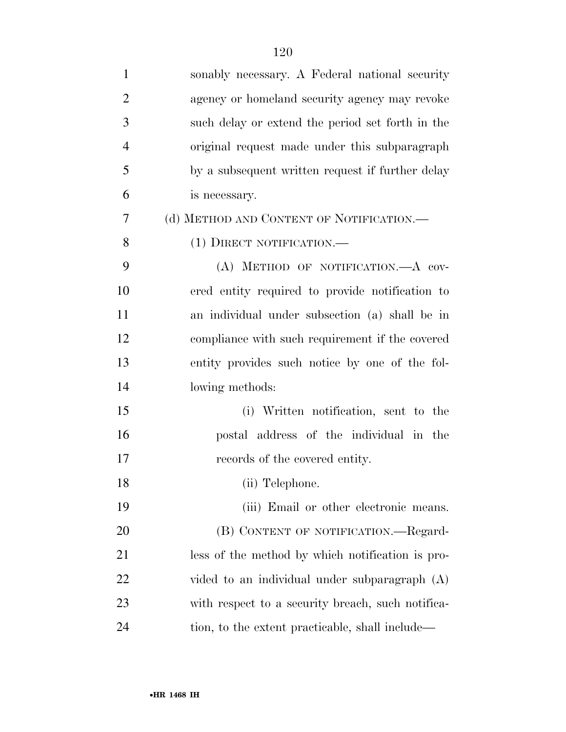| $\mathbf{1}$   | sonably necessary. A Federal national security    |
|----------------|---------------------------------------------------|
| $\overline{2}$ | agency or homeland security agency may revoke     |
| 3              | such delay or extend the period set forth in the  |
| $\overline{4}$ | original request made under this subparagraph     |
| 5              | by a subsequent written request if further delay  |
| 6              | is necessary.                                     |
| 7              | (d) METHOD AND CONTENT OF NOTIFICATION.—          |
| 8              | (1) DIRECT NOTIFICATION.—                         |
| 9              | (A) METHOD OF NOTIFICATION. A COV-                |
| 10             | ered entity required to provide notification to   |
| 11             | an individual under subsection (a) shall be in    |
| 12             | compliance with such requirement if the covered   |
| 13             | entity provides such notice by one of the fol-    |
| 14             | lowing methods:                                   |
| 15             | (i) Written notification, sent to the             |
| 16             | postal address of the individual in the           |
| 17             | records of the covered entity.                    |
| 18             | (ii) Telephone.                                   |
| 19             | (iii) Email or other electronic means.            |
| 20             | (B) CONTENT OF NOTIFICATION.—Regard-              |
| 21             | less of the method by which notification is pro-  |
| 22             | vided to an individual under subparagraph $(A)$   |
| 23             | with respect to a security breach, such notifica- |
| 24             | tion, to the extent practicable, shall include—   |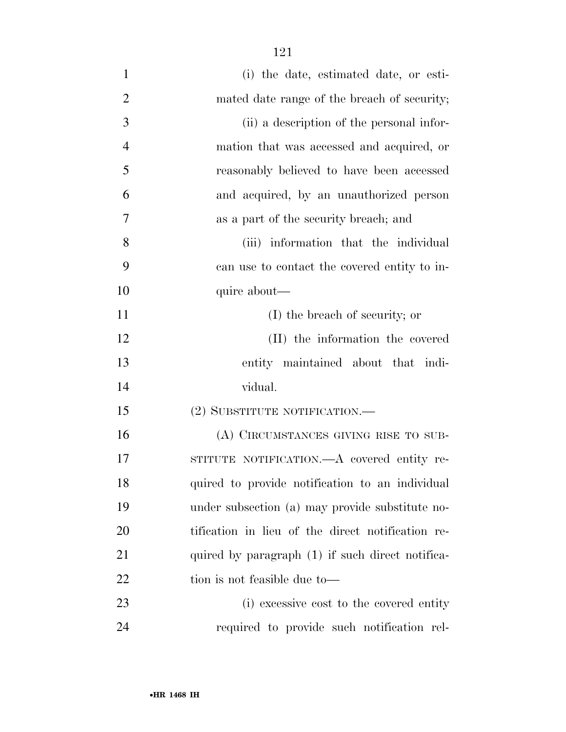- (i) the date, estimated date, or esti-2 mated date range of the breach of security; (ii) a description of the personal infor- mation that was accessed and acquired, or reasonably believed to have been accessed and acquired, by an unauthorized person as a part of the security breach; and (iii) information that the individual can use to contact the covered entity to in-10 quire about— (I) the breach of security; or (II) the information the covered entity maintained about that indi- vidual. (2) SUBSTITUTE NOTIFICATION.— (A) CIRCUMSTANCES GIVING RISE TO SUB- STITUTE NOTIFICATION.—A covered entity re- quired to provide notification to an individual under subsection (a) may provide substitute no- tification in lieu of the direct notification re-21 quired by paragraph (1) if such direct notifica-22 tion is not feasible due to—
- (i) excessive cost to the covered entity required to provide such notification rel-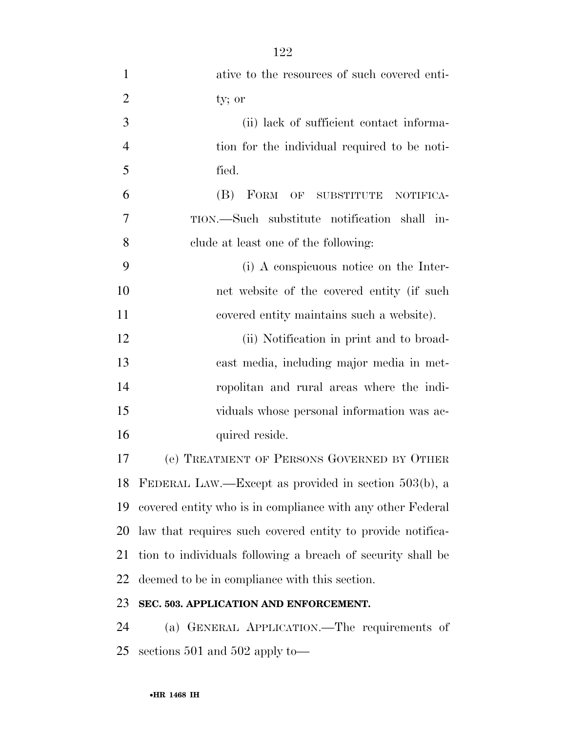| $\mathbf{1}$   | ative to the resources of such covered enti-                |
|----------------|-------------------------------------------------------------|
| $\overline{2}$ | ty; or                                                      |
| 3              | (ii) lack of sufficient contact informa-                    |
| $\overline{4}$ | tion for the individual required to be noti-                |
| 5              | fied.                                                       |
| 6              | (B)<br>FORM<br>OF SUBSTITUTE<br>NOTIFICA-                   |
| 7              | TION.—Such substitute notification shall in-                |
| 8              | clude at least one of the following:                        |
| 9              | (i) A conspicuous notice on the Inter-                      |
| 10             | net website of the covered entity (if such                  |
| 11             | covered entity maintains such a website).                   |
| 12             | (ii) Notification in print and to broad-                    |
| 13             | cast media, including major media in met-                   |
| 14             | ropolitan and rural areas where the indi-                   |
| 15             | viduals whose personal information was ac-                  |
| 16             | quired reside.                                              |
| 17             | (e) TREATMENT OF PERSONS GOVERNED BY OTHER                  |
|                | 18 FEDERAL LAW.—Except as provided in section 503(b), a     |
| 19             | covered entity who is in compliance with any other Federal  |
| 20             | law that requires such covered entity to provide notifica-  |
| 21             | tion to individuals following a breach of security shall be |
| 22             | deemed to be in compliance with this section.               |
| 23             | SEC. 503. APPLICATION AND ENFORCEMENT.                      |
| 24             | (a) GENERAL APPLICATION.—The requirements of                |
| 25             | sections $501$ and $502$ apply to-                          |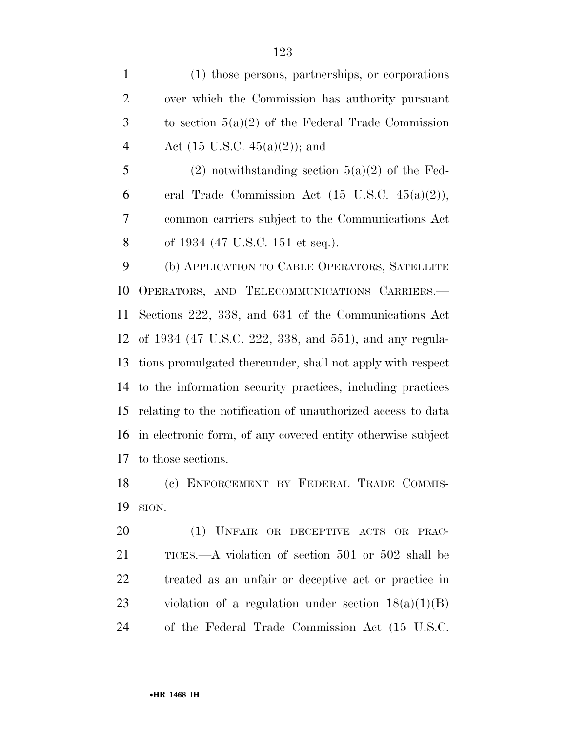(1) those persons, partnerships, or corporations over which the Commission has authority pursuant to section 5(a)(2) of the Federal Trade Commission 4 Act  $(15 \text{ U.S.C. } 45(a)(2))$ ; and

5 (2) notwithstanding section  $5(a)(2)$  of the Fed-6 eral Trade Commission Act  $(15 \text{ U.S.C. } 45(a)(2)),$  common carriers subject to the Communications Act of 1934 (47 U.S.C. 151 et seq.).

 (b) APPLICATION TO CABLE OPERATORS, SATELLITE OPERATORS, AND TELECOMMUNICATIONS CARRIERS.— Sections 222, 338, and 631 of the Communications Act of 1934 (47 U.S.C. 222, 338, and 551), and any regula- tions promulgated thereunder, shall not apply with respect to the information security practices, including practices relating to the notification of unauthorized access to data in electronic form, of any covered entity otherwise subject to those sections.

 (c) ENFORCEMENT BY FEDERAL TRADE COMMIS-SION.—

 (1) UNFAIR OR DECEPTIVE ACTS OR PRAC- TICES.—A violation of section 501 or 502 shall be treated as an unfair or deceptive act or practice in 23 violation of a regulation under section  $18(a)(1)(B)$ of the Federal Trade Commission Act (15 U.S.C.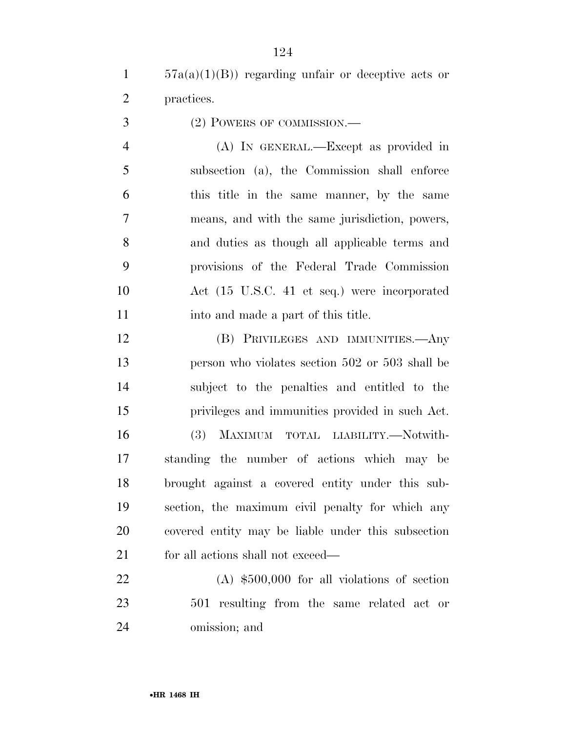57a(a)(1)(B)) regarding unfair or deceptive acts or practices.

(2) POWERS OF COMMISSION.—

 (A) IN GENERAL.—Except as provided in subsection (a), the Commission shall enforce this title in the same manner, by the same means, and with the same jurisdiction, powers, and duties as though all applicable terms and provisions of the Federal Trade Commission Act (15 U.S.C. 41 et seq.) were incorporated 11 into and made a part of this title.

 (B) PRIVILEGES AND IMMUNITIES.—Any person who violates section 502 or 503 shall be subject to the penalties and entitled to the privileges and immunities provided in such Act. (3) MAXIMUM TOTAL LIABILITY.—Notwith- standing the number of actions which may be brought against a covered entity under this sub- section, the maximum civil penalty for which any covered entity may be liable under this subsection 21 for all actions shall not exceed—

 (A) \$500,000 for all violations of section 501 resulting from the same related act or omission; and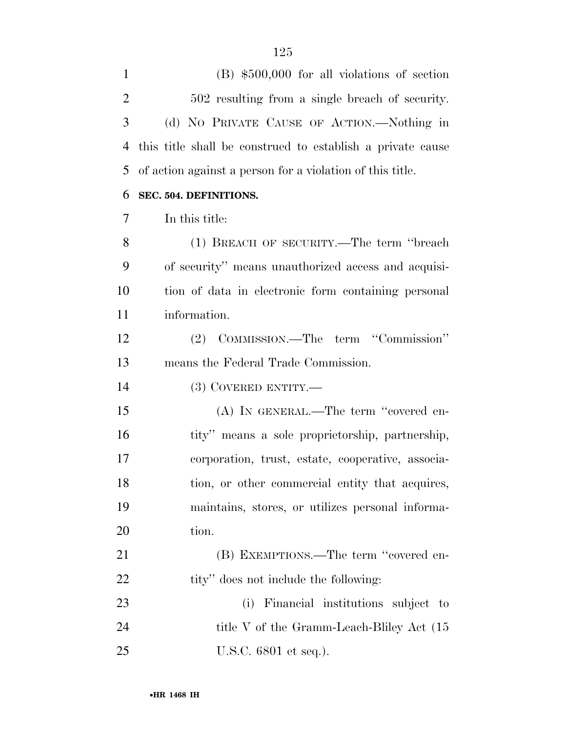(B) \$500,000 for all violations of section 502 resulting from a single breach of security. (d) NO PRIVATE CAUSE OF ACTION.—Nothing in this title shall be construed to establish a private cause of action against a person for a violation of this title.

### **SEC. 504. DEFINITIONS.**

In this title:

 (1) BREACH OF SECURITY.—The term ''breach of security'' means unauthorized access and acquisi- tion of data in electronic form containing personal information.

 (2) COMMISSION.—The term ''Commission'' means the Federal Trade Commission.

(3) COVERED ENTITY.—

 (A) IN GENERAL.—The term ''covered en-16 tity'' means a sole proprietorship, partnership, corporation, trust, estate, cooperative, associa-18 tion, or other commercial entity that acquires, maintains, stores, or utilizes personal informa-20 tion.

21 (B) EXEMPTIONS.—The term "covered en-22 tity'' does not include the following:

 (i) Financial institutions subject to 24 title V of the Gramm-Leach-Bliley Act (15 U.S.C. 6801 et seq.).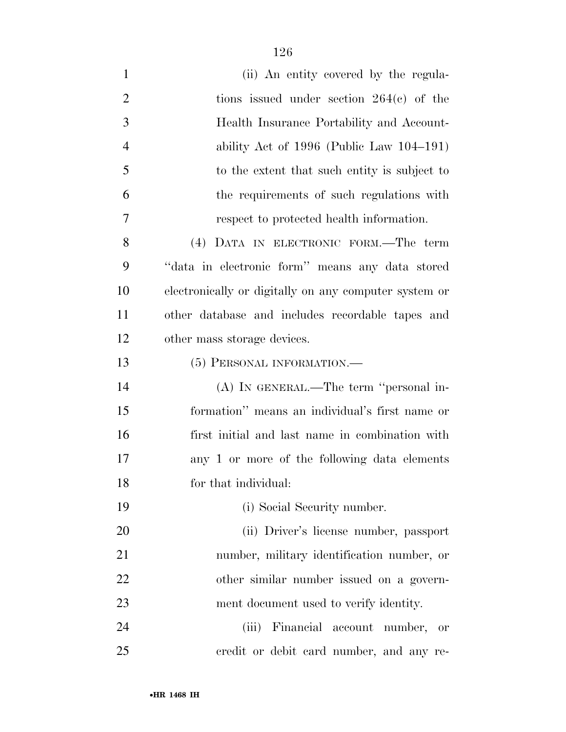- (ii) An entity covered by the regula-2 tions issued under section 264(c) of the Health Insurance Portability and Account- ability Act of 1996 (Public Law 104–191) to the extent that such entity is subject to the requirements of such regulations with respect to protected health information. (4) DATA IN ELECTRONIC FORM.—The term ''data in electronic form'' means any data stored electronically or digitally on any computer system or other database and includes recordable tapes and other mass storage devices. 13 (5) PERSONAL INFORMATION.— (A) IN GENERAL.—The term ''personal in- formation'' means an individual's first name or first initial and last name in combination with any 1 or more of the following data elements for that individual: (i) Social Security number. (ii) Driver's license number, passport number, military identification number, or other similar number issued on a govern- ment document used to verify identity. (iii) Financial account number, or
- credit or debit card number, and any re-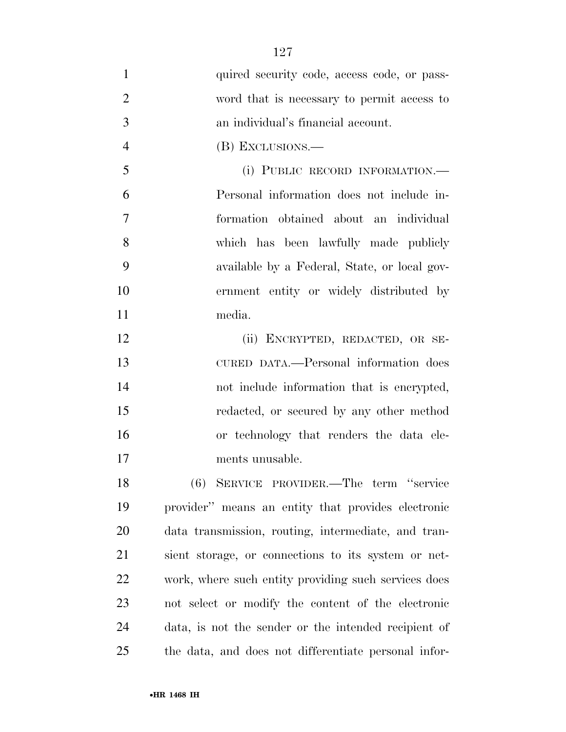1 quired security code, access code, or pass- word that is necessary to permit access to an individual's financial account. (B) EXCLUSIONS.— (i) PUBLIC RECORD INFORMATION.— Personal information does not include in- formation obtained about an individual which has been lawfully made publicly available by a Federal, State, or local gov- ernment entity or widely distributed by media. (ii) ENCRYPTED, REDACTED, OR SE- CURED DATA.—Personal information does not include information that is encrypted, redacted, or secured by any other method or technology that renders the data ele- ments unusable. (6) SERVICE PROVIDER.—The term ''service provider'' means an entity that provides electronic data transmission, routing, intermediate, and tran-sient storage, or connections to its system or net-

 work, where such entity providing such services does not select or modify the content of the electronic data, is not the sender or the intended recipient of the data, and does not differentiate personal infor